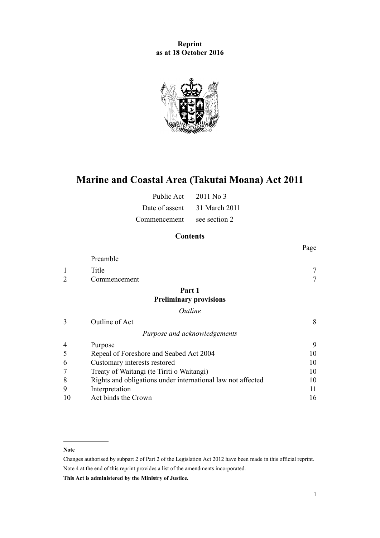**Reprint as at 18 October 2016**



# **Marine and Coastal Area (Takutai Moana) Act 2011**

| Public Act     | $2011$ No 3   |
|----------------|---------------|
| Date of assent | 31 March 2011 |
| Commencement   | see section 2 |

# **Contents**

|                |                                                             | Page   |
|----------------|-------------------------------------------------------------|--------|
|                | Preamble                                                    |        |
| 1              | Title                                                       |        |
| $\overline{2}$ | Commencement                                                | $\tau$ |
|                | Part 1                                                      |        |
|                | <b>Preliminary provisions</b>                               |        |
|                | Outline                                                     |        |
| 3              | Outline of Act                                              | 8      |
|                | Purpose and acknowledgements                                |        |
| 4              | Purpose                                                     | 9      |
| 5              | Repeal of Foreshore and Seabed Act 2004                     | 10     |
| 6              | Customary interests restored                                | 10     |
|                | Treaty of Waitangi (te Tiriti o Waitangi)                   | 10     |
| 8              | Rights and obligations under international law not affected | 10     |
| 9              | Interpretation                                              | 11     |
| 10             | Act binds the Crown                                         | 16     |

#### **Note**

Changes authorised by [subpart 2](http://prd-lgnz-nlb.prd.pco.net.nz/pdflink.aspx?id=DLM2998524) of Part 2 of the Legislation Act 2012 have been made in this official reprint. Note 4 at the end of this reprint provides a list of the amendments incorporated.

**This Act is administered by the Ministry of Justice.**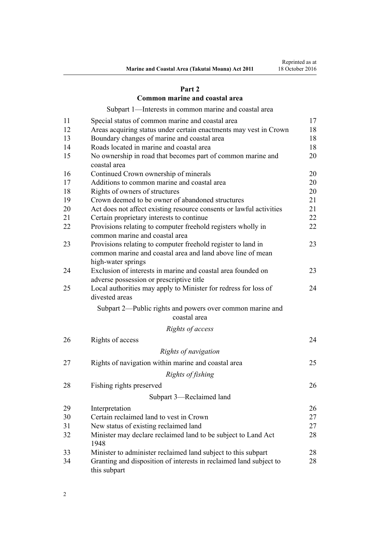### **[Part 2](#page-16-0)**

### **[Common marine and coastal area](#page-16-0)**

[Subpart 1—Interests in common marine and coastal area](#page-16-0)

| 11 | Special status of common marine and coastal area                                               | 17 |
|----|------------------------------------------------------------------------------------------------|----|
| 12 | Areas acquiring status under certain enactments may vest in Crown                              | 18 |
| 13 | Boundary changes of marine and coastal area                                                    | 18 |
| 14 | Roads located in marine and coastal area                                                       | 18 |
| 15 | No ownership in road that becomes part of common marine and<br>coastal area                    | 20 |
| 16 | Continued Crown ownership of minerals                                                          | 20 |
| 17 | Additions to common marine and coastal area                                                    | 20 |
| 18 | Rights of owners of structures                                                                 | 20 |
| 19 | Crown deemed to be owner of abandoned structures                                               | 21 |
| 20 | Act does not affect existing resource consents or lawful activities                            | 21 |
| 21 | Certain proprietary interests to continue                                                      | 22 |
| 22 | Provisions relating to computer freehold registers wholly in<br>common marine and coastal area | 22 |
| 23 | Provisions relating to computer freehold register to land in                                   | 23 |
|    | common marine and coastal area and land above line of mean<br>high-water springs               |    |
| 24 | Exclusion of interests in marine and coastal area founded on                                   | 23 |
|    | adverse possession or prescriptive title                                                       |    |
| 25 | Local authorities may apply to Minister for redress for loss of<br>divested areas              | 24 |
|    | Subpart 2—Public rights and powers over common marine and<br>coastal area                      |    |
|    | Rights of access                                                                               |    |
| 26 | Rights of access                                                                               | 24 |
|    |                                                                                                |    |
|    | Rights of navigation                                                                           |    |
| 27 | Rights of navigation within marine and coastal area                                            | 25 |
|    | Rights of fishing                                                                              |    |
| 28 | Fishing rights preserved                                                                       | 26 |
|    | Subpart 3—Reclaimed land                                                                       |    |
| 29 | Interpretation                                                                                 | 26 |
| 30 | Certain reclaimed land to vest in Crown                                                        | 27 |
| 31 | New status of existing reclaimed land                                                          | 27 |
| 32 | Minister may declare reclaimed land to be subject to Land Act<br>1948                          | 28 |
| 33 | Minister to administer reclaimed land subject to this subpart                                  | 28 |
| 34 | Granting and disposition of interests in reclaimed land subject to<br>this subpart             | 28 |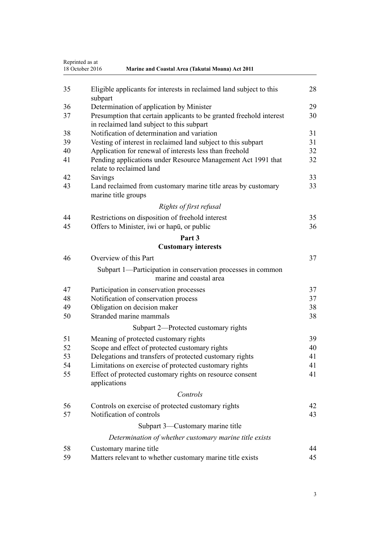|    | Reprinted as at<br>18 October 2016<br>Marine and Coastal Area (Takutai Moana) Act 2011                           |    |
|----|------------------------------------------------------------------------------------------------------------------|----|
| 35 | Eligible applicants for interests in reclaimed land subject to this<br>subpart                                   | 28 |
| 36 | Determination of application by Minister                                                                         | 29 |
| 37 | Presumption that certain applicants to be granted freehold interest<br>in reclaimed land subject to this subpart | 30 |
| 38 | Notification of determination and variation                                                                      | 31 |
| 39 | Vesting of interest in reclaimed land subject to this subpart                                                    | 31 |
| 40 | Application for renewal of interests less than freehold                                                          | 32 |
| 41 | Pending applications under Resource Management Act 1991 that<br>relate to reclaimed land                         | 32 |
| 42 | Savings                                                                                                          | 33 |
| 43 | Land reclaimed from customary marine title areas by customary<br>marine title groups                             | 33 |
|    | Rights of first refusal                                                                                          |    |
| 44 | Restrictions on disposition of freehold interest                                                                 | 35 |
| 45 | Offers to Minister, iwi or hapu, or public                                                                       | 36 |
|    | Part 3                                                                                                           |    |
|    | <b>Customary interests</b>                                                                                       |    |
| 46 | Overview of this Part                                                                                            | 37 |
|    | Subpart 1—Participation in conservation processes in common<br>marine and coastal area                           |    |
| 47 | Participation in conservation processes                                                                          | 37 |
| 48 | Notification of conservation process                                                                             | 37 |
| 49 | Obligation on decision maker                                                                                     | 38 |
| 50 | Stranded marine mammals                                                                                          | 38 |
|    | Subpart 2—Protected customary rights                                                                             |    |
| 51 | Meaning of protected customary rights                                                                            | 39 |
| 52 | Scope and effect of protected customary rights                                                                   | 40 |
| 53 | Delegations and transfers of protected customary rights                                                          | 41 |
| 54 | Limitations on exercise of protected customary rights                                                            | 41 |
| 55 | Effect of protected customary rights on resource consent<br>applications                                         | 41 |
|    | Controls                                                                                                         |    |
| 56 | Controls on exercise of protected customary rights                                                               | 42 |
| 57 | Notification of controls                                                                                         | 43 |
|    | Subpart 3—Customary marine title                                                                                 |    |
|    | Determination of whether customary marine title exists                                                           |    |
| 58 | Customary marine title                                                                                           | 44 |
| 59 | Matters relevant to whether customary marine title exists                                                        | 45 |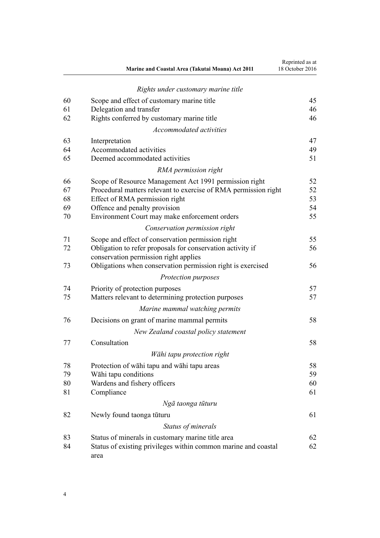|    | Marine and Coastal Area (Takutai Moana) Act 2011                                                    | Reprinted as at<br>18 October 2016 |
|----|-----------------------------------------------------------------------------------------------------|------------------------------------|
|    | Rights under customary marine title                                                                 |                                    |
| 60 | Scope and effect of customary marine title                                                          | 45                                 |
| 61 | Delegation and transfer                                                                             | 46                                 |
| 62 | Rights conferred by customary marine title                                                          | 46                                 |
|    | Accommodated activities                                                                             |                                    |
| 63 | Interpretation                                                                                      | 47                                 |
| 64 | Accommodated activities                                                                             | 49                                 |
| 65 | Deemed accommodated activities                                                                      | 51                                 |
|    | RMA permission right                                                                                |                                    |
| 66 | Scope of Resource Management Act 1991 permission right                                              | 52                                 |
| 67 | Procedural matters relevant to exercise of RMA permission right                                     | 52                                 |
| 68 | Effect of RMA permission right                                                                      | 53                                 |
| 69 | Offence and penalty provision                                                                       | 54                                 |
| 70 | Environment Court may make enforcement orders                                                       | 55                                 |
|    | Conservation permission right                                                                       |                                    |
| 71 | Scope and effect of conservation permission right                                                   | 55                                 |
| 72 | Obligation to refer proposals for conservation activity if<br>conservation permission right applies | 56                                 |
| 73 | Obligations when conservation permission right is exercised                                         | 56                                 |
|    | Protection purposes                                                                                 |                                    |
| 74 | Priority of protection purposes                                                                     | 57                                 |
| 75 | Matters relevant to determining protection purposes                                                 | 57                                 |
|    | Marine mammal watching permits                                                                      |                                    |
| 76 | Decisions on grant of marine mammal permits                                                         | 58                                 |
|    | New Zealand coastal policy statement                                                                |                                    |
| 77 | Consultation                                                                                        | 58                                 |
|    | Wāhi tapu protection right                                                                          |                                    |
| 78 | Protection of wāhi tapu and wāhi tapu areas                                                         | 58                                 |
| 79 | Wāhi tapu conditions                                                                                | 59                                 |
| 80 | Wardens and fishery officers                                                                        | 60                                 |
| 81 | Compliance                                                                                          | 61                                 |
|    | Ngā taonga tūturu                                                                                   |                                    |
| 82 | Newly found taonga tūturu                                                                           | 61                                 |
|    | Status of minerals                                                                                  |                                    |
| 83 | Status of minerals in customary marine title area                                                   | 62                                 |
| 84 | Status of existing privileges within common marine and coastal<br>area                              | 62                                 |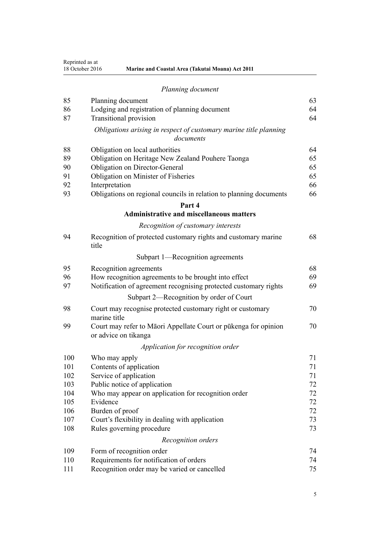Reprinted as at

| 18 October 2016<br><b>Marine and Coastal Area (Takutai Moana) Act 2011</b> |
|----------------------------------------------------------------------------|
|----------------------------------------------------------------------------|

|     | Planning document                                                                       |    |
|-----|-----------------------------------------------------------------------------------------|----|
| 85  | Planning document                                                                       | 63 |
| 86  | Lodging and registration of planning document                                           | 64 |
| 87  | <b>Transitional provision</b>                                                           | 64 |
|     | Obligations arising in respect of customary marine title planning<br>documents          |    |
| 88  | Obligation on local authorities                                                         | 64 |
| 89  | Obligation on Heritage New Zealand Pouhere Taonga                                       | 65 |
| 90  | <b>Obligation on Director-General</b>                                                   | 65 |
| 91  | Obligation on Minister of Fisheries                                                     | 65 |
| 92  | Interpretation                                                                          | 66 |
| 93  | Obligations on regional councils in relation to planning documents                      | 66 |
|     | Part 4                                                                                  |    |
|     | <b>Administrative and miscellaneous matters</b>                                         |    |
|     | Recognition of customary interests                                                      |    |
| 94  | Recognition of protected customary rights and customary marine<br>title                 | 68 |
|     | Subpart 1—Recognition agreements                                                        |    |
| 95  | Recognition agreements                                                                  | 68 |
| 96  | How recognition agreements to be brought into effect                                    | 69 |
| 97  | Notification of agreement recognising protected customary rights                        | 69 |
|     | Subpart 2—Recognition by order of Court                                                 |    |
| 98  | Court may recognise protected customary right or customary<br>marine title              | 70 |
| 99  | Court may refer to Māori Appellate Court or pūkenga for opinion<br>or advice on tikanga | 70 |
|     | Application for recognition order                                                       |    |
| 100 | Who may apply                                                                           | 71 |

| 100 | Who may apply                                       | 71 |
|-----|-----------------------------------------------------|----|
| 101 | Contents of application                             | 71 |
| 102 | Service of application                              | 71 |
| 103 | Public notice of application                        | 72 |
| 104 | Who may appear on application for recognition order | 72 |
| 105 | Evidence                                            | 72 |
| 106 | Burden of proof                                     | 72 |
| 107 | Court's flexibility in dealing with application     | 73 |
| 108 | Rules governing procedure                           | 73 |
|     | Recognition orders                                  |    |
| 109 | Form of recognition order                           | 74 |
| 110 | Requirements for notification of orders             | 74 |
| 111 | Recognition order may be varied or cancelled        | 75 |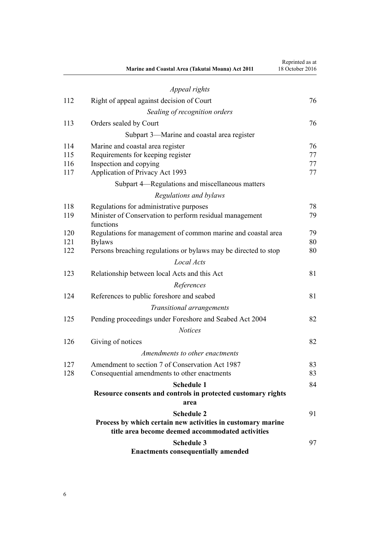|     | Marine and Coastal Area (Takutai Moana) Act 2011                     | Reprinted as at<br>18 October 2016 |
|-----|----------------------------------------------------------------------|------------------------------------|
|     | Appeal rights                                                        |                                    |
| 112 | Right of appeal against decision of Court                            | 76                                 |
|     | Sealing of recognition orders                                        |                                    |
| 113 | Orders sealed by Court                                               | 76                                 |
|     | Subpart 3—Marine and coastal area register                           |                                    |
| 114 | Marine and coastal area register                                     | 76                                 |
| 115 | Requirements for keeping register                                    | 77                                 |
| 116 | Inspection and copying                                               | 77                                 |
| 117 | Application of Privacy Act 1993                                      | 77                                 |
|     | Subpart 4—Regulations and miscellaneous matters                      |                                    |
|     | Regulations and bylaws                                               |                                    |
| 118 | Regulations for administrative purposes                              | 78                                 |
| 119 | Minister of Conservation to perform residual management<br>functions | 79                                 |
| 120 | Regulations for management of common marine and coastal area         | 79                                 |
| 121 | <b>Bylaws</b>                                                        | 80                                 |
| 122 | Persons breaching regulations or bylaws may be directed to stop      | 80                                 |
|     | <b>Local Acts</b>                                                    |                                    |
| 123 | Relationship between local Acts and this Act                         | 81                                 |
|     | References                                                           |                                    |
| 124 | References to public foreshore and seabed                            | 81                                 |
|     | Transitional arrangements                                            |                                    |
| 125 | Pending proceedings under Foreshore and Seabed Act 2004              | 82                                 |
|     | <b>Notices</b>                                                       |                                    |
| 126 | Giving of notices                                                    | 82                                 |
|     | Amendments to other enactments                                       |                                    |
| 127 | Amendment to section 7 of Conservation Act 1987                      | 83                                 |
| 128 | Consequential amendments to other enactments                         | 83                                 |
|     | <b>Schedule 1</b>                                                    | 84                                 |
|     | Resource consents and controls in protected customary rights<br>area |                                    |
|     | <b>Schedule 2</b>                                                    | 91                                 |
|     | Process by which certain new activities in customary marine          |                                    |
|     | title area become deemed accommodated activities                     |                                    |
|     | <b>Schedule 3</b>                                                    | 97                                 |
|     | <b>Enactments consequentially amended</b>                            |                                    |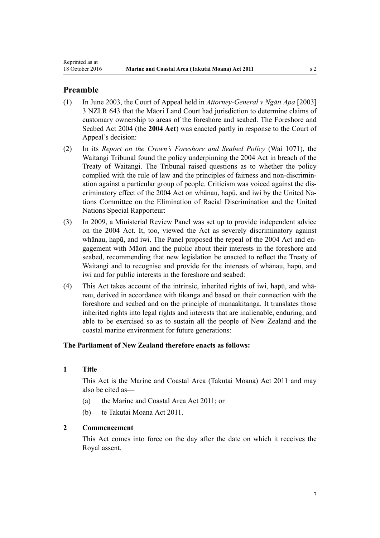### <span id="page-6-0"></span>**Preamble**

- (1) In June 2003, the Court of Appeal held in *Attorney-General v Ngāti Apa* [2003] 3 NZLR 643 that the Māori Land Court had jurisdiction to determine claims of customary ownership to areas of the foreshore and seabed. The [Foreshore and](http://prd-lgnz-nlb.prd.pco.net.nz/pdflink.aspx?id=DLM319838) [Seabed Act 2004](http://prd-lgnz-nlb.prd.pco.net.nz/pdflink.aspx?id=DLM319838) (the **2004 Act**) was enacted partly in response to the Court of Appeal's decision:
- (2) In its *Report on the Crown's Foreshore and Seabed Policy* (Wai 1071), the Waitangi Tribunal found the policy underpinning the [2004 Act](http://prd-lgnz-nlb.prd.pco.net.nz/pdflink.aspx?id=DLM319838) in breach of the Treaty of Waitangi. The Tribunal raised questions as to whether the policy complied with the rule of law and the principles of fairness and non-discrimination against a particular group of people. Criticism was voiced against the discriminatory effect of the 2004 Act on whānau, hapū, and iwi by the United Nations Committee on the Elimination of Racial Discrimination and the United Nations Special Rapporteur:
- (3) In 2009, a Ministerial Review Panel was set up to provide independent advice on the 2004 Act. It, too, viewed the Act as severely discriminatory against whānau, hapū, and iwi. The Panel proposed the repeal of the [2004 Act](http://prd-lgnz-nlb.prd.pco.net.nz/pdflink.aspx?id=DLM319838) and engagement with Māori and the public about their interests in the foreshore and seabed, recommending that new legislation be enacted to reflect the Treaty of Waitangi and to recognise and provide for the interests of whānau, hapū, and iwi and for public interests in the foreshore and seabed:
- (4) This Act takes account of the intrinsic, inherited rights of iwi, hapū, and whānau, derived in accordance with tikanga and based on their connection with the foreshore and seabed and on the principle of manaakitanga. It translates those inherited rights into legal rights and interests that are inalienable, enduring, and able to be exercised so as to sustain all the people of New Zealand and the coastal marine environment for future generations:

### **The Parliament of New Zealand therefore enacts as follows:**

### **1 Title**

This Act is the Marine and Coastal Area (Takutai Moana) Act 2011 and may also be cited as—

- (a) the Marine and Coastal Area Act 2011; or
- (b) te Takutai Moana Act 2011.

### **2 Commencement**

This Act comes into force on the day after the date on which it receives the Royal assent.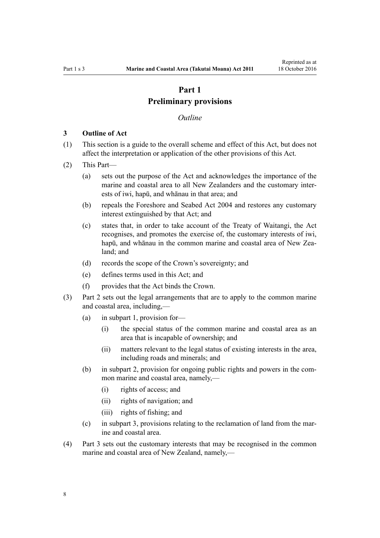# **Part 1 Preliminary provisions**

#### *Outline*

#### <span id="page-7-0"></span>**3 Outline of Act**

- (1) This section is a guide to the overall scheme and effect of this Act, but does not affect the interpretation or application of the other provisions of this Act.
- (2) This Part—
	- (a) sets out the purpose of the Act and acknowledges the importance of the marine and coastal area to all New Zealanders and the customary interests of iwi, hapū, and whānau in that area; and
	- (b) repeals the [Foreshore and Seabed Act 2004](http://prd-lgnz-nlb.prd.pco.net.nz/pdflink.aspx?id=DLM319838) and restores any customary interest extinguished by that Act; and
	- (c) states that, in order to take account of the Treaty of Waitangi, the Act recognises, and promotes the exercise of, the customary interests of iwi, hapū, and whānau in the common marine and coastal area of New Zealand; and
	- (d) records the scope of the Crown's sovereignty; and
	- (e) defines terms used in this Act; and
	- (f) provides that the Act binds the Crown.
- (3) [Part 2](#page-16-0) sets out the legal arrangements that are to apply to the common marine and coastal area, including,—
	- (a) in [subpart 1,](#page-16-0) provision for—
		- (i) the special status of the common marine and coastal area as an area that is incapable of ownership; and
		- (ii) matters relevant to the legal status of existing interests in the area, including roads and minerals; and
	- (b) in [subpart 2](#page-23-0), provision for ongoing public rights and powers in the common marine and coastal area, namely,—
		- (i) rights of access; and
		- (ii) rights of navigation; and
		- (iii) rights of fishing; and
	- (c) in [subpart 3](#page-25-0), provisions relating to the reclamation of land from the marine and coastal area.
- (4) [Part 3](#page-36-0) sets out the customary interests that may be recognised in the common marine and coastal area of New Zealand, namely,—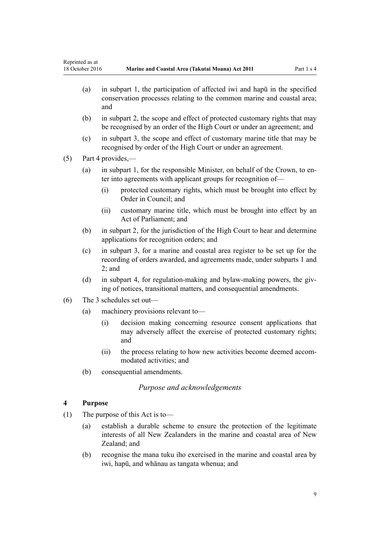- <span id="page-8-0"></span>(a) in [subpart 1,](#page-36-0) the participation of affected iwi and hapū in the specified conservation processes relating to the common marine and coastal area; and
- (b) in [subpart 2](#page-38-0), the scope and effect of protected customary rights that may be recognised by an order of the High Court or under an agreement; and
- (c) in [subpart 3](#page-43-0), the scope and effect of customary marine title that may be recognised by order of the High Court or under an agreement.

(5) [Part 4](#page-67-0) provides,—

- (a) in [subpart 1](#page-67-0), for the responsible Minister, on behalf of the Crown, to enter into agreements with applicant groups for recognition of—
	- (i) protected customary rights, which must be brought into effect by Order in Council; and
	- (ii) customary marine title, which must be brought into effect by an Act of Parliament; and
- (b) in [subpart 2](#page-69-0), for the jurisdiction of the High Court to hear and determine applications for recognition orders; and
- (c) in [subpart 3,](#page-75-0) for a marine and coastal area register to be set up for the recording of orders awarded, and agreements made, under [subparts 1](#page-67-0) and [2;](#page-69-0) and
- (d) in [subpart 4,](#page-77-0) for regulation-making and bylaw-making powers, the giving of notices, transitional matters, and consequential amendments.
- (6) The 3 schedules set out—
	- (a) machinery provisions relevant to—
		- (i) decision making concerning resource consent applications that may adversely affect the exercise of protected customary rights; and
		- (ii) the process relating to how new activities become deemed accommodated activities; and
	- (b) consequential amendments.

### *Purpose and acknowledgements*

### **4 Purpose**

- (1) The purpose of this Act is to—
	- (a) establish a durable scheme to ensure the protection of the legitimate interests of all New Zealanders in the marine and coastal area of New Zealand; and
	- (b) recognise the mana tuku iho exercised in the marine and coastal area by iwi, hapū, and whānau as tangata whenua; and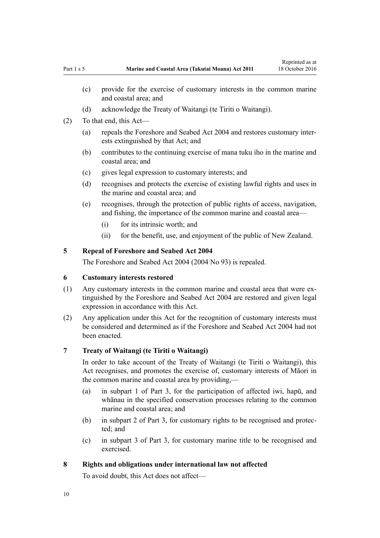- <span id="page-9-0"></span>(c) provide for the exercise of customary interests in the common marine and coastal area; and
- (d) acknowledge the Treaty of Waitangi (te Tiriti o Waitangi).
- (2) To that end, this Act—
	- (a) repeals the [Foreshore and Seabed Act 2004](http://prd-lgnz-nlb.prd.pco.net.nz/pdflink.aspx?id=DLM319838) and restores customary interests extinguished by that Act; and
	- (b) contributes to the continuing exercise of mana tuku iho in the marine and coastal area; and
	- (c) gives legal expression to customary interests; and
	- (d) recognises and protects the exercise of existing lawful rights and uses in the marine and coastal area; and
	- (e) recognises, through the protection of public rights of access, navigation, and fishing, the importance of the common marine and coastal area—
		- (i) for its intrinsic worth; and
		- (ii) for the benefit, use, and enjoyment of the public of New Zealand.

### **5 Repeal of Foreshore and Seabed Act 2004**

The [Foreshore and Seabed Act 2004](http://prd-lgnz-nlb.prd.pco.net.nz/pdflink.aspx?id=DLM319838) (2004 No 93) is repealed.

### **6 Customary interests restored**

- (1) Any customary interests in the common marine and coastal area that were extinguished by the [Foreshore and Seabed Act 2004](http://prd-lgnz-nlb.prd.pco.net.nz/pdflink.aspx?id=DLM319838) are restored and given legal expression in accordance with this Act.
- (2) Any application under this Act for the recognition of customary interests must be considered and determined as if the [Foreshore and Seabed Act 2004](http://prd-lgnz-nlb.prd.pco.net.nz/pdflink.aspx?id=DLM319838) had not been enacted.

#### **7 Treaty of Waitangi (te Tiriti o Waitangi)**

In order to take account of the Treaty of Waitangi (te Tiriti o Waitangi), this Act recognises, and promotes the exercise of, customary interests of Māori in the common marine and coastal area by providing,—

- (a) in [subpart 1 of Part 3,](#page-36-0) for the participation of affected iwi, hapū, and whānau in the specified conservation processes relating to the common marine and coastal area; and
- (b) in [subpart 2 of Part 3](#page-38-0), for customary rights to be recognised and protected; and
- (c) in [subpart 3 of Part 3](#page-43-0), for customary marine title to be recognised and exercised.

#### **8 Rights and obligations under international law not affected**

To avoid doubt, this Act does not affect—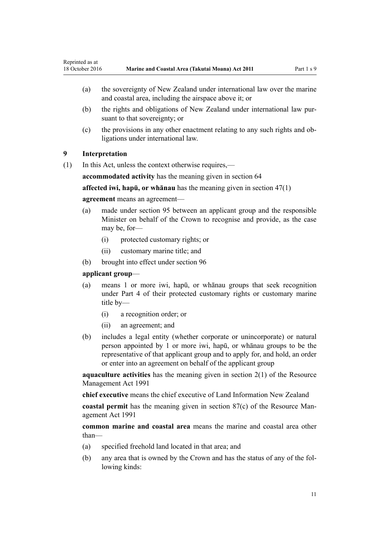- <span id="page-10-0"></span>(a) the sovereignty of New Zealand under international law over the marine and coastal area, including the airspace above it; or
- (b) the rights and obligations of New Zealand under international law pursuant to that sovereignty; or
- (c) the provisions in any other enactment relating to any such rights and obligations under international law.

### **9 Interpretation**

(1) In this Act, unless the context otherwise requires,—

**accommodated activity** has the meaning given in [section 64](#page-48-0)

**affected iwi, hapū, or whānau** has the meaning given in [section 47\(1\)](#page-36-0)

#### **agreement** means an agreement—

- (a) made under [section 95](#page-67-0) between an applicant group and the responsible Minister on behalf of the Crown to recognise and provide, as the case may be, for—
	- (i) protected customary rights; or
	- (ii) customary marine title; and
- (b) brought into effect under [section 96](#page-68-0)

#### **applicant group**—

- (a) means 1 or more iwi, hapū, or whānau groups that seek recognition under [Part 4](#page-67-0) of their protected customary rights or customary marine title by—
	- (i) a recognition order; or
	- (ii) an agreement; and
- (b) includes a legal entity (whether corporate or unincorporate) or natural person appointed by 1 or more iwi, hapū, or whānau groups to be the representative of that applicant group and to apply for, and hold, an order or enter into an agreement on behalf of the applicant group

**aquaculture activities** has the meaning given in [section 2\(1\)](http://prd-lgnz-nlb.prd.pco.net.nz/pdflink.aspx?id=DLM230272) of the Resource Management Act 1991

**chief executive** means the chief executive of Land Information New Zealand

**coastal permit** has the meaning given in [section 87\(c\)](http://prd-lgnz-nlb.prd.pco.net.nz/pdflink.aspx?id=DLM233848) of the Resource Management Act 1991

**common marine and coastal area** means the marine and coastal area other than—

- (a) specified freehold land located in that area; and
- (b) any area that is owned by the Crown and has the status of any of the following kinds: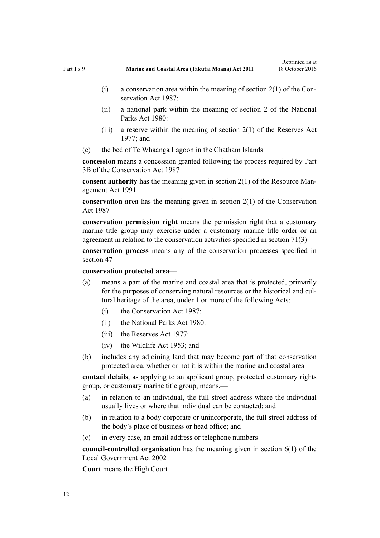- (i) a conservation area within the meaning of section  $2(1)$  of the Conservation Act 1987:
- (ii) a national park within the meaning of [section 2](http://prd-lgnz-nlb.prd.pco.net.nz/pdflink.aspx?id=DLM36968) of the National Parks Act 1980:
- (iii) a reserve within the meaning of section  $2(1)$  of the Reserves Act 1977; and
- (c) the bed of Te Whaanga Lagoon in the Chatham Islands

**concession** means a concession granted following the process required by [Part](http://prd-lgnz-nlb.prd.pco.net.nz/pdflink.aspx?id=DLM104633) [3B](http://prd-lgnz-nlb.prd.pco.net.nz/pdflink.aspx?id=DLM104633) of the Conservation Act 1987

**consent authority** has the meaning given in [section 2\(1\)](http://prd-lgnz-nlb.prd.pco.net.nz/pdflink.aspx?id=DLM230272) of the Resource Management Act 1991

**conservation area** has the meaning given in [section 2\(1\)](http://prd-lgnz-nlb.prd.pco.net.nz/pdflink.aspx?id=DLM103616) of the Conservation Act 1987

**conservation permission right** means the permission right that a customary marine title group may exercise under a customary marine title order or an agreement in relation to the conservation activities specified in [section 71\(3\)](#page-54-0)

**conservation process** means any of the conservation processes specified in [section 47](#page-36-0)

**conservation protected area**—

- (a) means a part of the marine and coastal area that is protected, primarily for the purposes of conserving natural resources or the historical and cultural heritage of the area, under 1 or more of the following Acts:
	- (i) the [Conservation Act 1987:](http://prd-lgnz-nlb.prd.pco.net.nz/pdflink.aspx?id=DLM103609)
	- (ii) the [National Parks Act 1980:](http://prd-lgnz-nlb.prd.pco.net.nz/pdflink.aspx?id=DLM36962)
	- $(iii)$  the [Reserves Act 1977](http://prd-lgnz-nlb.prd.pco.net.nz/pdflink.aspx?id=DLM444304).
	- (iv) the [Wildlife Act 1953](http://prd-lgnz-nlb.prd.pco.net.nz/pdflink.aspx?id=DLM276813); and
- (b) includes any adjoining land that may become part of that conservation protected area, whether or not it is within the marine and coastal area

**contact details**, as applying to an applicant group, protected customary rights group, or customary marine title group, means,—

- (a) in relation to an individual, the full street address where the individual usually lives or where that individual can be contacted; and
- (b) in relation to a body corporate or unincorporate, the full street address of the body's place of business or head office; and
- (c) in every case, an email address or telephone numbers

**council-controlled organisation** has the meaning given in [section 6\(1\)](http://prd-lgnz-nlb.prd.pco.net.nz/pdflink.aspx?id=DLM171482) of the Local Government Act 2002

**Court** means the High Court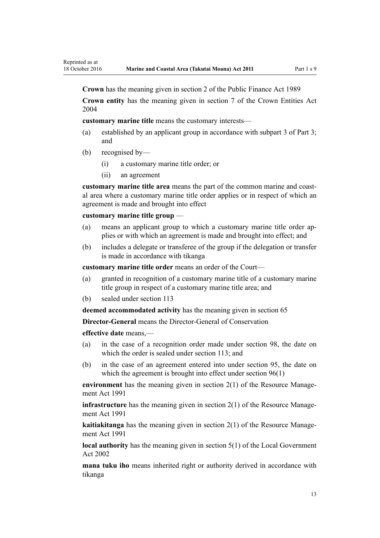**Crown** has the meaning given in [section 2](http://prd-lgnz-nlb.prd.pco.net.nz/pdflink.aspx?id=DLM160819) of the Public Finance Act 1989

**Crown entity** has the meaning given in [section 7](http://prd-lgnz-nlb.prd.pco.net.nz/pdflink.aspx?id=DLM329641) of the Crown Entities Act 2004

**customary marine title** means the customary interests—

- (a) established by an applicant group in accordance with [subpart 3 of Part 3;](#page-43-0) and
- (b) recognised by—

Reprinted as at

- (i) a customary marine title order; or
- (ii) an agreement

**customary marine title area** means the part of the common marine and coastal area where a customary marine title order applies or in respect of which an agreement is made and brought into effect

#### **customary marine title group** —

- (a) means an applicant group to which a customary marine title order applies or with which an agreement is made and brought into effect; and
- (b) includes a delegate or transferee of the group if the delegation or transfer is made in accordance with tikanga

**customary marine title order** means an order of the Court—

- (a) granted in recognition of a customary marine title of a customary marine title group in respect of a customary marine title area; and
- (b) sealed under [section 113](#page-75-0)

**deemed accommodated activity** has the meaning given in [section 65](#page-50-0)

**Director-General** means the Director-General of Conservation

**effective date** means,—

- (a) in the case of a recognition order made under [section 98,](#page-69-0) the date on which the order is sealed under [section 113;](#page-75-0) and
- (b) in the case of an agreement entered into under [section 95,](#page-67-0) the date on which the agreement is brought into effect under [section 96\(1\)](#page-68-0)

**environment** has the meaning given in [section 2\(1\)](http://prd-lgnz-nlb.prd.pco.net.nz/pdflink.aspx?id=DLM230272) of the Resource Management Act 1991

**infrastructure** has the meaning given in [section 2\(1\)](http://prd-lgnz-nlb.prd.pco.net.nz/pdflink.aspx?id=DLM230272) of the Resource Management Act 1991

**kaitiakitanga** has the meaning given in [section 2\(1\)](http://prd-lgnz-nlb.prd.pco.net.nz/pdflink.aspx?id=DLM230272) of the Resource Management Act 1991

**local authority** has the meaning given in [section 5\(1\)](http://prd-lgnz-nlb.prd.pco.net.nz/pdflink.aspx?id=DLM170881) of the Local Government Act 2002

**mana tuku iho** means inherited right or authority derived in accordance with tikanga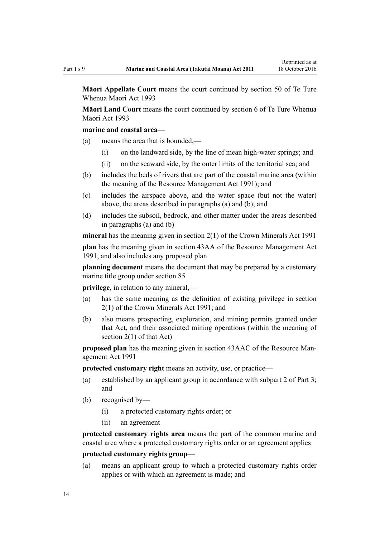**Māori Appellate Court** means the court continued by [section 50](http://prd-lgnz-nlb.prd.pco.net.nz/pdflink.aspx?id=DLM290929) of Te Ture Whenua Maori Act 1993

**Māori Land Court** means the court continued by [section 6](http://prd-lgnz-nlb.prd.pco.net.nz/pdflink.aspx?id=DLM290517) of Te Ture Whenua Maori Act 1993

#### **marine and coastal area**—

- (a) means the area that is bounded,—
	- (i) on the landward side, by the line of mean high-water springs; and
	- (ii) on the seaward side, by the outer limits of the territorial sea; and
- (b) includes the beds of rivers that are part of the coastal marine area (within the meaning of the [Resource Management Act 1991](http://prd-lgnz-nlb.prd.pco.net.nz/pdflink.aspx?id=DLM230264)); and
- (c) includes the airspace above, and the water space (but not the water) above, the areas described in paragraphs (a) and (b); and
- (d) includes the subsoil, bedrock, and other matter under the areas described in paragraphs (a) and (b)

**mineral** has the meaning given in [section 2\(1\)](http://prd-lgnz-nlb.prd.pco.net.nz/pdflink.aspx?id=DLM242543) of the Crown Minerals Act 1991

**plan** has the meaning given in [section 43AA](http://prd-lgnz-nlb.prd.pco.net.nz/pdflink.aspx?id=DLM2412743) of the Resource Management Act 1991, and also includes any proposed plan

**planning document** means the document that may be prepared by a customary marine title group under [section 85](#page-62-0)

**privilege**, in relation to any mineral,—

- (a) has the same meaning as the definition of existing privilege in [section](http://prd-lgnz-nlb.prd.pco.net.nz/pdflink.aspx?id=DLM242543) [2\(1\)](http://prd-lgnz-nlb.prd.pco.net.nz/pdflink.aspx?id=DLM242543) of the Crown Minerals Act 1991; and
- (b) also means prospecting, exploration, and mining permits granted under that Act, and their associated mining operations (within the meaning of [section 2\(1\)](http://prd-lgnz-nlb.prd.pco.net.nz/pdflink.aspx?id=DLM242543) of that Act)

**proposed plan** has the meaning given in [section 43AAC](http://prd-lgnz-nlb.prd.pco.net.nz/pdflink.aspx?id=DLM2412769) of the Resource Management Act 1991

**protected customary right** means an activity, use, or practice—

- (a) established by an applicant group in accordance with [subpart 2 of Part 3;](#page-38-0) and
- (b) recognised by—
	- (i) a protected customary rights order; or
	- (ii) an agreement

**protected customary rights area** means the part of the common marine and coastal area where a protected customary rights order or an agreement applies

### **protected customary rights group**—

(a) means an applicant group to which a protected customary rights order applies or with which an agreement is made; and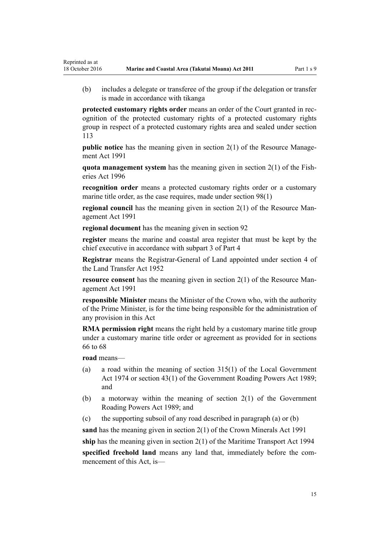(b) includes a delegate or transferee of the group if the delegation or transfer is made in accordance with tikanga

**protected customary rights order** means an order of the Court granted in recognition of the protected customary rights of a protected customary rights group in respect of a protected customary rights area and sealed under [section](#page-75-0) [113](#page-75-0)

**public notice** has the meaning given in [section 2\(1\)](http://prd-lgnz-nlb.prd.pco.net.nz/pdflink.aspx?id=DLM230272) of the Resource Management Act 1991

**quota management system** has the meaning given in [section 2\(1\)](http://prd-lgnz-nlb.prd.pco.net.nz/pdflink.aspx?id=DLM394199) of the Fisheries Act 1996

**recognition order** means a protected customary rights order or a customary marine title order, as the case requires, made under [section 98\(1\)](#page-69-0)

**regional council** has the meaning given in [section 2\(1\)](http://prd-lgnz-nlb.prd.pco.net.nz/pdflink.aspx?id=DLM230272) of the Resource Management Act 1991

**regional document** has the meaning given in [section 92](#page-65-0)

**register** means the marine and coastal area register that must be kept by the chief executive in accordance with [subpart 3 of Part 4](#page-75-0)

**Registrar** means the Registrar-General of Land appointed under [section 4](http://prd-lgnz-nlb.prd.pco.net.nz/pdflink.aspx?id=DLM270019) of the Land Transfer Act 1952

**resource consent** has the meaning given in [section 2\(1\)](http://prd-lgnz-nlb.prd.pco.net.nz/pdflink.aspx?id=DLM230272) of the Resource Management Act 1991

**responsible Minister** means the Minister of the Crown who, with the authority of the Prime Minister, is for the time being responsible for the administration of any provision in this Act

**RMA permission right** means the right held by a customary marine title group under a customary marine title order or agreement as provided for in [sections](#page-51-0) [66 to 68](#page-51-0)

**road** means—

Reprinted as at

- (a) a road within the meaning of [section 315\(1\)](http://prd-lgnz-nlb.prd.pco.net.nz/pdflink.aspx?id=DLM420326) of the Local Government Act 1974 or [section 43\(1\)](http://prd-lgnz-nlb.prd.pco.net.nz/pdflink.aspx?id=DLM175232) of the Government Roading Powers Act 1989; and
- (b) a motorway within the meaning of [section 2\(1\)](http://prd-lgnz-nlb.prd.pco.net.nz/pdflink.aspx?id=DLM173374) of the Government Roading Powers Act 1989; and
- (c) the supporting subsoil of any road described in paragraph (a) or (b)

**sand** has the meaning given in [section 2\(1\)](http://prd-lgnz-nlb.prd.pco.net.nz/pdflink.aspx?id=DLM242543) of the Crown Minerals Act 1991

**ship** has the meaning given in [section 2\(1\)](http://prd-lgnz-nlb.prd.pco.net.nz/pdflink.aspx?id=DLM334667) of the Maritime Transport Act 1994

**specified freehold land** means any land that, immediately before the commencement of this Act, is—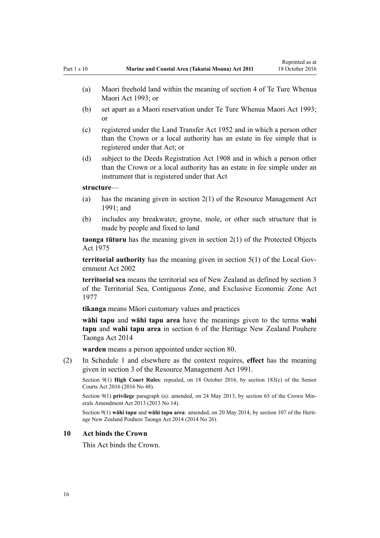- <span id="page-15-0"></span>(b) set apart as a Maori reservation under [Te Ture Whenua Maori Act 1993;](http://prd-lgnz-nlb.prd.pco.net.nz/pdflink.aspx?id=DLM289881) or
- (c) registered under the [Land Transfer Act 1952](http://prd-lgnz-nlb.prd.pco.net.nz/pdflink.aspx?id=DLM269031) and in which a person other than the Crown or a local authority has an estate in fee simple that is registered under that Act; or
- (d) subject to the [Deeds Registration Act 1908](http://prd-lgnz-nlb.prd.pco.net.nz/pdflink.aspx?id=DLM141134) and in which a person other than the Crown or a local authority has an estate in fee simple under an instrument that is registered under that Act

#### **structure**—

- (a) has the meaning given in [section 2\(1\)](http://prd-lgnz-nlb.prd.pco.net.nz/pdflink.aspx?id=DLM230272) of the Resource Management Act 1991; and
- (b) includes any breakwater, groyne, mole, or other such structure that is made by people and fixed to land

**taonga tūturu** has the meaning given in [section 2\(1\)](http://prd-lgnz-nlb.prd.pco.net.nz/pdflink.aspx?id=DLM432125) of the Protected Objects Act 1975

**territorial authority** has the meaning given in [section 5\(1\)](http://prd-lgnz-nlb.prd.pco.net.nz/pdflink.aspx?id=DLM170881) of the Local Government Act 2002

**territorial sea** means the territorial sea of New Zealand as defined by [section 3](http://prd-lgnz-nlb.prd.pco.net.nz/pdflink.aspx?id=DLM442665) of the Territorial Sea, Contiguous Zone, and Exclusive Economic Zone Act 1977

**tikanga** means Māori customary values and practices

**wāhi tapu** and **wāhi tapu area** have the meanings given to the terms **wahi tapu** and **wahi tapu area** in [section 6](http://prd-lgnz-nlb.prd.pco.net.nz/pdflink.aspx?id=DLM4005423) of the Heritage New Zealand Pouhere Taonga Act 2014

**warden** means a person appointed under [section 80](#page-59-0).

(2) In [Schedule 1](#page-83-0) and elsewhere as the context requires, **effect** has the meaning given in [section 3](http://prd-lgnz-nlb.prd.pco.net.nz/pdflink.aspx?id=DLM231795) of the Resource Management Act 1991.

Section 9(1) **High Court Rules**: repealed, on 18 October 2016, by [section 183\(c\)](http://prd-lgnz-nlb.prd.pco.net.nz/pdflink.aspx?id=DLM5759564) of the Senior Courts Act 2016 (2016 No 48).

Section 9(1) **privilege** paragraph (a): amended, on 24 May 2013, by [section 65](http://prd-lgnz-nlb.prd.pco.net.nz/pdflink.aspx?id=DLM5081570) of the Crown Minerals Amendment Act 2013 (2013 No 14).

Section 9(1) **wāhi tapu** and **wāhi tapu area**: amended, on 20 May 2014, by [section 107](http://prd-lgnz-nlb.prd.pco.net.nz/pdflink.aspx?id=DLM4005646) of the Heritage New Zealand Pouhere Taonga Act 2014 (2014 No 26).

#### **10 Act binds the Crown**

This Act binds the Crown.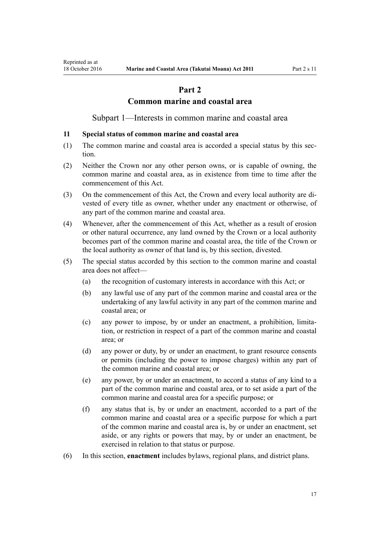# **Part 2**

### **Common marine and coastal area**

Subpart 1—Interests in common marine and coastal area

#### <span id="page-16-0"></span>**11 Special status of common marine and coastal area**

- (1) The common marine and coastal area is accorded a special status by this section.
- (2) Neither the Crown nor any other person owns, or is capable of owning, the common marine and coastal area, as in existence from time to time after the commencement of this Act.
- (3) On the commencement of this Act, the Crown and every local authority are divested of every title as owner, whether under any enactment or otherwise, of any part of the common marine and coastal area.
- (4) Whenever, after the commencement of this Act, whether as a result of erosion or other natural occurrence, any land owned by the Crown or a local authority becomes part of the common marine and coastal area, the title of the Crown or the local authority as owner of that land is, by this section, divested.
- (5) The special status accorded by this section to the common marine and coastal area does not affect—
	- (a) the recognition of customary interests in accordance with this Act; or
	- (b) any lawful use of any part of the common marine and coastal area or the undertaking of any lawful activity in any part of the common marine and coastal area; or
	- (c) any power to impose, by or under an enactment, a prohibition, limitation, or restriction in respect of a part of the common marine and coastal area; or
	- (d) any power or duty, by or under an enactment, to grant resource consents or permits (including the power to impose charges) within any part of the common marine and coastal area; or
	- (e) any power, by or under an enactment, to accord a status of any kind to a part of the common marine and coastal area, or to set aside a part of the common marine and coastal area for a specific purpose; or
	- (f) any status that is, by or under an enactment, accorded to a part of the common marine and coastal area or a specific purpose for which a part of the common marine and coastal area is, by or under an enactment, set aside, or any rights or powers that may, by or under an enactment, be exercised in relation to that status or purpose.
- (6) In this section, **enactment** includes bylaws, regional plans, and district plans.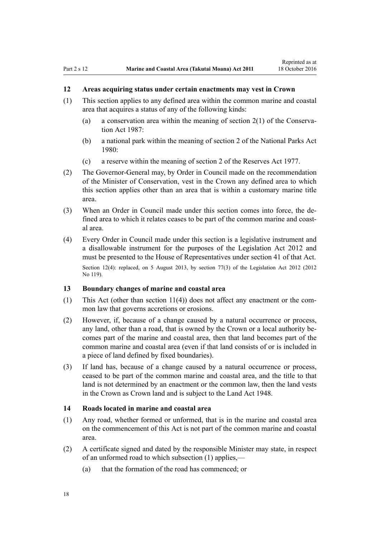### <span id="page-17-0"></span>**12 Areas acquiring status under certain enactments may vest in Crown**

- (1) This section applies to any defined area within the common marine and coastal area that acquires a status of any of the following kinds:
	- (a) a conservation area within the meaning of [section 2\(1\)](http://prd-lgnz-nlb.prd.pco.net.nz/pdflink.aspx?id=DLM103616) of the Conservation Act 1987:
	- (b) a national park within the meaning of [section 2](http://prd-lgnz-nlb.prd.pco.net.nz/pdflink.aspx?id=DLM36968) of the National Parks Act 1980:
	- (c) a reserve within the meaning of [section 2](http://prd-lgnz-nlb.prd.pco.net.nz/pdflink.aspx?id=DLM444310) of the Reserves Act 1977.
- (2) The Governor-General may, by Order in Council made on the recommendation of the Minister of Conservation, vest in the Crown any defined area to which this section applies other than an area that is within a customary marine title area.
- (3) When an Order in Council made under this section comes into force, the defined area to which it relates ceases to be part of the common marine and coastal area.
- (4) Every Order in Council made under this section is a legislative instrument and a disallowable instrument for the purposes of the [Legislation Act 2012](http://prd-lgnz-nlb.prd.pco.net.nz/pdflink.aspx?id=DLM2997643) and must be presented to the House of Representatives under [section 41](http://prd-lgnz-nlb.prd.pco.net.nz/pdflink.aspx?id=DLM2998573) of that Act. Section 12(4): replaced, on 5 August 2013, by [section 77\(3\)](http://prd-lgnz-nlb.prd.pco.net.nz/pdflink.aspx?id=DLM2998633) of the Legislation Act 2012 (2012) No 119).

#### **13 Boundary changes of marine and coastal area**

- (1) This Act (other than [section 11\(4\)](#page-16-0)) does not affect any enactment or the common law that governs accretions or erosions.
- (2) However, if, because of a change caused by a natural occurrence or process, any land, other than a road, that is owned by the Crown or a local authority becomes part of the marine and coastal area, then that land becomes part of the common marine and coastal area (even if that land consists of or is included in a piece of land defined by fixed boundaries).
- (3) If land has, because of a change caused by a natural occurrence or process, ceased to be part of the common marine and coastal area, and the title to that land is not determined by an enactment or the common law, then the land vests in the Crown as Crown land and is subject to the [Land Act 1948.](http://prd-lgnz-nlb.prd.pco.net.nz/pdflink.aspx?id=DLM250585)

#### **14 Roads located in marine and coastal area**

- (1) Any road, whether formed or unformed, that is in the marine and coastal area on the commencement of this Act is not part of the common marine and coastal area.
- (2) A certificate signed and dated by the responsible Minister may state, in respect of an unformed road to which subsection (1) applies,—
	- (a) that the formation of the road has commenced; or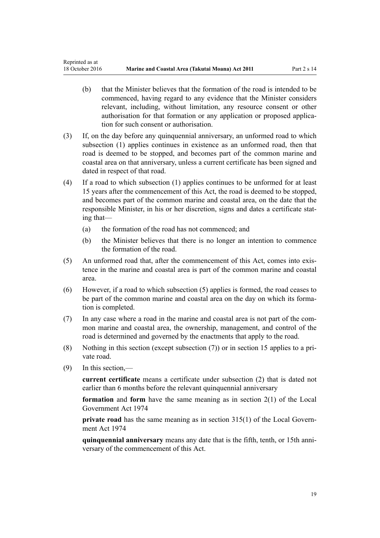- (b) that the Minister believes that the formation of the road is intended to be commenced, having regard to any evidence that the Minister considers relevant, including, without limitation, any resource consent or other authorisation for that formation or any application or proposed application for such consent or authorisation.
- (3) If, on the day before any quinquennial anniversary, an unformed road to which subsection (1) applies continues in existence as an unformed road, then that road is deemed to be stopped, and becomes part of the common marine and coastal area on that anniversary, unless a current certificate has been signed and dated in respect of that road.
- (4) If a road to which subsection (1) applies continues to be unformed for at least 15 years after the commencement of this Act, the road is deemed to be stopped, and becomes part of the common marine and coastal area, on the date that the responsible Minister, in his or her discretion, signs and dates a certificate stating that—
	- (a) the formation of the road has not commenced; and
	- (b) the Minister believes that there is no longer an intention to commence the formation of the road.
- (5) An unformed road that, after the commencement of this Act, comes into existence in the marine and coastal area is part of the common marine and coastal area.
- (6) However, if a road to which subsection (5) applies is formed, the road ceases to be part of the common marine and coastal area on the day on which its formation is completed.
- (7) In any case where a road in the marine and coastal area is not part of the common marine and coastal area, the ownership, management, and control of the road is determined and governed by the enactments that apply to the road.
- (8) Nothing in this section (except subsection (7)) or in [section 15](#page-19-0) applies to a private road.
- (9) In this section,—

**current certificate** means a certificate under subsection (2) that is dated not earlier than 6 months before the relevant quinquennial anniversary

**formation** and **form** have the same meaning as in [section 2\(1\)](http://prd-lgnz-nlb.prd.pco.net.nz/pdflink.aspx?id=DLM415539) of the Local Government Act 1974

**private road** has the same meaning as in [section 315\(1\)](http://prd-lgnz-nlb.prd.pco.net.nz/pdflink.aspx?id=DLM420326) of the Local Government Act 1974

**quinquennial anniversary** means any date that is the fifth, tenth, or 15th anniversary of the commencement of this Act.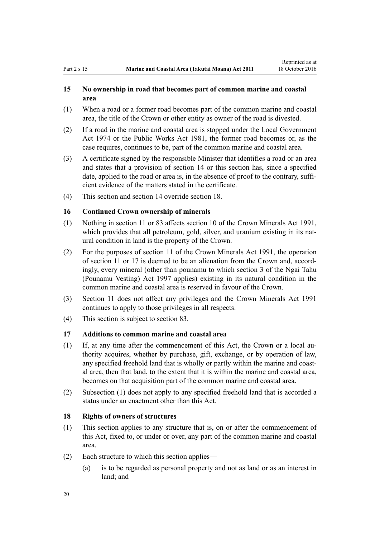### <span id="page-19-0"></span>**15 No ownership in road that becomes part of common marine and coastal area**

- (1) When a road or a former road becomes part of the common marine and coastal area, the title of the Crown or other entity as owner of the road is divested.
- (2) If a road in the marine and coastal area is stopped under the [Local Government](http://prd-lgnz-nlb.prd.pco.net.nz/pdflink.aspx?id=DLM415531) [Act 1974](http://prd-lgnz-nlb.prd.pco.net.nz/pdflink.aspx?id=DLM415531) or the [Public Works Act 1981](http://prd-lgnz-nlb.prd.pco.net.nz/pdflink.aspx?id=DLM45426), the former road becomes or, as the case requires, continues to be, part of the common marine and coastal area.
- (3) A certificate signed by the responsible Minister that identifies a road or an area and states that a provision of [section 14](#page-17-0) or this section has, since a specified date, applied to the road or area is, in the absence of proof to the contrary, sufficient evidence of the matters stated in the certificate.
- (4) This section and [section 14](#page-17-0) override section 18.

### **16 Continued Crown ownership of minerals**

- (1) Nothing in [section 11](#page-16-0) or [83](#page-61-0) affects [section 10](http://prd-lgnz-nlb.prd.pco.net.nz/pdflink.aspx?id=DLM246310) of the Crown Minerals Act 1991, which provides that all petroleum, gold, silver, and uranium existing in its natural condition in land is the property of the Crown.
- (2) For the purposes of [section 11](http://prd-lgnz-nlb.prd.pco.net.nz/pdflink.aspx?id=DLM246311) of the Crown Minerals Act 1991, the operation of [section 11](#page-16-0) or 17 is deemed to be an alienation from the Crown and, accordingly, every mineral (other than pounamu to which [section 3](http://prd-lgnz-nlb.prd.pco.net.nz/pdflink.aspx?id=DLM413605) of the Ngai Tahu (Pounamu Vesting) Act 1997 applies) existing in its natural condition in the common marine and coastal area is reserved in favour of the Crown.
- (3) [Section 11](#page-16-0) does not affect any privileges and the [Crown Minerals Act 1991](http://prd-lgnz-nlb.prd.pco.net.nz/pdflink.aspx?id=DLM242535) continues to apply to those privileges in all respects.
- (4) This section is subject to [section 83.](#page-61-0)

#### **17 Additions to common marine and coastal area**

- (1) If, at any time after the commencement of this Act, the Crown or a local authority acquires, whether by purchase, gift, exchange, or by operation of law, any specified freehold land that is wholly or partly within the marine and coastal area, then that land, to the extent that it is within the marine and coastal area, becomes on that acquisition part of the common marine and coastal area.
- (2) Subsection (1) does not apply to any specified freehold land that is accorded a status under an enactment other than this Act.

### **18 Rights of owners of structures**

- (1) This section applies to any structure that is, on or after the commencement of this Act, fixed to, or under or over, any part of the common marine and coastal area.
- (2) Each structure to which this section applies—
	- (a) is to be regarded as personal property and not as land or as an interest in land; and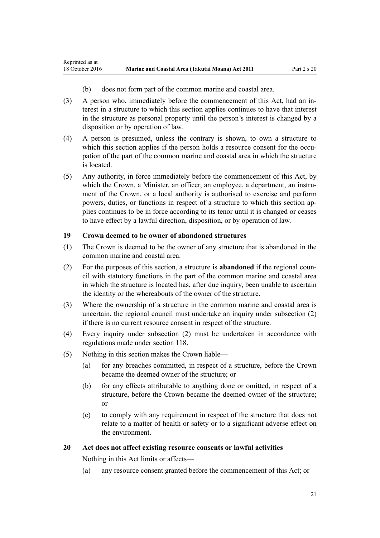- (b) does not form part of the common marine and coastal area.
- <span id="page-20-0"></span>(3) A person who, immediately before the commencement of this Act, had an interest in a structure to which this section applies continues to have that interest in the structure as personal property until the person's interest is changed by a disposition or by operation of law.
- (4) A person is presumed, unless the contrary is shown, to own a structure to which this section applies if the person holds a resource consent for the occupation of the part of the common marine and coastal area in which the structure is located.
- (5) Any authority, in force immediately before the commencement of this Act, by which the Crown, a Minister, an officer, an employee, a department, an instrument of the Crown, or a local authority is authorised to exercise and perform powers, duties, or functions in respect of a structure to which this section applies continues to be in force according to its tenor until it is changed or ceases to have effect by a lawful direction, disposition, or by operation of law.

### **19 Crown deemed to be owner of abandoned structures**

- (1) The Crown is deemed to be the owner of any structure that is abandoned in the common marine and coastal area.
- (2) For the purposes of this section, a structure is **abandoned** if the regional council with statutory functions in the part of the common marine and coastal area in which the structure is located has, after due inquiry, been unable to ascertain the identity or the whereabouts of the owner of the structure.
- (3) Where the ownership of a structure in the common marine and coastal area is uncertain, the regional council must undertake an inquiry under subsection (2) if there is no current resource consent in respect of the structure.
- (4) Every inquiry under subsection (2) must be undertaken in accordance with regulations made under [section 118](#page-77-0).
- (5) Nothing in this section makes the Crown liable—
	- (a) for any breaches committed, in respect of a structure, before the Crown became the deemed owner of the structure; or
	- (b) for any effects attributable to anything done or omitted, in respect of a structure, before the Crown became the deemed owner of the structure; or
	- (c) to comply with any requirement in respect of the structure that does not relate to a matter of health or safety or to a significant adverse effect on the environment.

#### **20 Act does not affect existing resource consents or lawful activities**

Nothing in this Act limits or affects—

(a) any resource consent granted before the commencement of this Act; or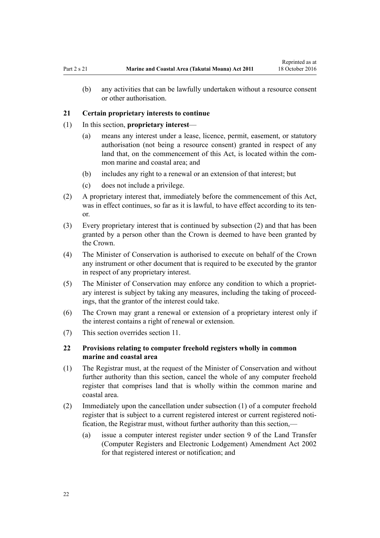<span id="page-21-0"></span>(b) any activities that can be lawfully undertaken without a resource consent or other authorisation.

#### **21 Certain proprietary interests to continue**

- (1) In this section, **proprietary interest**
	- (a) means any interest under a lease, licence, permit, easement, or statutory authorisation (not being a resource consent) granted in respect of any land that, on the commencement of this Act, is located within the common marine and coastal area; and
	- (b) includes any right to a renewal or an extension of that interest; but
	- (c) does not include a privilege.
- (2) A proprietary interest that, immediately before the commencement of this Act, was in effect continues, so far as it is lawful, to have effect according to its tenor.
- (3) Every proprietary interest that is continued by subsection (2) and that has been granted by a person other than the Crown is deemed to have been granted by the Crown.
- (4) The Minister of Conservation is authorised to execute on behalf of the Crown any instrument or other document that is required to be executed by the grantor in respect of any proprietary interest.
- (5) The Minister of Conservation may enforce any condition to which a proprietary interest is subject by taking any measures, including the taking of proceedings, that the grantor of the interest could take.
- (6) The Crown may grant a renewal or extension of a proprietary interest only if the interest contains a right of renewal or extension.
- (7) This section overrides [section 11](#page-16-0).

### **22 Provisions relating to computer freehold registers wholly in common marine and coastal area**

- (1) The Registrar must, at the request of the Minister of Conservation and without further authority than this section, cancel the whole of any computer freehold register that comprises land that is wholly within the common marine and coastal area.
- (2) Immediately upon the cancellation under subsection (1) of a computer freehold register that is subject to a current registered interest or current registered notification, the Registrar must, without further authority than this section,—
	- (a) issue a computer interest register under [section 9](http://prd-lgnz-nlb.prd.pco.net.nz/pdflink.aspx?id=DLM140179) of the Land Transfer (Computer Registers and Electronic Lodgement) Amendment Act 2002 for that registered interest or notification; and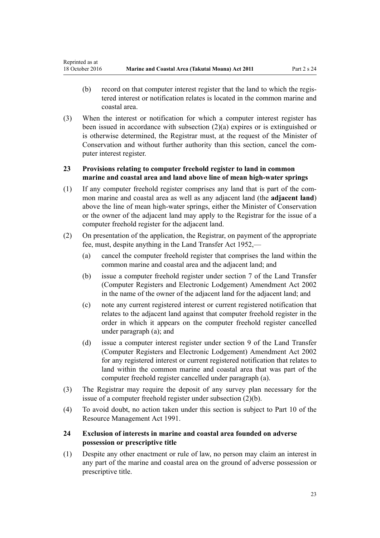- <span id="page-22-0"></span>(b) record on that computer interest register that the land to which the registered interest or notification relates is located in the common marine and coastal area.
- (3) When the interest or notification for which a computer interest register has been issued in accordance with subsection (2)(a) expires or is extinguished or is otherwise determined, the Registrar must, at the request of the Minister of Conservation and without further authority than this section, cancel the computer interest register.

### **23 Provisions relating to computer freehold register to land in common marine and coastal area and land above line of mean high-water springs**

- (1) If any computer freehold register comprises any land that is part of the common marine and coastal area as well as any adjacent land (the **adjacent land**) above the line of mean high-water springs, either the Minister of Conservation or the owner of the adjacent land may apply to the Registrar for the issue of a computer freehold register for the adjacent land.
- (2) On presentation of the application, the Registrar, on payment of the appropriate fee, must, despite anything in the [Land Transfer Act 1952,](http://prd-lgnz-nlb.prd.pco.net.nz/pdflink.aspx?id=DLM269031)—
	- (a) cancel the computer freehold register that comprises the land within the common marine and coastal area and the adjacent land; and
	- (b) issue a computer freehold register under [section 7](http://prd-lgnz-nlb.prd.pco.net.nz/pdflink.aspx?id=DLM140177) of the Land Transfer (Computer Registers and Electronic Lodgement) Amendment Act 2002 in the name of the owner of the adjacent land for the adjacent land; and
	- (c) note any current registered interest or current registered notification that relates to the adjacent land against that computer freehold register in the order in which it appears on the computer freehold register cancelled under paragraph (a); and
	- (d) issue a computer interest register under [section 9](http://prd-lgnz-nlb.prd.pco.net.nz/pdflink.aspx?id=DLM140179) of the Land Transfer (Computer Registers and Electronic Lodgement) Amendment Act 2002 for any registered interest or current registered notification that relates to land within the common marine and coastal area that was part of the computer freehold register cancelled under paragraph (a).
- (3) The Registrar may require the deposit of any survey plan necessary for the issue of a computer freehold register under subsection (2)(b).
- (4) To avoid doubt, no action taken under this section is subject to [Part 10](http://prd-lgnz-nlb.prd.pco.net.nz/pdflink.aspx?id=DLM236786) of the Resource Management Act 1991.

### **24 Exclusion of interests in marine and coastal area founded on adverse possession or prescriptive title**

(1) Despite any other enactment or rule of law, no person may claim an interest in any part of the marine and coastal area on the ground of adverse possession or prescriptive title.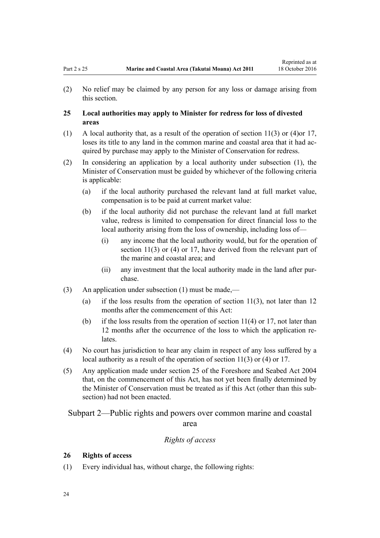<span id="page-23-0"></span>(2) No relief may be claimed by any person for any loss or damage arising from this section.

### **25 Local authorities may apply to Minister for redress for loss of divested areas**

- (1) A local authority that, as a result of the operation of [section 11\(3\) or \(4\)o](#page-16-0)r [17](#page-19-0), loses its title to any land in the common marine and coastal area that it had acquired by purchase may apply to the Minister of Conservation for redress.
- (2) In considering an application by a local authority under subsection (1), the Minister of Conservation must be guided by whichever of the following criteria is applicable:
	- (a) if the local authority purchased the relevant land at full market value, compensation is to be paid at current market value:
	- (b) if the local authority did not purchase the relevant land at full market value, redress is limited to compensation for direct financial loss to the local authority arising from the loss of ownership, including loss of—
		- (i) any income that the local authority would, but for the operation of [section 11\(3\) or \(4\)](#page-16-0) or [17](#page-19-0), have derived from the relevant part of the marine and coastal area; and
		- (ii) any investment that the local authority made in the land after purchase.
- (3) An application under subsection (1) must be made,—
	- (a) if the loss results from the operation of section  $11(3)$ , not later than 12 months after the commencement of this Act:
	- (b) if the loss results from the operation of section  $11(4)$  or [17](#page-19-0), not later than 12 months after the occurrence of the loss to which the application relates.
- (4) No court has jurisdiction to hear any claim in respect of any loss suffered by a local authority as a result of the operation of [section 11\(3\) or \(4\)](#page-16-0) or [17](#page-19-0).
- (5) Any application made under [section 25](http://prd-lgnz-nlb.prd.pco.net.nz/pdflink.aspx?id=DLM320246) of the Foreshore and Seabed Act 2004 that, on the commencement of this Act, has not yet been finally determined by the Minister of Conservation must be treated as if this Act (other than this subsection) had not been enacted.

Subpart 2—Public rights and powers over common marine and coastal area

### *Rights of access*

#### **26 Rights of access**

(1) Every individual has, without charge, the following rights: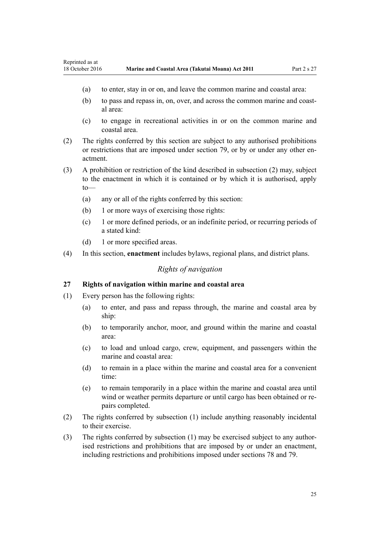- <span id="page-24-0"></span>(a) to enter, stay in or on, and leave the common marine and coastal area:
- (b) to pass and repass in, on, over, and across the common marine and coastal area:
- (c) to engage in recreational activities in or on the common marine and coastal area.
- (2) The rights conferred by this section are subject to any authorised prohibitions or restrictions that are imposed under [section 79,](#page-58-0) or by or under any other enactment.
- (3) A prohibition or restriction of the kind described in subsection (2) may, subject to the enactment in which it is contained or by which it is authorised, apply to—
	- (a) any or all of the rights conferred by this section:
	- (b) 1 or more ways of exercising those rights:
	- (c) 1 or more defined periods, or an indefinite period, or recurring periods of a stated kind:
	- (d) 1 or more specified areas.
- (4) In this section, **enactment** includes bylaws, regional plans, and district plans.

### *Rights of navigation*

#### **27 Rights of navigation within marine and coastal area**

- (1) Every person has the following rights:
	- (a) to enter, and pass and repass through, the marine and coastal area by ship:
	- (b) to temporarily anchor, moor, and ground within the marine and coastal area:
	- (c) to load and unload cargo, crew, equipment, and passengers within the marine and coastal area:
	- (d) to remain in a place within the marine and coastal area for a convenient time:
	- (e) to remain temporarily in a place within the marine and coastal area until wind or weather permits departure or until cargo has been obtained or repairs completed.
- (2) The rights conferred by subsection (1) include anything reasonably incidental to their exercise.
- (3) The rights conferred by subsection (1) may be exercised subject to any authorised restrictions and prohibitions that are imposed by or under an enactment, including restrictions and prohibitions imposed under [sections 78](#page-57-0) and [79.](#page-58-0)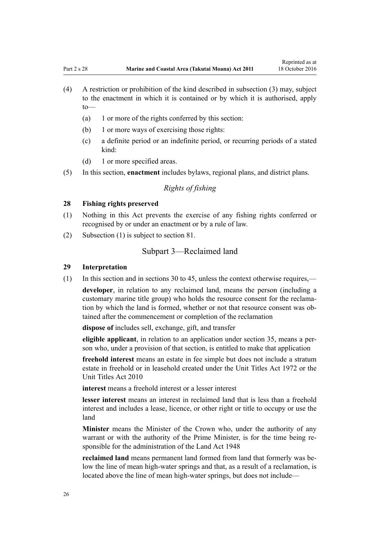- <span id="page-25-0"></span>(4) A restriction or prohibition of the kind described in subsection (3) may, subject to the enactment in which it is contained or by which it is authorised, apply to—
	- (a) 1 or more of the rights conferred by this section:
	- (b) 1 or more ways of exercising those rights:
	- (c) a definite period or an indefinite period, or recurring periods of a stated kind:
	- (d) 1 or more specified areas.
- (5) In this section, **enactment** includes bylaws, regional plans, and district plans.

# *Rights of fishing*

#### **28 Fishing rights preserved**

- (1) Nothing in this Act prevents the exercise of any fishing rights conferred or recognised by or under an enactment or by a rule of law.
- (2) Subsection (1) is subject to [section 81.](#page-60-0)

### Subpart 3—Reclaimed land

#### **29 Interpretation**

(1) In this section and in [sections 30 to 45,](#page-26-0) unless the context otherwise requires,—

**developer**, in relation to any reclaimed land, means the person (including a customary marine title group) who holds the resource consent for the reclamation by which the land is formed, whether or not that resource consent was obtained after the commencement or completion of the reclamation

**dispose of** includes sell, exchange, gift, and transfer

**eligible applicant**, in relation to an application under [section 35,](#page-27-0) means a person who, under a provision of that section, is entitled to make that application

**freehold interest** means an estate in fee simple but does not include a stratum estate in freehold or in leasehold created under the [Unit Titles Act 1972](http://prd-lgnz-nlb.prd.pco.net.nz/pdflink.aspx?id=DLM405590) or the [Unit Titles Act 2010](http://prd-lgnz-nlb.prd.pco.net.nz/pdflink.aspx?id=DLM1160400)

**interest** means a freehold interest or a lesser interest

**lesser interest** means an interest in reclaimed land that is less than a freehold interest and includes a lease, licence, or other right or title to occupy or use the land

**Minister** means the Minister of the Crown who, under the authority of any warrant or with the authority of the Prime Minister, is for the time being responsible for the administration of the [Land Act 1948](http://prd-lgnz-nlb.prd.pco.net.nz/pdflink.aspx?id=DLM250585)

**reclaimed land** means permanent land formed from land that formerly was below the line of mean high-water springs and that, as a result of a reclamation, is located above the line of mean high-water springs, but does not include—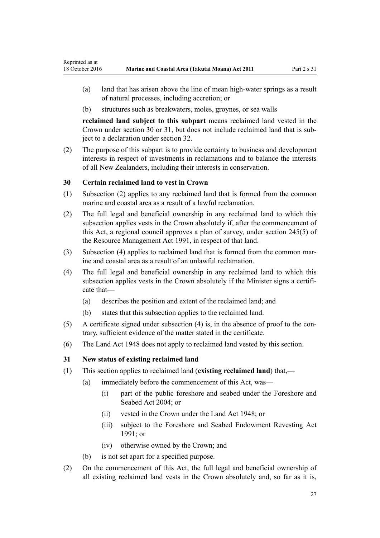- <span id="page-26-0"></span>(a) land that has arisen above the line of mean high-water springs as a result of natural processes, including accretion; or
- (b) structures such as breakwaters, moles, groynes, or sea walls

**reclaimed land subject to this subpart** means reclaimed land vested in the Crown under section 30 or 31, but does not include reclaimed land that is subject to a declaration under [section 32](#page-27-0).

(2) The purpose of this subpart is to provide certainty to business and development interests in respect of investments in reclamations and to balance the interests of all New Zealanders, including their interests in conservation.

### **30 Certain reclaimed land to vest in Crown**

- (1) Subsection (2) applies to any reclaimed land that is formed from the common marine and coastal area as a result of a lawful reclamation.
- (2) The full legal and beneficial ownership in any reclaimed land to which this subsection applies vests in the Crown absolutely if, after the commencement of this Act, a regional council approves a plan of survey, under [section 245\(5\)](http://prd-lgnz-nlb.prd.pco.net.nz/pdflink.aspx?id=DLM237630) of the Resource Management Act 1991, in respect of that land.
- (3) Subsection (4) applies to reclaimed land that is formed from the common marine and coastal area as a result of an unlawful reclamation.
- (4) The full legal and beneficial ownership in any reclaimed land to which this subsection applies vests in the Crown absolutely if the Minister signs a certificate that—
	- (a) describes the position and extent of the reclaimed land; and
	- (b) states that this subsection applies to the reclaimed land.
- (5) A certificate signed under subsection (4) is, in the absence of proof to the contrary, sufficient evidence of the matter stated in the certificate.
- (6) The [Land Act 1948](http://prd-lgnz-nlb.prd.pco.net.nz/pdflink.aspx?id=DLM250585) does not apply to reclaimed land vested by this section.

### **31 New status of existing reclaimed land**

- (1) This section applies to reclaimed land (**existing reclaimed land**) that,—
	- (a) immediately before the commencement of this Act, was—
		- (i) part of the public foreshore and seabed under the [Foreshore and](http://prd-lgnz-nlb.prd.pco.net.nz/pdflink.aspx?id=DLM319838) [Seabed Act 2004;](http://prd-lgnz-nlb.prd.pco.net.nz/pdflink.aspx?id=DLM319838) or
		- (ii) vested in the Crown under the [Land Act 1948](http://prd-lgnz-nlb.prd.pco.net.nz/pdflink.aspx?id=DLM250585); or
		- (iii) subject to the Foreshore and Seabed Endowment Revesting Act 1991; or
		- (iv) otherwise owned by the Crown; and
	- (b) is not set apart for a specified purpose.
- (2) On the commencement of this Act, the full legal and beneficial ownership of all existing reclaimed land vests in the Crown absolutely and, so far as it is,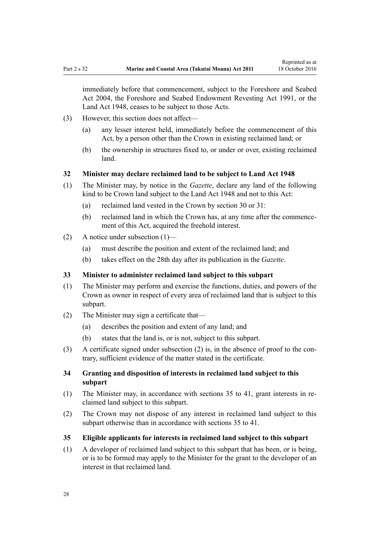<span id="page-27-0"></span>immediately before that commencement, subject to the [Foreshore and Seabed](http://prd-lgnz-nlb.prd.pco.net.nz/pdflink.aspx?id=DLM319838) [Act 2004](http://prd-lgnz-nlb.prd.pco.net.nz/pdflink.aspx?id=DLM319838), the Foreshore and Seabed Endowment Revesting Act 1991, or the [Land Act 1948](http://prd-lgnz-nlb.prd.pco.net.nz/pdflink.aspx?id=DLM250585), ceases to be subject to those Acts.

- (3) However, this section does not affect—
	- (a) any lesser interest held, immediately before the commencement of this Act, by a person other than the Crown in existing reclaimed land; or
	- (b) the ownership in structures fixed to, or under or over, existing reclaimed land.

#### **32 Minister may declare reclaimed land to be subject to Land Act 1948**

- (1) The Minister may, by notice in the *Gazette*, declare any land of the following kind to be Crown land subject to the [Land Act 1948](http://prd-lgnz-nlb.prd.pco.net.nz/pdflink.aspx?id=DLM250585) and not to this Act:
	- (a) reclaimed land vested in the Crown by [section 30](#page-26-0) or [31](#page-26-0):
	- (b) reclaimed land in which the Crown has, at any time after the commencement of this Act, acquired the freehold interest.
- (2) A notice under subsection (1)—
	- (a) must describe the position and extent of the reclaimed land; and
	- (b) takes effect on the 28th day after its publication in the *Gazette*.

#### **33 Minister to administer reclaimed land subject to this subpart**

- (1) The Minister may perform and exercise the functions, duties, and powers of the Crown as owner in respect of every area of reclaimed land that is subject to this subpart.
- (2) The Minister may sign a certificate that—
	- (a) describes the position and extent of any land; and
	- (b) states that the land is, or is not, subject to this subpart.
- (3) A certificate signed under subsection (2) is, in the absence of proof to the contrary, sufficient evidence of the matter stated in the certificate.

#### **34 Granting and disposition of interests in reclaimed land subject to this subpart**

- (1) The Minister may, in accordance with sections 35 to 41, grant interests in reclaimed land subject to this subpart.
- (2) The Crown may not dispose of any interest in reclaimed land subject to this subpart otherwise than in accordance with sections 35 to 41.
- **35 Eligible applicants for interests in reclaimed land subject to this subpart**
- (1) A developer of reclaimed land subject to this subpart that has been, or is being, or is to be formed may apply to the Minister for the grant to the developer of an interest in that reclaimed land.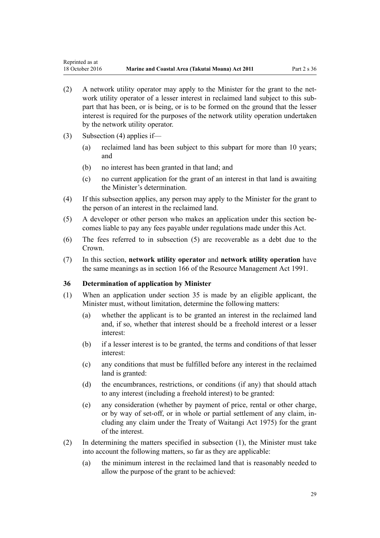- <span id="page-28-0"></span>(2) A network utility operator may apply to the Minister for the grant to the network utility operator of a lesser interest in reclaimed land subject to this subpart that has been, or is being, or is to be formed on the ground that the lesser interest is required for the purposes of the network utility operation undertaken by the network utility operator.
- (3) Subsection (4) applies if—
	- (a) reclaimed land has been subject to this subpart for more than 10 years; and
	- (b) no interest has been granted in that land; and
	- (c) no current application for the grant of an interest in that land is awaiting the Minister's determination.
- (4) If this subsection applies, any person may apply to the Minister for the grant to the person of an interest in the reclaimed land.
- (5) A developer or other person who makes an application under this section becomes liable to pay any fees payable under regulations made under this Act.
- (6) The fees referred to in subsection (5) are recoverable as a debt due to the Crown.
- (7) In this section, **network utility operator** and **network utility operation** have the same meanings as in [section 166](http://prd-lgnz-nlb.prd.pco.net.nz/pdflink.aspx?id=DLM236206) of the Resource Management Act 1991.

#### **36 Determination of application by Minister**

- (1) When an application under [section 35](#page-27-0) is made by an eligible applicant, the Minister must, without limitation, determine the following matters:
	- (a) whether the applicant is to be granted an interest in the reclaimed land and, if so, whether that interest should be a freehold interest or a lesser interest:
	- (b) if a lesser interest is to be granted, the terms and conditions of that lesser interest:
	- (c) any conditions that must be fulfilled before any interest in the reclaimed land is granted:
	- (d) the encumbrances, restrictions, or conditions (if any) that should attach to any interest (including a freehold interest) to be granted:
	- (e) any consideration (whether by payment of price, rental or other charge, or by way of set-off, or in whole or partial settlement of any claim, including any claim under the [Treaty of Waitangi Act 1975\)](http://prd-lgnz-nlb.prd.pco.net.nz/pdflink.aspx?id=DLM435367) for the grant of the interest.
- (2) In determining the matters specified in subsection (1), the Minister must take into account the following matters, so far as they are applicable:
	- (a) the minimum interest in the reclaimed land that is reasonably needed to allow the purpose of the grant to be achieved: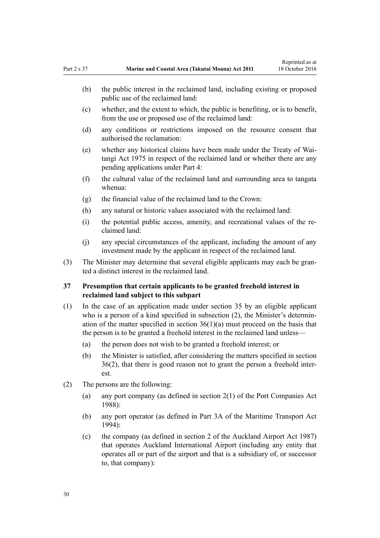- <span id="page-29-0"></span>(b) the public interest in the reclaimed land, including existing or proposed public use of the reclaimed land:
- (c) whether, and the extent to which, the public is benefiting, or is to benefit, from the use or proposed use of the reclaimed land:
- (d) any conditions or restrictions imposed on the resource consent that authorised the reclamation:
- (e) whether any historical claims have been made under the [Treaty of Wai](http://prd-lgnz-nlb.prd.pco.net.nz/pdflink.aspx?id=DLM435367)[tangi Act 1975](http://prd-lgnz-nlb.prd.pco.net.nz/pdflink.aspx?id=DLM435367) in respect of the reclaimed land or whether there are any pending applications under [Part 4:](#page-67-0)
- (f) the cultural value of the reclaimed land and surrounding area to tangata whenua:
- (g) the financial value of the reclaimed land to the Crown:
- (h) any natural or historic values associated with the reclaimed land:
- (i) the potential public access, amenity, and recreational values of the reclaimed land:
- (j) any special circumstances of the applicant, including the amount of any investment made by the applicant in respect of the reclaimed land.
- (3) The Minister may determine that several eligible applicants may each be granted a distinct interest in the reclaimed land.

### **37 Presumption that certain applicants to be granted freehold interest in reclaimed land subject to this subpart**

- (1) In the case of an application made under [section 35](#page-27-0) by an eligible applicant who is a person of a kind specified in subsection (2), the Minister's determination of the matter specified in section  $36(1)(a)$  must proceed on the basis that the person is to be granted a freehold interest in the reclaimed land unless—
	- (a) the person does not wish to be granted a freehold interest; or
	- (b) the Minister is satisfied, after considering the matters specified in [section](#page-28-0) [36\(2\)](#page-28-0), that there is good reason not to grant the person a freehold interest.
- (2) The persons are the following:
	- (a) any port company (as defined in [section 2\(1\)](http://prd-lgnz-nlb.prd.pco.net.nz/pdflink.aspx?id=DLM131688) of the Port Companies Act 1988):
	- (b) any port operator (as defined in [Part 3A](http://prd-lgnz-nlb.prd.pco.net.nz/pdflink.aspx?id=DLM5689750) of the Maritime Transport Act 1994):
	- (c) the company (as defined in [section 2](http://prd-lgnz-nlb.prd.pco.net.nz/pdflink.aspx?id=DLM125376) of the Auckland Airport Act 1987) that operates Auckland International Airport (including any entity that operates all or part of the airport and that is a subsidiary of, or successor to, that company):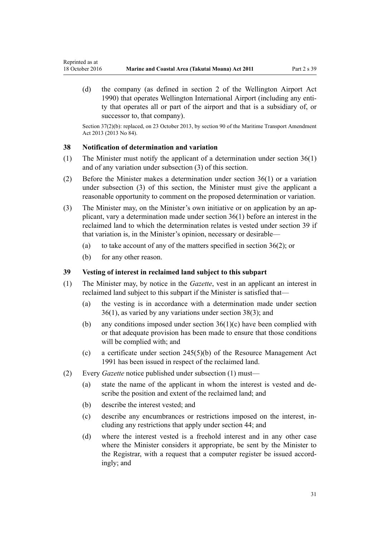<span id="page-30-0"></span>(d) the company (as defined in [section 2](http://prd-lgnz-nlb.prd.pco.net.nz/pdflink.aspx?id=DLM211896) of the Wellington Airport Act 1990) that operates Wellington International Airport (including any entity that operates all or part of the airport and that is a subsidiary of, or successor to, that company).

Section 37(2)(b): replaced, on 23 October 2013, by [section 90](http://prd-lgnz-nlb.prd.pco.net.nz/pdflink.aspx?id=DLM4698973) of the Maritime Transport Amendment Act 2013 (2013 No 84).

#### **38 Notification of determination and variation**

- (1) The Minister must notify the applicant of a determination under [section 36\(1\)](#page-28-0) and of any variation under subsection (3) of this section.
- (2) Before the Minister makes a determination under [section 36\(1\)](#page-28-0) or a variation under subsection (3) of this section, the Minister must give the applicant a reasonable opportunity to comment on the proposed determination or variation.
- (3) The Minister may, on the Minister's own initiative or on application by an applicant, vary a determination made under [section 36\(1\)](#page-28-0) before an interest in the reclaimed land to which the determination relates is vested under section 39 if that variation is, in the Minister's opinion, necessary or desirable—
	- (a) to take account of any of the matters specified in section  $36(2)$ ; or
	- (b) for any other reason.

### **39 Vesting of interest in reclaimed land subject to this subpart**

- (1) The Minister may, by notice in the *Gazette*, vest in an applicant an interest in reclaimed land subject to this subpart if the Minister is satisfied that—
	- (a) the vesting is in accordance with a determination made under [section](#page-28-0) [36\(1\)](#page-28-0), as varied by any variations under section 38(3); and
	- (b) any conditions imposed under section  $36(1)(c)$  have been complied with or that adequate provision has been made to ensure that those conditions will be complied with; and
	- (c) a certificate under [section 245\(5\)\(b\)](http://prd-lgnz-nlb.prd.pco.net.nz/pdflink.aspx?id=DLM237630) of the Resource Management Act 1991 has been issued in respect of the reclaimed land.
- (2) Every *Gazette* notice published under subsection (1) must—
	- (a) state the name of the applicant in whom the interest is vested and describe the position and extent of the reclaimed land; and
	- (b) describe the interest vested; and
	- (c) describe any encumbrances or restrictions imposed on the interest, including any restrictions that apply under [section 44;](#page-34-0) and
	- (d) where the interest vested is a freehold interest and in any other case where the Minister considers it appropriate, be sent by the Minister to the Registrar, with a request that a computer register be issued accordingly; and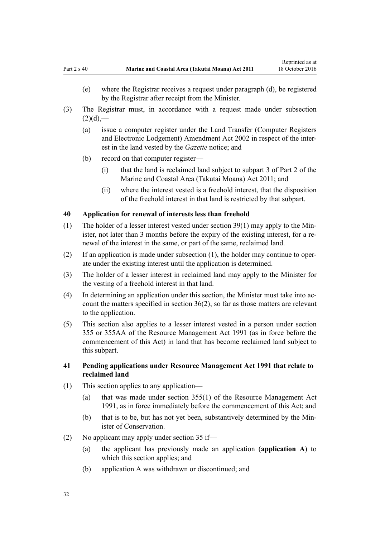- <span id="page-31-0"></span>(e) where the Registrar receives a request under paragraph (d), be registered by the Registrar after receipt from the Minister.
- (3) The Registrar must, in accordance with a request made under subsection  $(2)(d)$ ,—
	- (a) issue a computer register under the [Land Transfer \(Computer Registers](http://prd-lgnz-nlb.prd.pco.net.nz/pdflink.aspx?id=DLM140136) [and Electronic Lodgement\) Amendment Act 2002](http://prd-lgnz-nlb.prd.pco.net.nz/pdflink.aspx?id=DLM140136) in respect of the interest in the land vested by the *Gazette* notice; and
	- (b) record on that computer register—
		- (i) that the land is reclaimed land subject to [subpart 3 of Part 2](#page-25-0) of the Marine and Coastal Area (Takutai Moana) Act 2011; and
		- (ii) where the interest vested is a freehold interest, that the disposition of the freehold interest in that land is restricted by that subpart.

#### **40 Application for renewal of interests less than freehold**

- (1) The holder of a lesser interest vested under [section 39\(1\)](#page-30-0) may apply to the Minister, not later than 3 months before the expiry of the existing interest, for a renewal of the interest in the same, or part of the same, reclaimed land.
- (2) If an application is made under subsection (1), the holder may continue to operate under the existing interest until the application is determined.
- (3) The holder of a lesser interest in reclaimed land may apply to the Minister for the vesting of a freehold interest in that land.
- (4) In determining an application under this section, the Minister must take into account the matters specified in [section 36\(2\)](#page-28-0), so far as those matters are relevant to the application.
- (5) This section also applies to a lesser interest vested in a person under [section](http://prd-lgnz-nlb.prd.pco.net.nz/pdflink.aspx?id=DLM239322) [355](http://prd-lgnz-nlb.prd.pco.net.nz/pdflink.aspx?id=DLM239322) or [355AA](http://prd-lgnz-nlb.prd.pco.net.nz/pdflink.aspx?id=DLM239326) of the Resource Management Act 1991 (as in force before the commencement of this Act) in land that has become reclaimed land subject to this subpart.

#### **41 Pending applications under Resource Management Act 1991 that relate to reclaimed land**

- (1) This section applies to any application—
	- (a) that was made under [section 355\(1\)](http://prd-lgnz-nlb.prd.pco.net.nz/pdflink.aspx?id=DLM239322) of the Resource Management Act 1991, as in force immediately before the commencement of this Act; and
	- (b) that is to be, but has not yet been, substantively determined by the Minister of Conservation.
- (2) No applicant may apply under [section 35](#page-27-0) if—
	- (a) the applicant has previously made an application (**application A**) to which this section applies; and
	- (b) application A was withdrawn or discontinued; and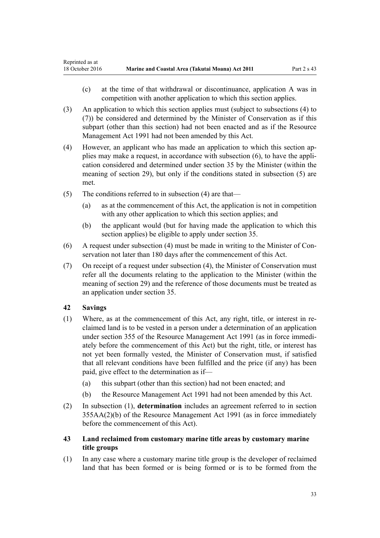- <span id="page-32-0"></span>(c) at the time of that withdrawal or discontinuance, application A was in competition with another application to which this section applies.
- (3) An application to which this section applies must (subject to subsections (4) to (7)) be considered and determined by the Minister of Conservation as if this subpart (other than this section) had not been enacted and as if the [Resource](http://prd-lgnz-nlb.prd.pco.net.nz/pdflink.aspx?id=DLM230264) [Management Act 1991](http://prd-lgnz-nlb.prd.pco.net.nz/pdflink.aspx?id=DLM230264) had not been amended by this Act.
- (4) However, an applicant who has made an application to which this section applies may make a request, in accordance with subsection (6), to have the application considered and determined under [section 35](#page-27-0) by the Minister (within the meaning of [section 29](#page-25-0)), but only if the conditions stated in subsection (5) are met.
- (5) The conditions referred to in subsection (4) are that—
	- (a) as at the commencement of this Act, the application is not in competition with any other application to which this section applies; and
	- (b) the applicant would (but for having made the application to which this section applies) be eligible to apply under [section 35](#page-27-0).
- (6) A request under subsection (4) must be made in writing to the Minister of Conservation not later than 180 days after the commencement of this Act.
- (7) On receipt of a request under subsection (4), the Minister of Conservation must refer all the documents relating to the application to the Minister (within the meaning of [section 29](#page-25-0)) and the reference of those documents must be treated as an application under [section 35.](#page-27-0)

### **42 Savings**

- (1) Where, as at the commencement of this Act, any right, title, or interest in reclaimed land is to be vested in a person under a determination of an application under [section 355](http://prd-lgnz-nlb.prd.pco.net.nz/pdflink.aspx?id=DLM239322) of the Resource Management Act 1991 (as in force immediately before the commencement of this Act) but the right, title, or interest has not yet been formally vested, the Minister of Conservation must, if satisfied that all relevant conditions have been fulfilled and the price (if any) has been paid, give effect to the determination as if—
	- (a) this subpart (other than this section) had not been enacted; and
	- (b) the [Resource Management Act 1991](http://prd-lgnz-nlb.prd.pco.net.nz/pdflink.aspx?id=DLM230264) had not been amended by this Act.
- (2) In subsection (1), **determination** includes an agreement referred to in [section](http://prd-lgnz-nlb.prd.pco.net.nz/pdflink.aspx?id=DLM239326) [355AA\(2\)\(b\)](http://prd-lgnz-nlb.prd.pco.net.nz/pdflink.aspx?id=DLM239326) of the Resource Management Act 1991 (as in force immediately before the commencement of this Act).
- **43 Land reclaimed from customary marine title areas by customary marine title groups**
- (1) In any case where a customary marine title group is the developer of reclaimed land that has been formed or is being formed or is to be formed from the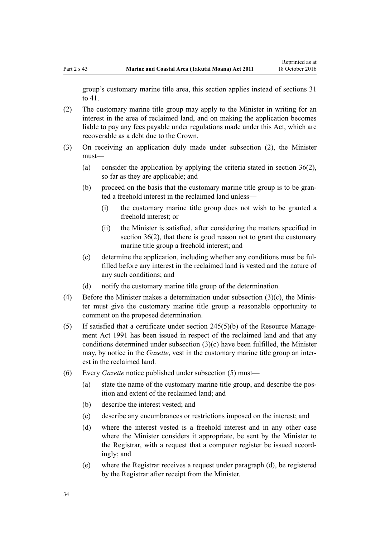group's customary marine title area, this section applies instead of [sections 31](#page-26-0) [to 41.](#page-26-0)

- (2) The customary marine title group may apply to the Minister in writing for an interest in the area of reclaimed land, and on making the application becomes liable to pay any fees payable under regulations made under this Act, which are recoverable as a debt due to the Crown.
- (3) On receiving an application duly made under subsection (2), the Minister must—
	- (a) consider the application by applying the criteria stated in [section 36\(2\)](#page-28-0), so far as they are applicable; and
	- (b) proceed on the basis that the customary marine title group is to be granted a freehold interest in the reclaimed land unless—
		- (i) the customary marine title group does not wish to be granted a freehold interest; or
		- (ii) the Minister is satisfied, after considering the matters specified in [section 36\(2\),](#page-28-0) that there is good reason not to grant the customary marine title group a freehold interest; and
	- (c) determine the application, including whether any conditions must be fulfilled before any interest in the reclaimed land is vested and the nature of any such conditions; and
	- (d) notify the customary marine title group of the determination.
- (4) Before the Minister makes a determination under subsection (3)(c), the Minister must give the customary marine title group a reasonable opportunity to comment on the proposed determination.
- (5) If satisfied that a certificate under [section 245\(5\)\(b\)](http://prd-lgnz-nlb.prd.pco.net.nz/pdflink.aspx?id=DLM237630) of the Resource Management Act 1991 has been issued in respect of the reclaimed land and that any conditions determined under subsection (3)(c) have been fulfilled, the Minister may, by notice in the *Gazette*, vest in the customary marine title group an interest in the reclaimed land.
- (6) Every *Gazette* notice published under subsection (5) must—
	- (a) state the name of the customary marine title group, and describe the position and extent of the reclaimed land; and
	- (b) describe the interest vested; and
	- (c) describe any encumbrances or restrictions imposed on the interest; and
	- (d) where the interest vested is a freehold interest and in any other case where the Minister considers it appropriate, be sent by the Minister to the Registrar, with a request that a computer register be issued accordingly; and
	- (e) where the Registrar receives a request under paragraph (d), be registered by the Registrar after receipt from the Minister.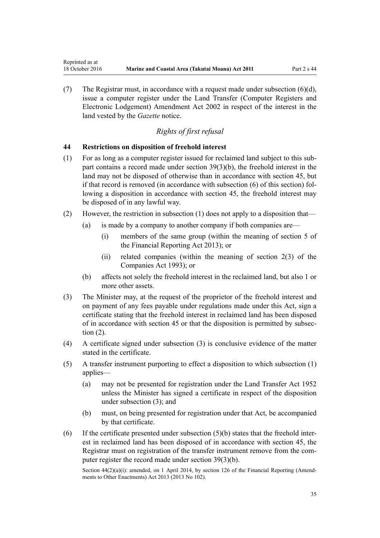(7) The Registrar must, in accordance with a request made under subsection (6)(d), issue a computer register under the [Land Transfer \(Computer Registers and](http://prd-lgnz-nlb.prd.pco.net.nz/pdflink.aspx?id=DLM140136) [Electronic Lodgement\) Amendment Act 2002](http://prd-lgnz-nlb.prd.pco.net.nz/pdflink.aspx?id=DLM140136) in respect of the interest in the land vested by the *Gazette* notice.

### *Rights of first refusal*

#### **44 Restrictions on disposition of freehold interest**

<span id="page-34-0"></span>Reprinted as at

- (1) For as long as a computer register issued for reclaimed land subject to this subpart contains a record made under [section 39\(3\)\(b\)](#page-30-0), the freehold interest in the land may not be disposed of otherwise than in accordance with [section 45](#page-35-0), but if that record is removed (in accordance with subsection (6) of this section) following a disposition in accordance with section 45, the freehold interest may be disposed of in any lawful way.
- (2) However, the restriction in subsection (1) does not apply to a disposition that—
	- (a) is made by a company to another company if both companies are—
		- (i) members of the same group (within the meaning of [section 5](http://prd-lgnz-nlb.prd.pco.net.nz/pdflink.aspx?id=DLM4632837) of the Financial Reporting Act 2013); or
		- (ii) related companies (within the meaning of [section 2\(3\)](http://prd-lgnz-nlb.prd.pco.net.nz/pdflink.aspx?id=DLM319576) of the Companies Act 1993); or
	- (b) affects not solely the freehold interest in the reclaimed land, but also 1 or more other assets.
- (3) The Minister may, at the request of the proprietor of the freehold interest and on payment of any fees payable under regulations made under this Act, sign a certificate stating that the freehold interest in reclaimed land has been disposed of in accordance with [section 45](#page-35-0) or that the disposition is permitted by subsection (2).
- (4) A certificate signed under subsection (3) is conclusive evidence of the matter stated in the certificate.
- (5) A transfer instrument purporting to effect a disposition to which subsection (1) applies—
	- (a) may not be presented for registration under the [Land Transfer Act 1952](http://prd-lgnz-nlb.prd.pco.net.nz/pdflink.aspx?id=DLM269031) unless the Minister has signed a certificate in respect of the disposition under subsection (3); and
	- (b) must, on being presented for registration under that Act, be accompanied by that certificate.
- (6) If the certificate presented under subsection  $(5)(b)$  states that the freehold interest in reclaimed land has been disposed of in accordance with [section 45](#page-35-0), the Registrar must on registration of the transfer instrument remove from the computer register the record made under [section 39\(3\)\(b\).](#page-30-0)

Section  $44(2)(a)(i)$ : amended, on 1 April 2014, by [section 126](http://prd-lgnz-nlb.prd.pco.net.nz/pdflink.aspx?id=DLM5740665) of the Financial Reporting (Amendments to Other Enactments) Act 2013 (2013 No 102).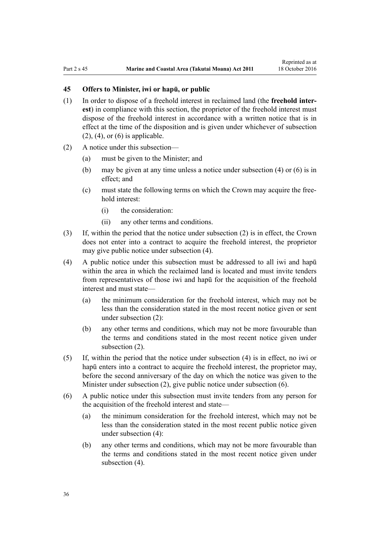### <span id="page-35-0"></span>**45 Offers to Minister, iwi or hapū, or public**

- (1) In order to dispose of a freehold interest in reclaimed land (the **freehold interest**) in compliance with this section, the proprietor of the freehold interest must dispose of the freehold interest in accordance with a written notice that is in effect at the time of the disposition and is given under whichever of subsection  $(2)$ ,  $(4)$ , or  $(6)$  is applicable.
- (2) A notice under this subsection—
	- (a) must be given to the Minister; and
	- (b) may be given at any time unless a notice under subsection (4) or (6) is in effect; and
	- (c) must state the following terms on which the Crown may acquire the freehold interest:
		- (i) the consideration:
		- (ii) any other terms and conditions.
- (3) If, within the period that the notice under subsection (2) is in effect, the Crown does not enter into a contract to acquire the freehold interest, the proprietor may give public notice under subsection (4).
- (4) A public notice under this subsection must be addressed to all iwi and hapū within the area in which the reclaimed land is located and must invite tenders from representatives of those iwi and hapū for the acquisition of the freehold interest and must state—
	- (a) the minimum consideration for the freehold interest, which may not be less than the consideration stated in the most recent notice given or sent under subsection (2):
	- (b) any other terms and conditions, which may not be more favourable than the terms and conditions stated in the most recent notice given under subsection (2).
- (5) If, within the period that the notice under subsection (4) is in effect, no iwi or hapū enters into a contract to acquire the freehold interest, the proprietor may, before the second anniversary of the day on which the notice was given to the Minister under subsection (2), give public notice under subsection (6).
- (6) A public notice under this subsection must invite tenders from any person for the acquisition of the freehold interest and state—
	- (a) the minimum consideration for the freehold interest, which may not be less than the consideration stated in the most recent public notice given under subsection (4):
	- (b) any other terms and conditions, which may not be more favourable than the terms and conditions stated in the most recent notice given under subsection  $(4)$ .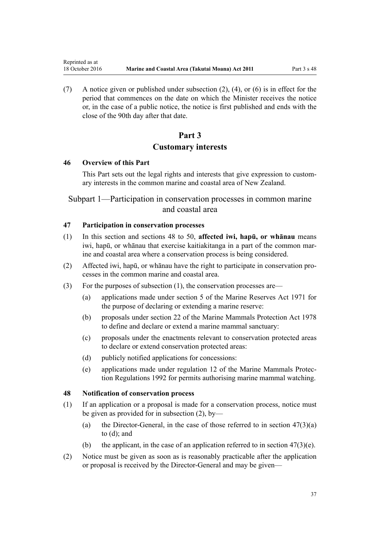(7) A notice given or published under subsection (2), (4), or (6) is in effect for the period that commences on the date on which the Minister receives the notice or, in the case of a public notice, the notice is first published and ends with the close of the 90th day after that date.

# **Part 3 Customary interests**

### **46 Overview of this Part**

<span id="page-36-0"></span>Reprinted as at

This Part sets out the legal rights and interests that give expression to customary interests in the common marine and coastal area of New Zealand.

# Subpart 1—Participation in conservation processes in common marine and coastal area

# **47 Participation in conservation processes**

- (1) In this section and sections 48 to 50, **affected iwi, hapū, or whānau** means iwi, hapū, or whānau that exercise kaitiakitanga in a part of the common marine and coastal area where a conservation process is being considered.
- (2) Affected iwi, hapū, or whānau have the right to participate in conservation processes in the common marine and coastal area.
- (3) For the purposes of subsection (1), the conservation processes are—
	- (a) applications made under [section 5](http://prd-lgnz-nlb.prd.pco.net.nz/pdflink.aspx?id=DLM398113) of the Marine Reserves Act 1971 for the purpose of declaring or extending a marine reserve:
	- (b) proposals under [section 22](http://prd-lgnz-nlb.prd.pco.net.nz/pdflink.aspx?id=DLM25372) of the Marine Mammals Protection Act 1978 to define and declare or extend a marine mammal sanctuary:
	- (c) proposals under the enactments relevant to conservation protected areas to declare or extend conservation protected areas:
	- (d) publicly notified applications for concessions:
	- (e) applications made under [regulation 12](http://prd-lgnz-nlb.prd.pco.net.nz/pdflink.aspx?id=DLM168830) of the Marine Mammals Protection Regulations 1992 for permits authorising marine mammal watching.

### **48 Notification of conservation process**

- (1) If an application or a proposal is made for a conservation process, notice must be given as provided for in subsection (2), by—
	- (a) the Director-General, in the case of those referred to in section  $47(3)(a)$ to (d); and
	- (b) the applicant, in the case of an application referred to in section  $47(3)(e)$ .
- (2) Notice must be given as soon as is reasonably practicable after the application or proposal is received by the Director-General and may be given—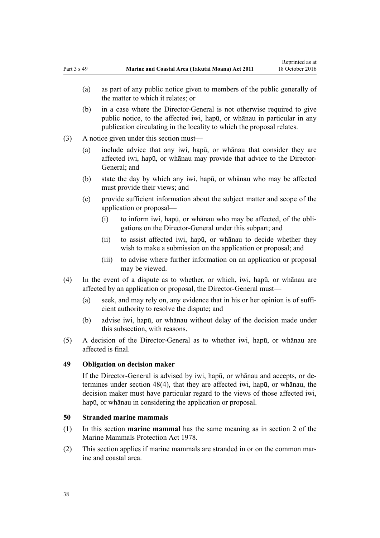- (a) as part of any public notice given to members of the public generally of the matter to which it relates; or
- (b) in a case where the Director-General is not otherwise required to give public notice, to the affected iwi, hapū, or whānau in particular in any publication circulating in the locality to which the proposal relates.
- (3) A notice given under this section must—
	- (a) include advice that any iwi, hapū, or whānau that consider they are affected iwi, hapū, or whānau may provide that advice to the Director-General; and
	- (b) state the day by which any iwi, hapū, or whānau who may be affected must provide their views; and
	- (c) provide sufficient information about the subject matter and scope of the application or proposal—
		- (i) to inform iwi, hapū, or whānau who may be affected, of the obligations on the Director-General under this subpart; and
		- (ii) to assist affected iwi, hapū, or whānau to decide whether they wish to make a submission on the application or proposal; and
		- (iii) to advise where further information on an application or proposal may be viewed.
- (4) In the event of a dispute as to whether, or which, iwi, hapū, or whānau are affected by an application or proposal, the Director-General must—
	- (a) seek, and may rely on, any evidence that in his or her opinion is of sufficient authority to resolve the dispute; and
	- (b) advise iwi, hapū, or whānau without delay of the decision made under this subsection, with reasons.
- (5) A decision of the Director-General as to whether iwi, hapū, or whānau are affected is final.

# **49 Obligation on decision maker**

If the Director-General is advised by iwi, hapū, or whānau and accepts, or determines under [section 48\(4\)](#page-36-0), that they are affected iwi, hapū, or whānau, the decision maker must have particular regard to the views of those affected iwi, hapū, or whānau in considering the application or proposal.

# **50 Stranded marine mammals**

- (1) In this section **marine mammal** has the same meaning as in [section 2](http://prd-lgnz-nlb.prd.pco.net.nz/pdflink.aspx?id=DLM25116) of the Marine Mammals Protection Act 1978.
- (2) This section applies if marine mammals are stranded in or on the common marine and coastal area.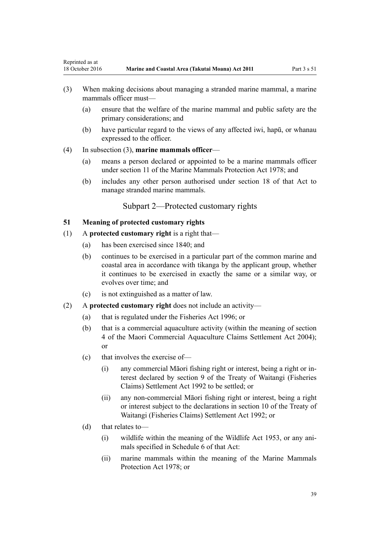- <span id="page-38-0"></span>(3) When making decisions about managing a stranded marine mammal, a marine mammals officer must—
	- (a) ensure that the welfare of the marine mammal and public safety are the primary considerations; and
	- (b) have particular regard to the views of any affected iwi, hapū, or whanau expressed to the officer.
- (4) In subsection (3), **marine mammals officer**
	- (a) means a person declared or appointed to be a marine mammals officer under [section 11](http://prd-lgnz-nlb.prd.pco.net.nz/pdflink.aspx?id=DLM25336) of the Marine Mammals Protection Act 1978; and
	- (b) includes any other person authorised under [section 18](http://prd-lgnz-nlb.prd.pco.net.nz/pdflink.aspx?id=DLM25362) of that Act to manage stranded marine mammals.

# Subpart 2—Protected customary rights

# **51 Meaning of protected customary rights**

- (1) A **protected customary right** is a right that—
	- (a) has been exercised since 1840; and
	- (b) continues to be exercised in a particular part of the common marine and coastal area in accordance with tikanga by the applicant group, whether it continues to be exercised in exactly the same or a similar way, or evolves over time; and
	- (c) is not extinguished as a matter of law.
- (2) A **protected customary right** does not include an activity—
	- (a) that is regulated under the [Fisheries Act 1996](http://prd-lgnz-nlb.prd.pco.net.nz/pdflink.aspx?id=DLM394191); or
	- (b) that is a commercial aquaculture activity (within the meaning of [section](http://prd-lgnz-nlb.prd.pco.net.nz/pdflink.aspx?id=DLM324356) [4](http://prd-lgnz-nlb.prd.pco.net.nz/pdflink.aspx?id=DLM324356) of the Maori Commercial Aquaculture Claims Settlement Act 2004); or
	- (c) that involves the exercise of—
		- (i) any commercial Māori fishing right or interest, being a right or interest declared by [section 9](http://prd-lgnz-nlb.prd.pco.net.nz/pdflink.aspx?id=DLM281460) of the Treaty of Waitangi (Fisheries Claims) Settlement Act 1992 to be settled; or
		- (ii) any non-commercial Māori fishing right or interest, being a right or interest subject to the declarations in [section 10](http://prd-lgnz-nlb.prd.pco.net.nz/pdflink.aspx?id=DLM281461) of the Treaty of Waitangi (Fisheries Claims) Settlement Act 1992; or
	- (d) that relates to—
		- (i) wildlife within the meaning of the [Wildlife Act 1953](http://prd-lgnz-nlb.prd.pco.net.nz/pdflink.aspx?id=DLM276813), or any animals specified in [Schedule 6](http://prd-lgnz-nlb.prd.pco.net.nz/pdflink.aspx?id=DLM278592) of that Act:
		- (ii) marine mammals within the meaning of the [Marine Mammals](http://prd-lgnz-nlb.prd.pco.net.nz/pdflink.aspx?id=DLM25110) [Protection Act 1978;](http://prd-lgnz-nlb.prd.pco.net.nz/pdflink.aspx?id=DLM25110) or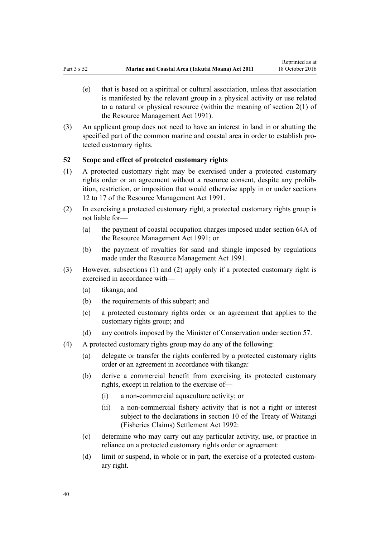- <span id="page-39-0"></span>(e) that is based on a spiritual or cultural association, unless that association is manifested by the relevant group in a physical activity or use related to a natural or physical resource (within the meaning of [section 2\(1\)](http://prd-lgnz-nlb.prd.pco.net.nz/pdflink.aspx?id=DLM230272) of the Resource Management Act 1991).
- (3) An applicant group does not need to have an interest in land in or abutting the specified part of the common marine and coastal area in order to establish protected customary rights.

# **52 Scope and effect of protected customary rights**

- (1) A protected customary right may be exercised under a protected customary rights order or an agreement without a resource consent, despite any prohibition, restriction, or imposition that would otherwise apply in or under [sections](http://prd-lgnz-nlb.prd.pco.net.nz/pdflink.aspx?id=DLM231949) [12 to 17](http://prd-lgnz-nlb.prd.pco.net.nz/pdflink.aspx?id=DLM231949) of the Resource Management Act 1991.
- (2) In exercising a protected customary right, a protected customary rights group is not liable for—
	- (a) the payment of coastal occupation charges imposed under [section 64A](http://prd-lgnz-nlb.prd.pco.net.nz/pdflink.aspx?id=DLM233610) of the Resource Management Act 1991; or
	- (b) the payment of royalties for sand and shingle imposed by regulations made under the [Resource Management Act 1991](http://prd-lgnz-nlb.prd.pco.net.nz/pdflink.aspx?id=DLM230264).
- (3) However, subsections (1) and (2) apply only if a protected customary right is exercised in accordance with—
	- (a) tikanga; and
	- (b) the requirements of this subpart; and
	- (c) a protected customary rights order or an agreement that applies to the customary rights group; and
	- (d) any controls imposed by the Minister of Conservation under [section 57](#page-42-0).
- (4) A protected customary rights group may do any of the following:
	- (a) delegate or transfer the rights conferred by a protected customary rights order or an agreement in accordance with tikanga:
	- (b) derive a commercial benefit from exercising its protected customary rights, except in relation to the exercise of—
		- (i) a non-commercial aquaculture activity; or
		- (ii) a non-commercial fishery activity that is not a right or interest subject to the declarations in [section 10](http://prd-lgnz-nlb.prd.pco.net.nz/pdflink.aspx?id=DLM281461) of the Treaty of Waitangi (Fisheries Claims) Settlement Act 1992:
	- (c) determine who may carry out any particular activity, use, or practice in reliance on a protected customary rights order or agreement:
	- (d) limit or suspend, in whole or in part, the exercise of a protected customary right.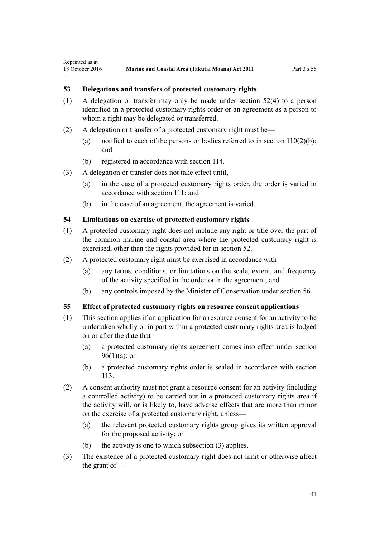# **53 Delegations and transfers of protected customary rights**

- (1) A delegation or transfer may only be made under [section 52\(4\)](#page-39-0) to a person identified in a protected customary rights order or an agreement as a person to whom a right may be delegated or transferred.
- (2) A delegation or transfer of a protected customary right must be—
	- (a) notified to each of the persons or bodies referred to in section  $110(2)(b)$ ; and
	- (b) registered in accordance with [section 114](#page-75-0).
- (3) A delegation or transfer does not take effect until,—
	- (a) in the case of a protected customary rights order, the order is varied in accordance with [section 111;](#page-74-0) and
	- (b) in the case of an agreement, the agreement is varied.

### **54 Limitations on exercise of protected customary rights**

- (1) A protected customary right does not include any right or title over the part of the common marine and coastal area where the protected customary right is exercised, other than the rights provided for in [section 52](#page-39-0).
- (2) A protected customary right must be exercised in accordance with—
	- (a) any terms, conditions, or limitations on the scale, extent, and frequency of the activity specified in the order or in the agreement; and
	- (b) any controls imposed by the Minister of Conservation under [section 56](#page-41-0).

#### **55 Effect of protected customary rights on resource consent applications**

- (1) This section applies if an application for a resource consent for an activity to be undertaken wholly or in part within a protected customary rights area is lodged on or after the date that—
	- (a) a protected customary rights agreement comes into effect under [section](#page-68-0)  $96(1)(a)$ ; or
	- (b) a protected customary rights order is sealed in accordance with [section](#page-75-0) [113](#page-75-0).
- (2) A consent authority must not grant a resource consent for an activity (including a controlled activity) to be carried out in a protected customary rights area if the activity will, or is likely to, have adverse effects that are more than minor on the exercise of a protected customary right, unless—
	- (a) the relevant protected customary rights group gives its written approval for the proposed activity; or
	- (b) the activity is one to which subsection (3) applies.
- (3) The existence of a protected customary right does not limit or otherwise affect the grant of—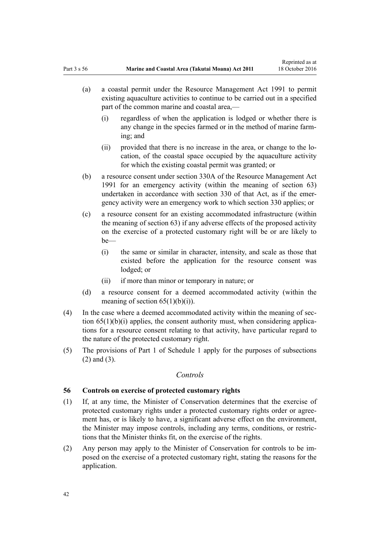- <span id="page-41-0"></span>(a) a coastal permit under the [Resource Management Act 1991](http://prd-lgnz-nlb.prd.pco.net.nz/pdflink.aspx?id=DLM230264) to permit existing aquaculture activities to continue to be carried out in a specified part of the common marine and coastal area,—
	- (i) regardless of when the application is lodged or whether there is any change in the species farmed or in the method of marine farming; and
	- (ii) provided that there is no increase in the area, or change to the location, of the coastal space occupied by the aquaculture activity for which the existing coastal permit was granted; or
- (b) a resource consent under [section 330A](http://prd-lgnz-nlb.prd.pco.net.nz/pdflink.aspx?id=DLM239008) of the Resource Management Act 1991 for an emergency activity (within the meaning of [section 63](#page-46-0)) undertaken in accordance with [section 330](http://prd-lgnz-nlb.prd.pco.net.nz/pdflink.aspx?id=DLM239003) of that Act, as if the emergency activity were an emergency work to which section 330 applies; or
- (c) a resource consent for an existing accommodated infrastructure (within the meaning of [section 63\)](#page-46-0) if any adverse effects of the proposed activity on the exercise of a protected customary right will be or are likely to be—
	- (i) the same or similar in character, intensity, and scale as those that existed before the application for the resource consent was lodged; or
	- (ii) if more than minor or temporary in nature; or
- (d) a resource consent for a deemed accommodated activity (within the meaning of section  $65(1)(b)(i)$ .
- (4) In the case where a deemed accommodated activity within the meaning of [sec](#page-50-0)tion  $65(1)(b)(i)$  applies, the consent authority must, when considering applications for a resource consent relating to that activity, have particular regard to the nature of the protected customary right.
- (5) The provisions of [Part 1](#page-83-0) of Schedule 1 apply for the purposes of subsections (2) and (3).

# *Controls*

# **56 Controls on exercise of protected customary rights**

- (1) If, at any time, the Minister of Conservation determines that the exercise of protected customary rights under a protected customary rights order or agreement has, or is likely to have, a significant adverse effect on the environment, the Minister may impose controls, including any terms, conditions, or restrictions that the Minister thinks fit, on the exercise of the rights.
- (2) Any person may apply to the Minister of Conservation for controls to be imposed on the exercise of a protected customary right, stating the reasons for the application.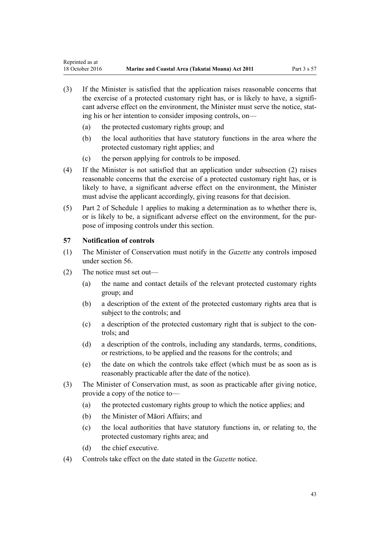- <span id="page-42-0"></span>(3) If the Minister is satisfied that the application raises reasonable concerns that the exercise of a protected customary right has, or is likely to have, a significant adverse effect on the environment, the Minister must serve the notice, stating his or her intention to consider imposing controls, on—
	- (a) the protected customary rights group; and
	- (b) the local authorities that have statutory functions in the area where the protected customary right applies; and
	- (c) the person applying for controls to be imposed.
- (4) If the Minister is not satisfied that an application under subsection (2) raises reasonable concerns that the exercise of a protected customary right has, or is likely to have, a significant adverse effect on the environment, the Minister must advise the applicant accordingly, giving reasons for that decision.
- (5) [Part 2](#page-85-0) of Schedule 1 applies to making a determination as to whether there is, or is likely to be, a significant adverse effect on the environment, for the purpose of imposing controls under this section.

# **57 Notification of controls**

- (1) The Minister of Conservation must notify in the *Gazette* any controls imposed under [section 56](#page-41-0).
- (2) The notice must set out—
	- (a) the name and contact details of the relevant protected customary rights group; and
	- (b) a description of the extent of the protected customary rights area that is subject to the controls; and
	- (c) a description of the protected customary right that is subject to the controls; and
	- (d) a description of the controls, including any standards, terms, conditions, or restrictions, to be applied and the reasons for the controls; and
	- (e) the date on which the controls take effect (which must be as soon as is reasonably practicable after the date of the notice).
- (3) The Minister of Conservation must, as soon as practicable after giving notice, provide a copy of the notice to—
	- (a) the protected customary rights group to which the notice applies; and
	- (b) the Minister of Māori Affairs; and
	- (c) the local authorities that have statutory functions in, or relating to, the protected customary rights area; and
	- (d) the chief executive.
- (4) Controls take effect on the date stated in the *Gazette* notice.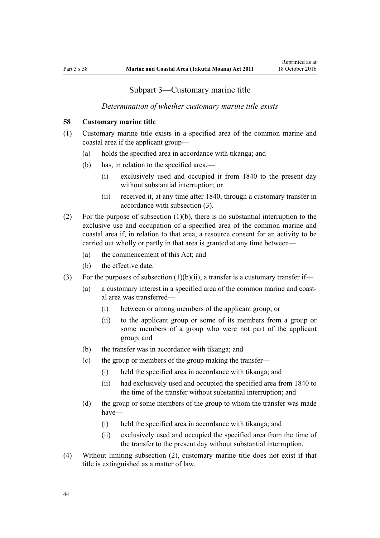# Subpart 3—Customary marine title

# *Determination of whether customary marine title exists*

# <span id="page-43-0"></span>**58 Customary marine title**

- (1) Customary marine title exists in a specified area of the common marine and coastal area if the applicant group—
	- (a) holds the specified area in accordance with tikanga; and
	- (b) has, in relation to the specified area,—
		- (i) exclusively used and occupied it from 1840 to the present day without substantial interruption; or
		- (ii) received it, at any time after 1840, through a customary transfer in accordance with subsection (3).
- (2) For the purpose of subsection (1)(b), there is no substantial interruption to the exclusive use and occupation of a specified area of the common marine and coastal area if, in relation to that area, a resource consent for an activity to be carried out wholly or partly in that area is granted at any time between—
	- (a) the commencement of this Act; and
	- (b) the effective date.
- (3) For the purposes of subsection  $(1)(b)(ii)$ , a transfer is a customary transfer if-
	- (a) a customary interest in a specified area of the common marine and coastal area was transferred—
		- (i) between or among members of the applicant group; or
		- (ii) to the applicant group or some of its members from a group or some members of a group who were not part of the applicant group; and
	- (b) the transfer was in accordance with tikanga; and
	- (c) the group or members of the group making the transfer—
		- (i) held the specified area in accordance with tikanga; and
		- (ii) had exclusively used and occupied the specified area from 1840 to the time of the transfer without substantial interruption; and
	- (d) the group or some members of the group to whom the transfer was made have—
		- (i) held the specified area in accordance with tikanga; and
		- (ii) exclusively used and occupied the specified area from the time of the transfer to the present day without substantial interruption.
- (4) Without limiting subsection (2), customary marine title does not exist if that title is extinguished as a matter of law.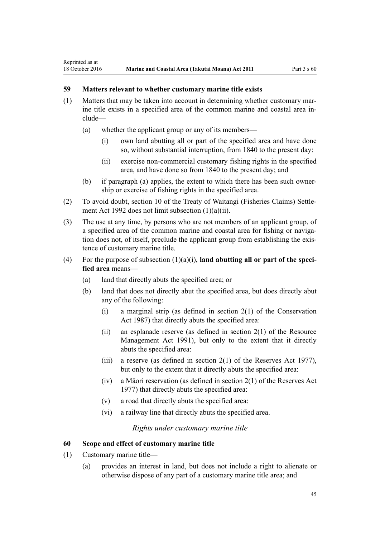# <span id="page-44-0"></span>**59 Matters relevant to whether customary marine title exists**

- (1) Matters that may be taken into account in determining whether customary marine title exists in a specified area of the common marine and coastal area include—
	- (a) whether the applicant group or any of its members—
		- (i) own land abutting all or part of the specified area and have done so, without substantial interruption, from 1840 to the present day:
		- (ii) exercise non-commercial customary fishing rights in the specified area, and have done so from 1840 to the present day; and
	- (b) if paragraph (a) applies, the extent to which there has been such ownership or exercise of fishing rights in the specified area.
- (2) To avoid doubt, [section 10](http://prd-lgnz-nlb.prd.pco.net.nz/pdflink.aspx?id=DLM281461) of the Treaty of Waitangi (Fisheries Claims) Settlement Act 1992 does not limit subsection (1)(a)(ii).
- (3) The use at any time, by persons who are not members of an applicant group, of a specified area of the common marine and coastal area for fishing or navigation does not, of itself, preclude the applicant group from establishing the existence of customary marine title.
- (4) For the purpose of subsection (1)(a)(i), **land abutting all or part of the specified area** means—
	- (a) land that directly abuts the specified area; or
	- (b) land that does not directly abut the specified area, but does directly abut any of the following:
		- (i) a marginal strip (as defined in [section 2\(1\)](http://prd-lgnz-nlb.prd.pco.net.nz/pdflink.aspx?id=DLM103616) of the Conservation Act 1987) that directly abuts the specified area:
		- (ii) an esplanade reserve (as defined in section  $2(1)$  of the Resource Management Act 1991), but only to the extent that it directly abuts the specified area:
		- (iii) a reserve (as defined in section  $2(1)$  of the Reserves Act 1977), but only to the extent that it directly abuts the specified area:
		- (iv) a Māori reservation (as defined in [section 2\(1\)](http://prd-lgnz-nlb.prd.pco.net.nz/pdflink.aspx?id=DLM444310) of the Reserves Act 1977) that directly abuts the specified area:
		- (v) a road that directly abuts the specified area:
		- (vi) a railway line that directly abuts the specified area.

*Rights under customary marine title*

# **60 Scope and effect of customary marine title**

- (1) Customary marine title—
	- (a) provides an interest in land, but does not include a right to alienate or otherwise dispose of any part of a customary marine title area; and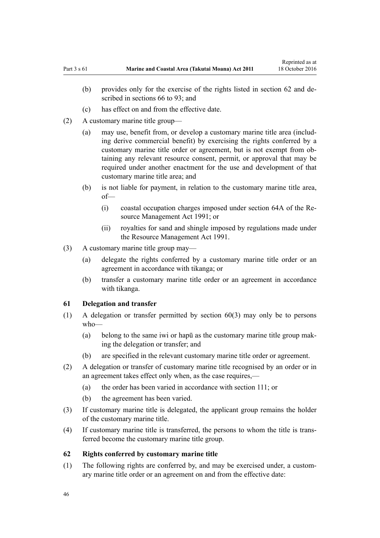- (c) has effect on and from the effective date.
- <span id="page-45-0"></span>(2) A customary marine title group—
	- (a) may use, benefit from, or develop a customary marine title area (including derive commercial benefit) by exercising the rights conferred by a customary marine title order or agreement, but is not exempt from obtaining any relevant resource consent, permit, or approval that may be required under another enactment for the use and development of that customary marine title area; and
	- (b) is not liable for payment, in relation to the customary marine title area, of—
		- (i) coastal occupation charges imposed under [section 64A](http://prd-lgnz-nlb.prd.pco.net.nz/pdflink.aspx?id=DLM233610) of the Resource Management Act 1991; or
		- (ii) royalties for sand and shingle imposed by regulations made under the [Resource Management Act 1991](http://prd-lgnz-nlb.prd.pco.net.nz/pdflink.aspx?id=DLM230264).
- (3) A customary marine title group may—
	- (a) delegate the rights conferred by a customary marine title order or an agreement in accordance with tikanga; or
	- (b) transfer a customary marine title order or an agreement in accordance with tikanga.

# **61 Delegation and transfer**

- (1) A delegation or transfer permitted by [section 60\(3\)](#page-44-0) may only be to persons who—
	- (a) belong to the same iwi or hapū as the customary marine title group making the delegation or transfer; and
	- (b) are specified in the relevant customary marine title order or agreement.
- (2) A delegation or transfer of customary marine title recognised by an order or in an agreement takes effect only when, as the case requires,—
	- (a) the order has been varied in accordance with [section 111](#page-74-0); or
	- (b) the agreement has been varied.
- (3) If customary marine title is delegated, the applicant group remains the holder of the customary marine title.
- (4) If customary marine title is transferred, the persons to whom the title is transferred become the customary marine title group.

# **62 Rights conferred by customary marine title**

(1) The following rights are conferred by, and may be exercised under, a customary marine title order or an agreement on and from the effective date: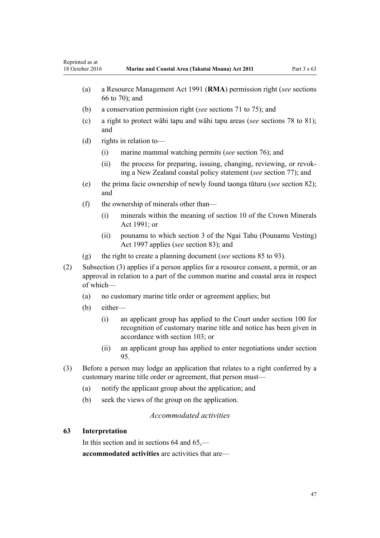- <span id="page-46-0"></span>(a) a [Resource Management Act 1991](http://prd-lgnz-nlb.prd.pco.net.nz/pdflink.aspx?id=DLM230264) (**RMA**) permission right (*see* [sections](#page-51-0) [66 to 70\)](#page-51-0); and
- (b) a conservation permission right (*see* [sections 71 to 75\)](#page-54-0); and
- (c) a right to protect wāhi tapu and wāhi tapu areas (*see* [sections 78 to 81](#page-57-0)); and
- (d) rights in relation to—
	- (i) marine mammal watching permits (*see* [section 76\)](#page-57-0); and
	- (ii) the process for preparing, issuing, changing, reviewing, or revoking a New Zealand coastal policy statement (*see* [section 77\)](#page-57-0); and
- (e) the prima facie ownership of newly found taonga tūturu (*see* [section 82](#page-60-0)); and
- (f) the ownership of minerals other than—
	- (i) minerals within the meaning of [section 10](http://prd-lgnz-nlb.prd.pco.net.nz/pdflink.aspx?id=DLM246310) of the Crown Minerals Act 1991; or
	- (ii) pounamu to which [section 3](http://prd-lgnz-nlb.prd.pco.net.nz/pdflink.aspx?id=DLM413605) of the Ngai Tahu (Pounamu Vesting) Act 1997 applies (*see* [section 83](#page-61-0)); and
- (g) the right to create a planning document (*see* [sections 85 to 93](#page-62-0)).
- (2) Subsection (3) applies if a person applies for a resource consent, a permit, or an approval in relation to a part of the common marine and coastal area in respect of which—
	- (a) no customary marine title order or agreement applies; but
	- (b) either—
		- (i) an applicant group has applied to the Court under [section 100](#page-70-0) for recognition of customary marine title and notice has been given in accordance with [section 103;](#page-71-0) or
		- (ii) an applicant group has applied to enter negotiations under [section](#page-67-0) [95.](#page-67-0)
- (3) Before a person may lodge an application that relates to a right conferred by a customary marine title order or agreement, that person must—
	- (a) notify the applicant group about the application; and
	- (b) seek the views of the group on the application.

# *Accommodated activities*

# **63 Interpretation**

In this section and in sections 64 and 65, **accommodated activities** are activities that are—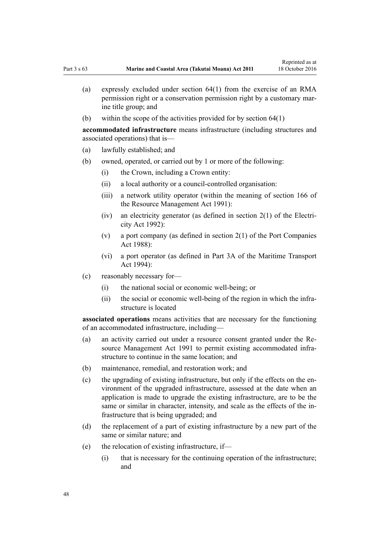- (a) expressly excluded under [section 64\(1\)](#page-48-0) from the exercise of an RMA permission right or a conservation permission right by a customary marine title group; and
- (b) within the scope of the activities provided for by [section 64\(1\)](#page-48-0)

**accommodated infrastructure** means infrastructure (including structures and associated operations) that is—

- (a) lawfully established; and
- (b) owned, operated, or carried out by 1 or more of the following:
	- (i) the Crown, including a Crown entity:
	- (ii) a local authority or a council-controlled organisation:
	- (iii) a network utility operator (within the meaning of [section 166](http://prd-lgnz-nlb.prd.pco.net.nz/pdflink.aspx?id=DLM236206) of the Resource Management Act 1991):
	- (iv) an electricity generator (as defined in [section 2\(1\)](http://prd-lgnz-nlb.prd.pco.net.nz/pdflink.aspx?id=DLM281866) of the Electricity Act 1992):
	- (v) a port company (as defined in [section 2\(1\)](http://prd-lgnz-nlb.prd.pco.net.nz/pdflink.aspx?id=DLM131688) of the Port Companies Act 1988):
	- (vi) a port operator (as defined in [Part 3A](http://prd-lgnz-nlb.prd.pco.net.nz/pdflink.aspx?id=DLM5689750) of the Maritime Transport Act 1994):
- (c) reasonably necessary for—
	- (i) the national social or economic well-being; or
	- (ii) the social or economic well-being of the region in which the infrastructure is located

**associated operations** means activities that are necessary for the functioning of an accommodated infrastructure, including—

- (a) an activity carried out under a resource consent granted under the [Re](http://prd-lgnz-nlb.prd.pco.net.nz/pdflink.aspx?id=DLM230264)[source Management Act 1991](http://prd-lgnz-nlb.prd.pco.net.nz/pdflink.aspx?id=DLM230264) to permit existing accommodated infrastructure to continue in the same location; and
- (b) maintenance, remedial, and restoration work; and
- (c) the upgrading of existing infrastructure, but only if the effects on the environment of the upgraded infrastructure, assessed at the date when an application is made to upgrade the existing infrastructure, are to be the same or similar in character, intensity, and scale as the effects of the infrastructure that is being upgraded; and
- (d) the replacement of a part of existing infrastructure by a new part of the same or similar nature; and
- (e) the relocation of existing infrastructure, if—
	- (i) that is necessary for the continuing operation of the infrastructure; and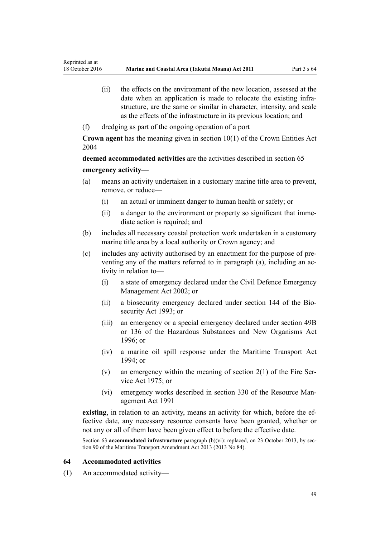- <span id="page-48-0"></span>(ii) the effects on the environment of the new location, assessed at the date when an application is made to relocate the existing infrastructure, are the same or similar in character, intensity, and scale as the effects of the infrastructure in its previous location; and
- (f) dredging as part of the ongoing operation of a port

**Crown agent** has the meaning given in [section 10\(1\)](http://prd-lgnz-nlb.prd.pco.net.nz/pdflink.aspx?id=DLM329649) of the Crown Entities Act 2004

**deemed accommodated activities** are the activities described in [section 65](#page-50-0) **emergency activity**—

- (a) means an activity undertaken in a customary marine title area to prevent, remove, or reduce—
	- (i) an actual or imminent danger to human health or safety; or
	- (ii) a danger to the environment or property so significant that immediate action is required; and
- (b) includes all necessary coastal protection work undertaken in a customary marine title area by a local authority or Crown agency; and
- (c) includes any activity authorised by an enactment for the purpose of preventing any of the matters referred to in paragraph (a), including an activity in relation to—
	- (i) a state of emergency declared under the [Civil Defence Emergency](http://prd-lgnz-nlb.prd.pco.net.nz/pdflink.aspx?id=DLM149788) [Management Act 2002;](http://prd-lgnz-nlb.prd.pco.net.nz/pdflink.aspx?id=DLM149788) or
	- (ii) a biosecurity emergency declared under [section 144](http://prd-lgnz-nlb.prd.pco.net.nz/pdflink.aspx?id=DLM149788) of the Biosecurity Act 1993; or
	- (iii) an emergency or a special emergency declared under [section 49B](http://prd-lgnz-nlb.prd.pco.net.nz/pdflink.aspx?id=DLM384019) or [136](http://prd-lgnz-nlb.prd.pco.net.nz/pdflink.aspx?id=DLM384998) of the Hazardous Substances and New Organisms Act  $1996$ ; or
	- (iv) a marine oil spill response under the [Maritime Transport Act](http://prd-lgnz-nlb.prd.pco.net.nz/pdflink.aspx?id=DLM334659) [1994](http://prd-lgnz-nlb.prd.pco.net.nz/pdflink.aspx?id=DLM334659); or
	- (v) an emergency within the meaning of section  $2(1)$  of the Fire Service Act 1975; or
	- (vi) emergency works described in [section 330](http://prd-lgnz-nlb.prd.pco.net.nz/pdflink.aspx?id=DLM239003) of the Resource Management Act 1991

**existing**, in relation to an activity, means an activity for which, before the effective date, any necessary resource consents have been granted, whether or not any or all of them have been given effect to before the effective date.

Section 63 **accommodated infrastructure** paragraph (b)(vi): replaced, on 23 October 2013, by [sec](http://prd-lgnz-nlb.prd.pco.net.nz/pdflink.aspx?id=DLM4698973)[tion 90](http://prd-lgnz-nlb.prd.pco.net.nz/pdflink.aspx?id=DLM4698973) of the Maritime Transport Amendment Act 2013 (2013 No 84).

# **64 Accommodated activities**

(1) An accommodated activity—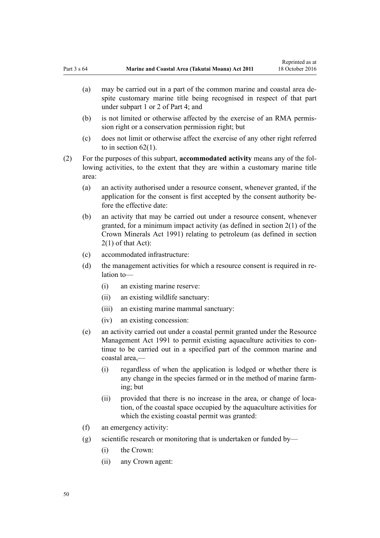- (a) may be carried out in a part of the common marine and coastal area despite customary marine title being recognised in respect of that part under [subpart 1](#page-67-0) or [2](#page-69-0) of Part 4; and
- (b) is not limited or otherwise affected by the exercise of an RMA permission right or a conservation permission right; but
- (c) does not limit or otherwise affect the exercise of any other right referred to in [section 62\(1\)](#page-45-0).
- (2) For the purposes of this subpart, **accommodated activity** means any of the following activities, to the extent that they are within a customary marine title area:
	- (a) an activity authorised under a resource consent, whenever granted, if the application for the consent is first accepted by the consent authority before the effective date:
	- (b) an activity that may be carried out under a resource consent, whenever granted, for a minimum impact activity (as defined in [section 2\(1\)](http://prd-lgnz-nlb.prd.pco.net.nz/pdflink.aspx?id=DLM242543) of the Crown Minerals Act 1991) relating to petroleum (as defined in section 2(1) of that Act):
	- (c) accommodated infrastructure:
	- (d) the management activities for which a resource consent is required in relation to—
		- (i) an existing marine reserve:
		- (ii) an existing wildlife sanctuary:
		- (iii) an existing marine mammal sanctuary:
		- (iv) an existing concession:
	- (e) an activity carried out under a coastal permit granted under the [Resource](http://prd-lgnz-nlb.prd.pco.net.nz/pdflink.aspx?id=DLM230264) [Management Act 1991](http://prd-lgnz-nlb.prd.pco.net.nz/pdflink.aspx?id=DLM230264) to permit existing aquaculture activities to continue to be carried out in a specified part of the common marine and coastal area,—
		- (i) regardless of when the application is lodged or whether there is any change in the species farmed or in the method of marine farming; but
		- (ii) provided that there is no increase in the area, or change of location, of the coastal space occupied by the aquaculture activities for which the existing coastal permit was granted:
	- (f) an emergency activity:
	- (g) scientific research or monitoring that is undertaken or funded by—
		- (i) the Crown:
		- (ii) any Crown agent: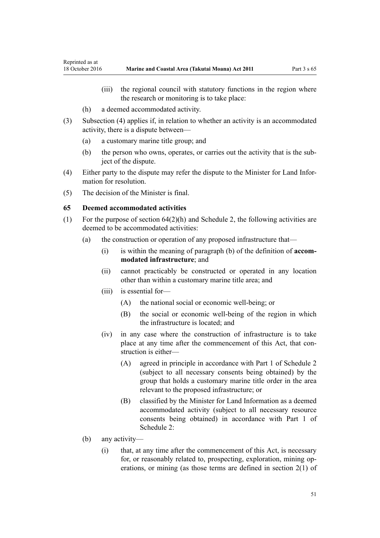- <span id="page-50-0"></span>(iii) the regional council with statutory functions in the region where the research or monitoring is to take place:
- (h) a deemed accommodated activity.
- (3) Subsection (4) applies if, in relation to whether an activity is an accommodated activity, there is a dispute between—
	- (a) a customary marine title group; and
	- (b) the person who owns, operates, or carries out the activity that is the subject of the dispute.
- (4) Either party to the dispute may refer the dispute to the Minister for Land Information for resolution.
- (5) The decision of the Minister is final.

# **65 Deemed accommodated activities**

- (1) For the purpose of [section 64\(2\)\(h\)](#page-48-0) and [Schedule 2](#page-90-0), the following activities are deemed to be accommodated activities:
	- (a) the construction or operation of any proposed infrastructure that—
		- (i) is within the meaning of paragraph (b) of the definition of **accommodated infrastructure**; and
		- (ii) cannot practicably be constructed or operated in any location other than within a customary marine title area; and
		- (iii) is essential for—
			- (A) the national social or economic well-being; or
			- (B) the social or economic well-being of the region in which the infrastructure is located; and
		- (iv) in any case where the construction of infrastructure is to take place at any time after the commencement of this Act, that construction is either—
			- (A) agreed in principle in accordance with [Part 1](#page-90-0) of Schedule 2 (subject to all necessary consents being obtained) by the group that holds a customary marine title order in the area relevant to the proposed infrastructure; or
			- (B) classified by the Minister for Land Information as a deemed accommodated activity (subject to all necessary resource consents being obtained) in accordance with [Part 1](#page-90-0) of Schedule 2:
	- (b) any activity—
		- (i) that, at any time after the commencement of this Act, is necessary for, or reasonably related to, prospecting, exploration, mining operations, or mining (as those terms are defined in [section 2\(1\)](http://prd-lgnz-nlb.prd.pco.net.nz/pdflink.aspx?id=DLM242543) of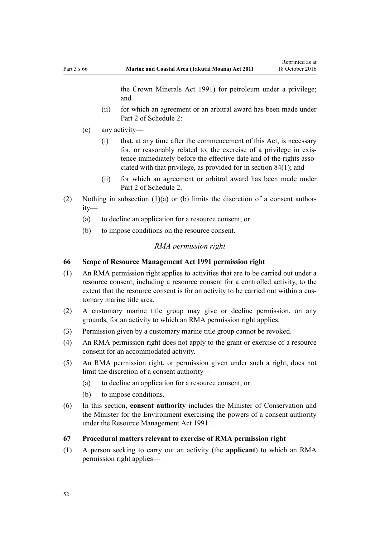the Crown Minerals Act 1991) for petroleum under a privilege; and

- <span id="page-51-0"></span>(ii) for which an agreement or an arbitral award has been made under [Part 2](#page-93-0) of Schedule 2:
- (c) any activity—
	- (i) that, at any time after the commencement of this Act, is necessary for, or reasonably related to, the exercise of a privilege in existence immediately before the effective date and of the rights associated with that privilege, as provided for in [section 84\(1\)](#page-61-0); and
	- (ii) for which an agreement or arbitral award has been made under [Part 2](#page-93-0) of Schedule 2.
- (2) Nothing in subsection (1)(a) or (b) limits the discretion of a consent authority—
	- (a) to decline an application for a resource consent; or
	- (b) to impose conditions on the resource consent.

# *RMA permission right*

# **66 Scope of Resource Management Act 1991 permission right**

- (1) An RMA permission right applies to activities that are to be carried out under a resource consent, including a resource consent for a controlled activity, to the extent that the resource consent is for an activity to be carried out within a customary marine title area.
- (2) A customary marine title group may give or decline permission, on any grounds, for an activity to which an RMA permission right applies.
- (3) Permission given by a customary marine title group cannot be revoked.
- (4) An RMA permission right does not apply to the grant or exercise of a resource consent for an accommodated activity.
- (5) An RMA permission right, or permission given under such a right, does not limit the discretion of a consent authority—
	- (a) to decline an application for a resource consent; or
	- (b) to impose conditions.
- (6) In this section, **consent authority** includes the Minister of Conservation and the Minister for the Environment exercising the powers of a consent authority under the [Resource Management Act 1991](http://prd-lgnz-nlb.prd.pco.net.nz/pdflink.aspx?id=DLM230264).
- **67 Procedural matters relevant to exercise of RMA permission right**
- (1) A person seeking to carry out an activity (the **applicant**) to which an RMA permission right applies—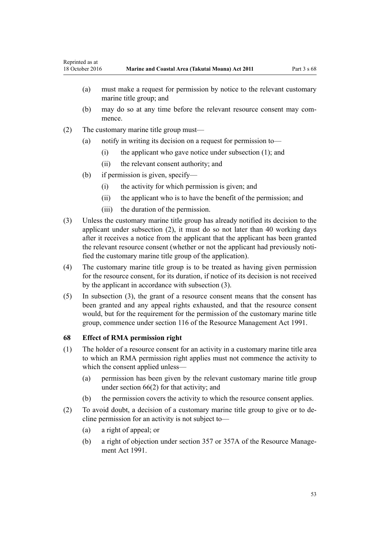- (a) must make a request for permission by notice to the relevant customary marine title group; and
- (b) may do so at any time before the relevant resource consent may commence.
- (2) The customary marine title group must—
	- (a) notify in writing its decision on a request for permission to—
		- (i) the applicant who gave notice under subsection (1); and
		- (ii) the relevant consent authority; and
	- (b) if permission is given, specify—
		- (i) the activity for which permission is given; and
		- (ii) the applicant who is to have the benefit of the permission; and
		- (iii) the duration of the permission.
- (3) Unless the customary marine title group has already notified its decision to the applicant under subsection (2), it must do so not later than 40 working days after it receives a notice from the applicant that the applicant has been granted the relevant resource consent (whether or not the applicant had previously notified the customary marine title group of the application).
- (4) The customary marine title group is to be treated as having given permission for the resource consent, for its duration, if notice of its decision is not received by the applicant in accordance with subsection (3).
- (5) In subsection (3), the grant of a resource consent means that the consent has been granted and any appeal rights exhausted, and that the resource consent would, but for the requirement for the permission of the customary marine title group, commence under [section 116](http://prd-lgnz-nlb.prd.pco.net.nz/pdflink.aspx?id=DLM234865) of the Resource Management Act 1991.

# **68 Effect of RMA permission right**

- (1) The holder of a resource consent for an activity in a customary marine title area to which an RMA permission right applies must not commence the activity to which the consent applied unless—
	- (a) permission has been given by the relevant customary marine title group under [section 66\(2\)](#page-51-0) for that activity; and
	- (b) the permission covers the activity to which the resource consent applies.
- (2) To avoid doubt, a decision of a customary marine title group to give or to decline permission for an activity is not subject to—
	- (a) a right of appeal; or
	- (b) a right of objection under [section 357](http://prd-lgnz-nlb.prd.pco.net.nz/pdflink.aspx?id=DLM239342) or [357A](http://prd-lgnz-nlb.prd.pco.net.nz/pdflink.aspx?id=DLM239356) of the Resource Management Act 1991.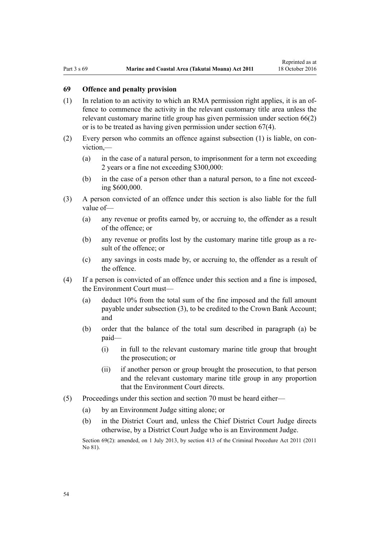# **69 Offence and penalty provision**

- (1) In relation to an activity to which an RMA permission right applies, it is an offence to commence the activity in the relevant customary title area unless the relevant customary marine title group has given permission under [section 66\(2\)](#page-51-0) or is to be treated as having given permission under [section 67\(4\).](#page-51-0)
- (2) Every person who commits an offence against subsection (1) is liable, on conviction,—
	- (a) in the case of a natural person, to imprisonment for a term not exceeding 2 years or a fine not exceeding \$300,000:
	- (b) in the case of a person other than a natural person, to a fine not exceeding \$600,000.
- (3) A person convicted of an offence under this section is also liable for the full value of—
	- (a) any revenue or profits earned by, or accruing to, the offender as a result of the offence; or
	- (b) any revenue or profits lost by the customary marine title group as a result of the offence; or
	- (c) any savings in costs made by, or accruing to, the offender as a result of the offence.
- (4) If a person is convicted of an offence under this section and a fine is imposed, the Environment Court must—
	- (a) deduct 10% from the total sum of the fine imposed and the full amount payable under subsection (3), to be credited to the Crown Bank Account; and
	- (b) order that the balance of the total sum described in paragraph (a) be paid—
		- (i) in full to the relevant customary marine title group that brought the prosecution; or
		- (ii) if another person or group brought the prosecution, to that person and the relevant customary marine title group in any proportion that the Environment Court directs.
- (5) Proceedings under this section and [section 70](#page-54-0) must be heard either—
	- (a) by an Environment Judge sitting alone; or
	- (b) in the District Court and, unless the Chief District Court Judge directs otherwise, by a District Court Judge who is an Environment Judge.

Section 69(2): amended, on 1 July 2013, by [section 413](http://prd-lgnz-nlb.prd.pco.net.nz/pdflink.aspx?id=DLM3360714) of the Criminal Procedure Act 2011 (2011) No 81).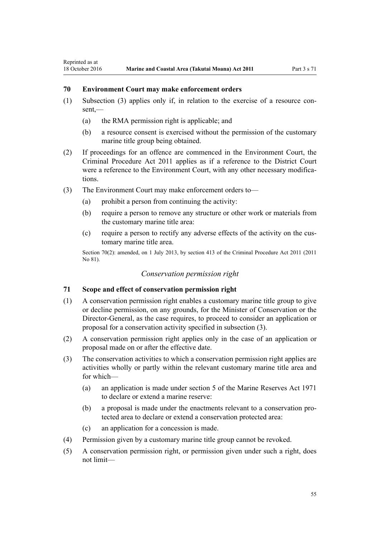# **70 Environment Court may make enforcement orders**

<span id="page-54-0"></span>Reprinted as at

- (1) Subsection (3) applies only if, in relation to the exercise of a resource con $sent$  —
	- (a) the RMA permission right is applicable; and
	- (b) a resource consent is exercised without the permission of the customary marine title group being obtained.
- (2) If proceedings for an offence are commenced in the Environment Court, the [Criminal Procedure Act 2011](http://prd-lgnz-nlb.prd.pco.net.nz/pdflink.aspx?id=DLM3359902) applies as if a reference to the District Court were a reference to the Environment Court, with any other necessary modifications.
- (3) The Environment Court may make enforcement orders to—
	- (a) prohibit a person from continuing the activity:
	- (b) require a person to remove any structure or other work or materials from the customary marine title area:
	- (c) require a person to rectify any adverse effects of the activity on the customary marine title area.

Section 70(2): amended, on 1 July 2013, by [section 413](http://prd-lgnz-nlb.prd.pco.net.nz/pdflink.aspx?id=DLM3360714) of the Criminal Procedure Act 2011 (2011) No 81).

# *Conservation permission right*

# **71 Scope and effect of conservation permission right**

- (1) A conservation permission right enables a customary marine title group to give or decline permission, on any grounds, for the Minister of Conservation or the Director-General, as the case requires, to proceed to consider an application or proposal for a conservation activity specified in subsection (3).
- (2) A conservation permission right applies only in the case of an application or proposal made on or after the effective date.
- (3) The conservation activities to which a conservation permission right applies are activities wholly or partly within the relevant customary marine title area and for which—
	- (a) an application is made under [section 5](http://prd-lgnz-nlb.prd.pco.net.nz/pdflink.aspx?id=DLM398113) of the Marine Reserves Act 1971 to declare or extend a marine reserve:
	- (b) a proposal is made under the enactments relevant to a conservation protected area to declare or extend a conservation protected area:
	- (c) an application for a concession is made.
- (4) Permission given by a customary marine title group cannot be revoked.
- (5) A conservation permission right, or permission given under such a right, does not limit—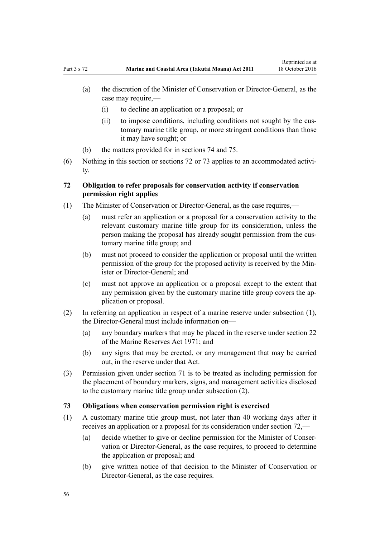- (i) to decline an application or a proposal; or
- (ii) to impose conditions, including conditions not sought by the customary marine title group, or more stringent conditions than those it may have sought; or
- (b) the matters provided for in [sections 74](#page-56-0) and [75.](#page-56-0)
- (6) Nothing in this section or sections 72 or 73 applies to an accommodated activity.

# **72 Obligation to refer proposals for conservation activity if conservation permission right applies**

- (1) The Minister of Conservation or Director-General, as the case requires,—
	- (a) must refer an application or a proposal for a conservation activity to the relevant customary marine title group for its consideration, unless the person making the proposal has already sought permission from the customary marine title group; and
	- (b) must not proceed to consider the application or proposal until the written permission of the group for the proposed activity is received by the Minister or Director-General: and
	- (c) must not approve an application or a proposal except to the extent that any permission given by the customary marine title group covers the application or proposal.
- (2) In referring an application in respect of a marine reserve under subsection (1), the Director-General must include information on—
	- (a) any boundary markers that may be placed in the reserve under [section 22](http://prd-lgnz-nlb.prd.pco.net.nz/pdflink.aspx?id=DLM398410) of the Marine Reserves Act 1971; and
	- (b) any signs that may be erected, or any management that may be carried out, in the reserve under that Act.
- (3) Permission given under [section 71](#page-54-0) is to be treated as including permission for the placement of boundary markers, signs, and management activities disclosed to the customary marine title group under subsection (2).

# **73 Obligations when conservation permission right is exercised**

- (1) A customary marine title group must, not later than 40 working days after it receives an application or a proposal for its consideration under section 72,—
	- (a) decide whether to give or decline permission for the Minister of Conservation or Director-General, as the case requires, to proceed to determine the application or proposal; and
	- (b) give written notice of that decision to the Minister of Conservation or Director-General, as the case requires.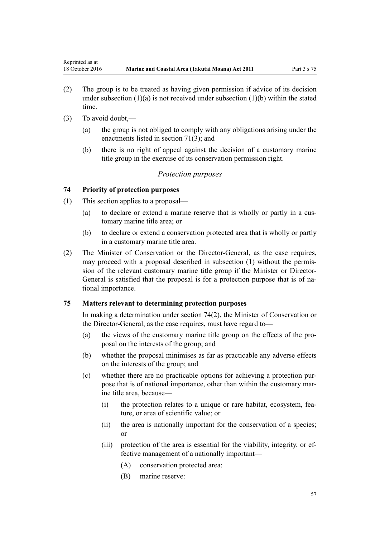- <span id="page-56-0"></span>(2) The group is to be treated as having given permission if advice of its decision under subsection  $(1)(a)$  is not received under subsection  $(1)(b)$  within the stated time.
- (3) To avoid doubt,—
	- (a) the group is not obliged to comply with any obligations arising under the enactments listed in [section 71\(3\);](#page-54-0) and
	- (b) there is no right of appeal against the decision of a customary marine title group in the exercise of its conservation permission right.

# *Protection purposes*

# **74 Priority of protection purposes**

- (1) This section applies to a proposal—
	- (a) to declare or extend a marine reserve that is wholly or partly in a customary marine title area; or
	- (b) to declare or extend a conservation protected area that is wholly or partly in a customary marine title area.
- (2) The Minister of Conservation or the Director-General, as the case requires, may proceed with a proposal described in subsection (1) without the permission of the relevant customary marine title group if the Minister or Director-General is satisfied that the proposal is for a protection purpose that is of national importance.

# **75 Matters relevant to determining protection purposes**

In making a determination under section 74(2), the Minister of Conservation or the Director-General, as the case requires, must have regard to—

- (a) the views of the customary marine title group on the effects of the proposal on the interests of the group; and
- (b) whether the proposal minimises as far as practicable any adverse effects on the interests of the group; and
- (c) whether there are no practicable options for achieving a protection purpose that is of national importance, other than within the customary marine title area, because—
	- (i) the protection relates to a unique or rare habitat, ecosystem, feature, or area of scientific value; or
	- (ii) the area is nationally important for the conservation of a species; or
	- (iii) protection of the area is essential for the viability, integrity, or effective management of a nationally important—
		- (A) conservation protected area:
		- (B) marine reserve: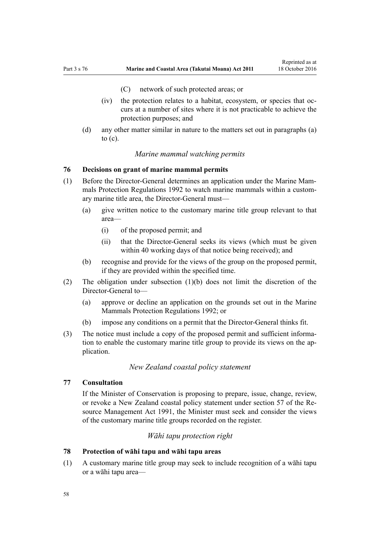- (C) network of such protected areas; or
- <span id="page-57-0"></span>(iv) the protection relates to a habitat, ecosystem, or species that occurs at a number of sites where it is not practicable to achieve the protection purposes; and
- (d) any other matter similar in nature to the matters set out in paragraphs (a) to  $(c)$ .

# *Marine mammal watching permits*

# **76 Decisions on grant of marine mammal permits**

- (1) Before the Director-General determines an application under the [Marine Mam](http://prd-lgnz-nlb.prd.pco.net.nz/pdflink.aspx?id=DLM168285)[mals Protection Regulations 1992](http://prd-lgnz-nlb.prd.pco.net.nz/pdflink.aspx?id=DLM168285) to watch marine mammals within a customary marine title area, the Director-General must—
	- (a) give written notice to the customary marine title group relevant to that area—
		- (i) of the proposed permit; and
		- (ii) that the Director-General seeks its views (which must be given within 40 working days of that notice being received); and
	- (b) recognise and provide for the views of the group on the proposed permit, if they are provided within the specified time.
- (2) The obligation under subsection (1)(b) does not limit the discretion of the Director-General to—
	- (a) approve or decline an application on the grounds set out in the [Marine](http://prd-lgnz-nlb.prd.pco.net.nz/pdflink.aspx?id=DLM168285) [Mammals Protection Regulations 1992](http://prd-lgnz-nlb.prd.pco.net.nz/pdflink.aspx?id=DLM168285); or
	- (b) impose any conditions on a permit that the Director-General thinks fit.
- (3) The notice must include a copy of the proposed permit and sufficient information to enable the customary marine title group to provide its views on the application.

# *New Zealand coastal policy statement*

# **77 Consultation**

If the Minister of Conservation is proposing to prepare, issue, change, review, or revoke a New Zealand coastal policy statement under [section 57](http://prd-lgnz-nlb.prd.pco.net.nz/pdflink.aspx?id=DLM233379) of the Resource Management Act 1991, the Minister must seek and consider the views of the customary marine title groups recorded on the register.

# *Wāhi tapu protection right*

# **78 Protection of wāhi tapu and wāhi tapu areas**

(1) A customary marine title group may seek to include recognition of a wāhi tapu or a wāhi tapu area—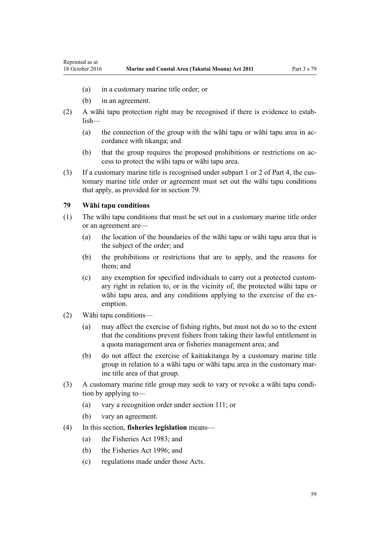- <span id="page-58-0"></span>(a) in a customary marine title order; or
- (b) in an agreement.
- (2) A wāhi tapu protection right may be recognised if there is evidence to establish—
	- (a) the connection of the group with the wāhi tapu or wāhi tapu area in accordance with tikanga; and
	- (b) that the group requires the proposed prohibitions or restrictions on access to protect the wāhi tapu or wāhi tapu area.
- (3) If a customary marine title is recognised under [subpart 1](#page-67-0) or [2](#page-69-0) of Part 4, the customary marine title order or agreement must set out the wāhi tapu conditions that apply, as provided for in section 79.

### **79 Wāhi tapu conditions**

- (1) The wāhi tapu conditions that must be set out in a customary marine title order or an agreement are—
	- (a) the location of the boundaries of the wāhi tapu or wāhi tapu area that is the subject of the order; and
	- (b) the prohibitions or restrictions that are to apply, and the reasons for them; and
	- (c) any exemption for specified individuals to carry out a protected customary right in relation to, or in the vicinity of, the protected wāhi tapu or wāhi tapu area, and any conditions applying to the exercise of the exemption.
- (2) Wāhi tapu conditions—
	- (a) may affect the exercise of fishing rights, but must not do so to the extent that the conditions prevent fishers from taking their lawful entitlement in a quota management area or fisheries management area; and
	- (b) do not affect the exercise of kaitiakitanga by a customary marine title group in relation to a wāhi tapu or wāhi tapu area in the customary marine title area of that group.
- (3) A customary marine title group may seek to vary or revoke a wāhi tapu condition by applying to—
	- (a) vary a recognition order under [section 111;](#page-74-0) or
	- (b) vary an agreement.
- (4) In this section, **fisheries legislation** means—
	- (a) the [Fisheries Act 1983](http://prd-lgnz-nlb.prd.pco.net.nz/pdflink.aspx?id=DLM66581); and
	- (b) the [Fisheries Act 1996](http://prd-lgnz-nlb.prd.pco.net.nz/pdflink.aspx?id=DLM394191); and
	- (c) regulations made under those Acts.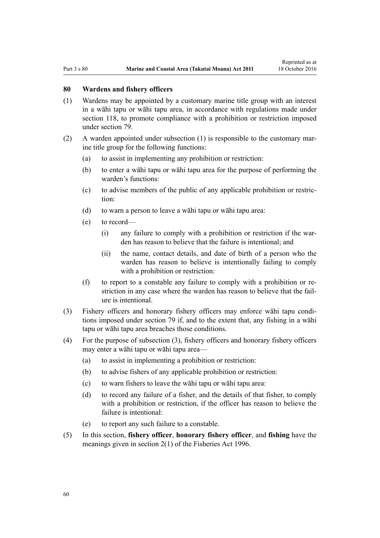#### **80 Wardens and fishery officers**

- (1) Wardens may be appointed by a customary marine title group with an interest in a wāhi tapu or wāhi tapu area, in accordance with regulations made under [section 118,](#page-77-0) to promote compliance with a prohibition or restriction imposed under [section 79](#page-58-0).
- (2) A warden appointed under subsection (1) is responsible to the customary marine title group for the following functions:
	- (a) to assist in implementing any prohibition or restriction:
	- (b) to enter a wāhi tapu or wāhi tapu area for the purpose of performing the warden's functions:
	- (c) to advise members of the public of any applicable prohibition or restriction:
	- (d) to warn a person to leave a wāhi tapu or wāhi tapu area:
	- (e) to record—
		- (i) any failure to comply with a prohibition or restriction if the warden has reason to believe that the failure is intentional; and
		- (ii) the name, contact details, and date of birth of a person who the warden has reason to believe is intentionally failing to comply with a prohibition or restriction:
	- (f) to report to a constable any failure to comply with a prohibition or restriction in any case where the warden has reason to believe that the failure is intentional.
- (3) Fishery officers and honorary fishery officers may enforce wāhi tapu conditions imposed under [section 79](#page-58-0) if, and to the extent that, any fishing in a wāhi tapu or wāhi tapu area breaches those conditions.
- (4) For the purpose of subsection (3), fishery officers and honorary fishery officers may enter a wāhi tapu or wāhi tapu area—
	- (a) to assist in implementing a prohibition or restriction:
	- (b) to advise fishers of any applicable prohibition or restriction:
	- (c) to warn fishers to leave the wāhi tapu or wāhi tapu area:
	- (d) to record any failure of a fisher, and the details of that fisher, to comply with a prohibition or restriction, if the officer has reason to believe the failure is intentional:
	- (e) to report any such failure to a constable.
- (5) In this section, **fishery officer**, **honorary fishery officer**, and **fishing** have the meanings given in [section 2\(1\)](http://prd-lgnz-nlb.prd.pco.net.nz/pdflink.aspx?id=DLM394199) of the Fisheries Act 1996.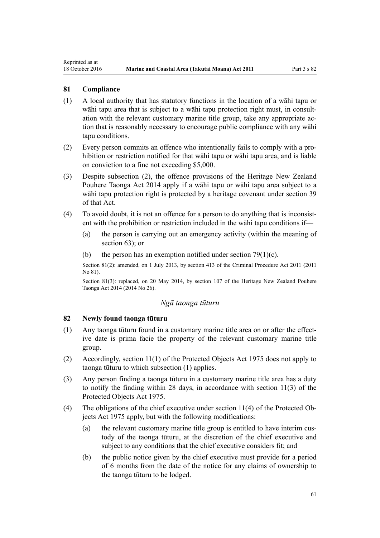### **81 Compliance**

<span id="page-60-0"></span>Reprinted as at

- (1) A local authority that has statutory functions in the location of a wāhi tapu or wāhi tapu area that is subject to a wāhi tapu protection right must, in consultation with the relevant customary marine title group, take any appropriate action that is reasonably necessary to encourage public compliance with any wāhi tapu conditions.
- (2) Every person commits an offence who intentionally fails to comply with a prohibition or restriction notified for that wāhi tapu or wāhi tapu area, and is liable on conviction to a fine not exceeding \$5,000.
- (3) Despite subsection (2), the offence provisions of the [Heritage New Zealand](http://prd-lgnz-nlb.prd.pco.net.nz/pdflink.aspx?id=DLM4005402) [Pouhere Taonga Act 2014](http://prd-lgnz-nlb.prd.pco.net.nz/pdflink.aspx?id=DLM4005402) apply if a wāhi tapu or wāhi tapu area subject to a wāhi tapu protection right is protected by a heritage covenant under [section 39](http://prd-lgnz-nlb.prd.pco.net.nz/pdflink.aspx?id=DLM4005548) of that Act.
- (4) To avoid doubt, it is not an offence for a person to do anything that is inconsistent with the prohibition or restriction included in the wāhi tapu conditions if—
	- (a) the person is carrying out an emergency activity (within the meaning of [section 63](#page-46-0)); or
	- (b) the person has an exemption notified under section  $79(1)(c)$ .

Section 81(2): amended, on 1 July 2013, by [section 413](http://prd-lgnz-nlb.prd.pco.net.nz/pdflink.aspx?id=DLM3360714) of the Criminal Procedure Act 2011 (2011 No 81).

Section 81(3): replaced, on 20 May 2014, by [section 107](http://prd-lgnz-nlb.prd.pco.net.nz/pdflink.aspx?id=DLM4005646) of the Heritage New Zealand Pouhere Taonga Act 2014 (2014 No 26).

#### *Ngā taonga tūturu*

# **82 Newly found taonga tūturu**

- (1) Any taonga tūturu found in a customary marine title area on or after the effective date is prima facie the property of the relevant customary marine title group.
- (2) Accordingly, [section 11\(1\)](http://prd-lgnz-nlb.prd.pco.net.nz/pdflink.aspx?id=DLM432422) of the Protected Objects Act 1975 does not apply to taonga tūturu to which subsection (1) applies.
- (3) Any person finding a taonga tūturu in a customary marine title area has a duty to notify the finding within 28 days, in accordance with [section 11\(3\)](http://prd-lgnz-nlb.prd.pco.net.nz/pdflink.aspx?id=DLM432422) of the Protected Objects Act 1975.
- (4) The obligations of the chief executive under [section 11\(4\)](http://prd-lgnz-nlb.prd.pco.net.nz/pdflink.aspx?id=DLM432422) of the Protected Objects Act 1975 apply, but with the following modifications:
	- (a) the relevant customary marine title group is entitled to have interim custody of the taonga tūturu, at the discretion of the chief executive and subject to any conditions that the chief executive considers fit; and
	- (b) the public notice given by the chief executive must provide for a period of 6 months from the date of the notice for any claims of ownership to the taonga tūturu to be lodged.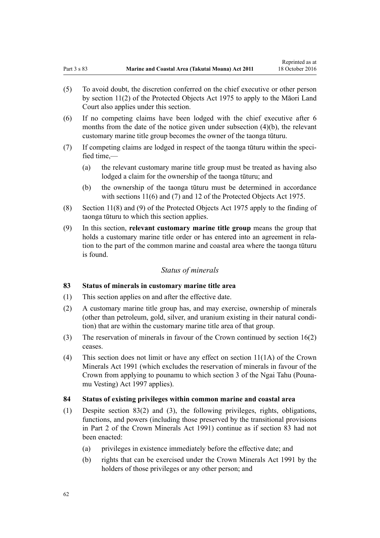- <span id="page-61-0"></span>(5) To avoid doubt, the discretion conferred on the chief executive or other person by [section 11\(2\)](http://prd-lgnz-nlb.prd.pco.net.nz/pdflink.aspx?id=DLM432422) of the Protected Objects Act 1975 to apply to the Māori Land Court also applies under this section.
- (6) If no competing claims have been lodged with the chief executive after 6 months from the date of the notice given under subsection (4)(b), the relevant customary marine title group becomes the owner of the taonga tūturu.
- (7) If competing claims are lodged in respect of the taonga tūturu within the specified time,—
	- (a) the relevant customary marine title group must be treated as having also lodged a claim for the ownership of the taonga tūturu; and
	- (b) the ownership of the taonga tūturu must be determined in accordance with [sections 11\(6\) and \(7\)](http://prd-lgnz-nlb.prd.pco.net.nz/pdflink.aspx?id=DLM432422) and [12](http://prd-lgnz-nlb.prd.pco.net.nz/pdflink.aspx?id=DLM432435) of the Protected Objects Act 1975.
- (8) [Section 11\(8\) and \(9\)](http://prd-lgnz-nlb.prd.pco.net.nz/pdflink.aspx?id=DLM432422) of the Protected Objects Act 1975 apply to the finding of taonga tūturu to which this section applies.
- (9) In this section, **relevant customary marine title group** means the group that holds a customary marine title order or has entered into an agreement in relation to the part of the common marine and coastal area where the taonga tūturu is found.

# *Status of minerals*

# **83 Status of minerals in customary marine title area**

- (1) This section applies on and after the effective date.
- (2) A customary marine title group has, and may exercise, ownership of minerals (other than petroleum, gold, silver, and uranium existing in their natural condition) that are within the customary marine title area of that group.
- (3) The reservation of minerals in favour of the Crown continued by [section 16\(2\)](#page-19-0) ceases.
- (4) This section does not limit or have any effect on [section 11\(1A\)](http://prd-lgnz-nlb.prd.pco.net.nz/pdflink.aspx?id=DLM246311) of the Crown Minerals Act 1991 (which excludes the reservation of minerals in favour of the Crown from applying to pounamu to which [section 3](http://prd-lgnz-nlb.prd.pco.net.nz/pdflink.aspx?id=DLM413605) of the Ngai Tahu (Pounamu Vesting) Act 1997 applies).

### **84 Status of existing privileges within common marine and coastal area**

- (1) Despite section 83(2) and (3), the following privileges, rights, obligations, functions, and powers (including those preserved by the transitional provisions in [Part 2](http://prd-lgnz-nlb.prd.pco.net.nz/pdflink.aspx?id=DLM247305) of the Crown Minerals Act 1991) continue as if section 83 had not been enacted:
	- (a) privileges in existence immediately before the effective date; and
	- (b) rights that can be exercised under the [Crown Minerals Act 1991](http://prd-lgnz-nlb.prd.pco.net.nz/pdflink.aspx?id=DLM242535) by the holders of those privileges or any other person; and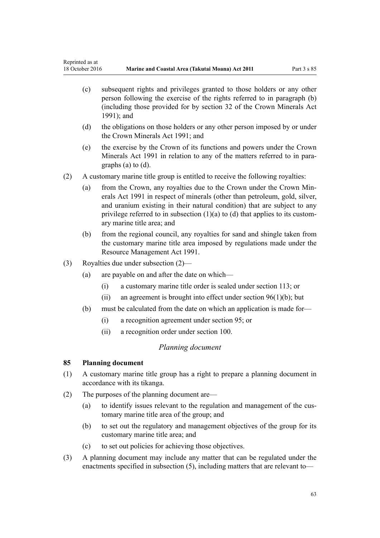- <span id="page-62-0"></span>(c) subsequent rights and privileges granted to those holders or any other person following the exercise of the rights referred to in paragraph (b) (including those provided for by [section 32](http://prd-lgnz-nlb.prd.pco.net.nz/pdflink.aspx?id=DLM246341) of the Crown Minerals Act 1991); and
- (d) the obligations on those holders or any other person imposed by or under the [Crown Minerals Act 1991;](http://prd-lgnz-nlb.prd.pco.net.nz/pdflink.aspx?id=DLM242535) and
- (e) the exercise by the Crown of its functions and powers under the [Crown](http://prd-lgnz-nlb.prd.pco.net.nz/pdflink.aspx?id=DLM242535) [Minerals Act 1991](http://prd-lgnz-nlb.prd.pco.net.nz/pdflink.aspx?id=DLM242535) in relation to any of the matters referred to in paragraphs (a) to (d).
- (2) A customary marine title group is entitled to receive the following royalties:
	- (a) from the Crown, any royalties due to the Crown under the [Crown Min](http://prd-lgnz-nlb.prd.pco.net.nz/pdflink.aspx?id=DLM242535)[erals Act 1991](http://prd-lgnz-nlb.prd.pco.net.nz/pdflink.aspx?id=DLM242535) in respect of minerals (other than petroleum, gold, silver, and uranium existing in their natural condition) that are subject to any privilege referred to in subsection  $(1)(a)$  to  $(d)$  that applies to its customary marine title area; and
	- (b) from the regional council, any royalties for sand and shingle taken from the customary marine title area imposed by regulations made under the [Resource Management Act 1991](http://prd-lgnz-nlb.prd.pco.net.nz/pdflink.aspx?id=DLM230264).
- (3) Royalties due under subsection (2)—
	- (a) are payable on and after the date on which—
		- (i) a customary marine title order is sealed under [section 113](#page-68-0); or
		- (ii) an agreement is brought into effect under section  $96(1)(b)$ ; but
	- (b) must be calculated from the date on which an application is made for—
		- (i) a recognition agreement under [section 95](#page-67-0); or
		- (ii) a recognition order under [section 100](#page-70-0).

# *Planning document*

# **85 Planning document**

- (1) A customary marine title group has a right to prepare a planning document in accordance with its tikanga.
- (2) The purposes of the planning document are—
	- (a) to identify issues relevant to the regulation and management of the customary marine title area of the group; and
	- (b) to set out the regulatory and management objectives of the group for its customary marine title area; and
	- (c) to set out policies for achieving those objectives.
- (3) A planning document may include any matter that can be regulated under the enactments specified in subsection (5), including matters that are relevant to—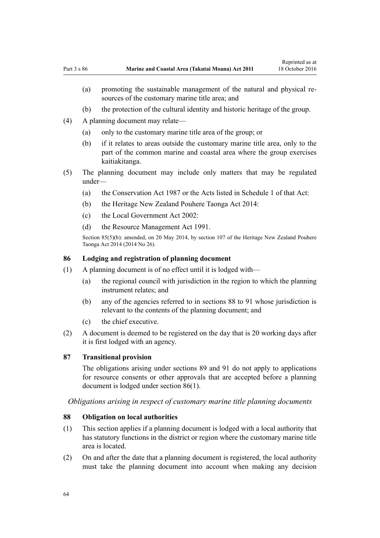- (b) the protection of the cultural identity and historic heritage of the group.
- <span id="page-63-0"></span>(4) A planning document may relate—
	- (a) only to the customary marine title area of the group; or
	- (b) if it relates to areas outside the customary marine title area, only to the part of the common marine and coastal area where the group exercises kaitiakitanga.
- (5) The planning document may include only matters that may be regulated under—
	- (a) the [Conservation Act 1987](http://prd-lgnz-nlb.prd.pco.net.nz/pdflink.aspx?id=DLM103609) or the Acts listed in [Schedule 1](http://prd-lgnz-nlb.prd.pco.net.nz/pdflink.aspx?id=DLM107200) of that Act:
	- (b) the [Heritage New Zealand Pouhere Taonga Act 2014:](http://prd-lgnz-nlb.prd.pco.net.nz/pdflink.aspx?id=DLM4005402)
	- (c) the [Local Government Act 2002](http://prd-lgnz-nlb.prd.pco.net.nz/pdflink.aspx?id=DLM170872):
	- (d) the [Resource Management Act 1991](http://prd-lgnz-nlb.prd.pco.net.nz/pdflink.aspx?id=DLM230264).

Section 85(5)(b): amended, on 20 May 2014, by [section 107](http://prd-lgnz-nlb.prd.pco.net.nz/pdflink.aspx?id=DLM4005646) of the Heritage New Zealand Pouhere Taonga Act 2014 (2014 No 26).

### **86 Lodging and registration of planning document**

- (1) A planning document is of no effect until it is lodged with—
	- (a) the regional council with jurisdiction in the region to which the planning instrument relates; and
	- (b) any of the agencies referred to in sections 88 to 91 whose jurisdiction is relevant to the contents of the planning document; and
	- (c) the chief executive.
- (2) A document is deemed to be registered on the day that is 20 working days after it is first lodged with an agency.

# **87 Transitional provision**

The obligations arising under [sections 89](#page-64-0) and [91](#page-64-0) do not apply to applications for resource consents or other approvals that are accepted before a planning document is lodged under section 86(1).

*Obligations arising in respect of customary marine title planning documents*

# **88 Obligation on local authorities**

- (1) This section applies if a planning document is lodged with a local authority that has statutory functions in the district or region where the customary marine title area is located.
- (2) On and after the date that a planning document is registered, the local authority must take the planning document into account when making any decision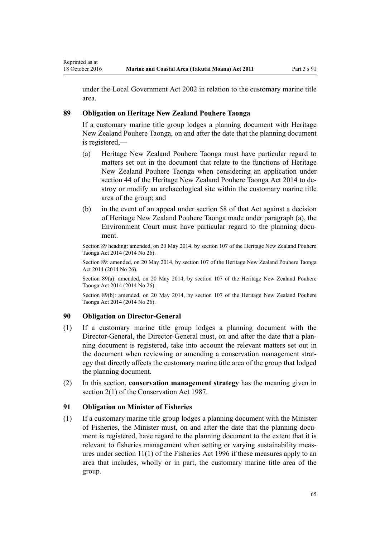<span id="page-64-0"></span>under the [Local Government Act 2002](http://prd-lgnz-nlb.prd.pco.net.nz/pdflink.aspx?id=DLM170872) in relation to the customary marine title area.

# **89 Obligation on Heritage New Zealand Pouhere Taonga**

If a customary marine title group lodges a planning document with Heritage New Zealand Pouhere Taonga, on and after the date that the planning document is registered,—

- (a) Heritage New Zealand Pouhere Taonga must have particular regard to matters set out in the document that relate to the functions of Heritage New Zealand Pouhere Taonga when considering an application under [section 44](http://prd-lgnz-nlb.prd.pco.net.nz/pdflink.aspx?id=DLM4005562) of the Heritage New Zealand Pouhere Taonga Act 2014 to destroy or modify an archaeological site within the customary marine title area of the group; and
- (b) in the event of an appeal under [section 58](http://prd-lgnz-nlb.prd.pco.net.nz/pdflink.aspx?id=DLM4005583) of that Act against a decision of Heritage New Zealand Pouhere Taonga made under paragraph (a), the Environment Court must have particular regard to the planning document.

Section 89 heading: amended, on 20 May 2014, by [section 107](http://prd-lgnz-nlb.prd.pco.net.nz/pdflink.aspx?id=DLM4005646) of the Heritage New Zealand Pouhere Taonga Act 2014 (2014 No 26).

Section 89: amended, on 20 May 2014, by [section 107](http://prd-lgnz-nlb.prd.pco.net.nz/pdflink.aspx?id=DLM4005646) of the Heritage New Zealand Pouhere Taonga Act 2014 (2014 No 26).

Section 89(a): amended, on 20 May 2014, by [section 107](http://prd-lgnz-nlb.prd.pco.net.nz/pdflink.aspx?id=DLM4005646) of the Heritage New Zealand Pouhere Taonga Act 2014 (2014 No 26).

Section 89(b): amended, on 20 May 2014, by [section 107](http://prd-lgnz-nlb.prd.pco.net.nz/pdflink.aspx?id=DLM4005646) of the Heritage New Zealand Pouhere Taonga Act 2014 (2014 No 26).

# **90 Obligation on Director-General**

- (1) If a customary marine title group lodges a planning document with the Director-General, the Director-General must, on and after the date that a planning document is registered, take into account the relevant matters set out in the document when reviewing or amending a conservation management strategy that directly affects the customary marine title area of the group that lodged the planning document.
- (2) In this section, **conservation management strategy** has the meaning given in [section 2\(1\)](http://prd-lgnz-nlb.prd.pco.net.nz/pdflink.aspx?id=DLM103616) of the Conservation Act 1987.

# **91 Obligation on Minister of Fisheries**

(1) If a customary marine title group lodges a planning document with the Minister of Fisheries, the Minister must, on and after the date that the planning document is registered, have regard to the planning document to the extent that it is relevant to fisheries management when setting or varying sustainability measures under [section 11\(1\)](http://prd-lgnz-nlb.prd.pco.net.nz/pdflink.aspx?id=DLM395397) of the Fisheries Act 1996 if these measures apply to an area that includes, wholly or in part, the customary marine title area of the group.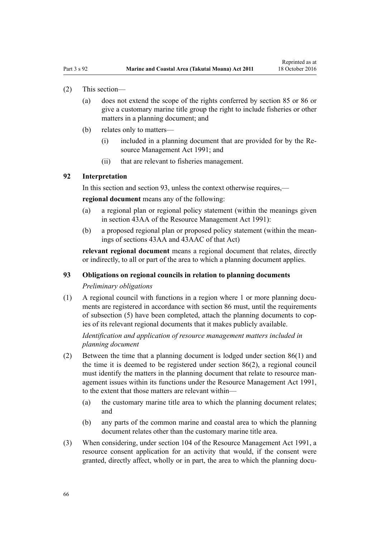### (2) This section—

- (a) does not extend the scope of the rights conferred by [section 85](#page-62-0) or [86](#page-63-0) or give a customary marine title group the right to include fisheries or other matters in a planning document; and
- (b) relates only to matters—
	- (i) included in a planning document that are provided for by the [Re](http://prd-lgnz-nlb.prd.pco.net.nz/pdflink.aspx?id=DLM230264)[source Management Act 1991](http://prd-lgnz-nlb.prd.pco.net.nz/pdflink.aspx?id=DLM230264); and
	- (ii) that are relevant to fisheries management.

# **92 Interpretation**

In this section and section 93, unless the context otherwise requires,—

**regional document** means any of the following:

- (a) a regional plan or regional policy statement (within the meanings given in [section 43AA](http://prd-lgnz-nlb.prd.pco.net.nz/pdflink.aspx?id=DLM2412743) of the Resource Management Act 1991):
- (b) a proposed regional plan or proposed policy statement (within the meanings of [sections 43AA](http://prd-lgnz-nlb.prd.pco.net.nz/pdflink.aspx?id=DLM2412743) and [43AAC](http://prd-lgnz-nlb.prd.pco.net.nz/pdflink.aspx?id=DLM2412769) of that Act)

**relevant regional document** means a regional document that relates, directly or indirectly, to all or part of the area to which a planning document applies.

### **93 Obligations on regional councils in relation to planning documents**

### *Preliminary obligations*

(1) A regional council with functions in a region where 1 or more planning documents are registered in accordance with [section 86](#page-63-0) must, until the requirements of subsection (5) have been completed, attach the planning documents to copies of its relevant regional documents that it makes publicly available.

*Identification and application of resource management matters included in planning document*

- (2) Between the time that a planning document is lodged under [section 86\(1\)](#page-63-0) and the time it is deemed to be registered under section 86(2), a regional council must identify the matters in the planning document that relate to resource management issues within its functions under the [Resource Management Act 1991](http://prd-lgnz-nlb.prd.pco.net.nz/pdflink.aspx?id=DLM230264), to the extent that those matters are relevant within—
	- (a) the customary marine title area to which the planning document relates; and
	- (b) any parts of the common marine and coastal area to which the planning document relates other than the customary marine title area.
- (3) When considering, under [section 104](http://prd-lgnz-nlb.prd.pco.net.nz/pdflink.aspx?id=DLM234355) of the Resource Management Act 1991, a resource consent application for an activity that would, if the consent were granted, directly affect, wholly or in part, the area to which the planning docu-

66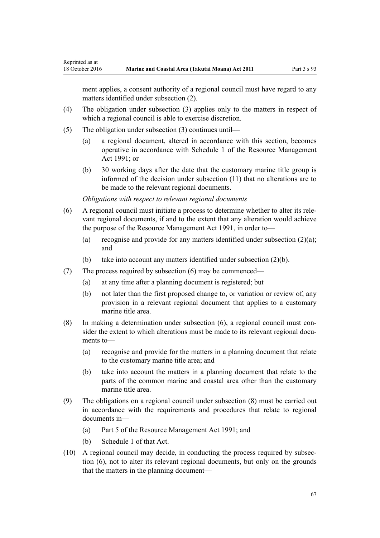ment applies, a consent authority of a regional council must have regard to any matters identified under subsection (2).

- (4) The obligation under subsection (3) applies only to the matters in respect of which a regional council is able to exercise discretion.
- (5) The obligation under subsection (3) continues until—

Reprinted as at

- (a) a regional document, altered in accordance with this section, becomes operative in accordance with [Schedule 1](http://prd-lgnz-nlb.prd.pco.net.nz/pdflink.aspx?id=DLM240686) of the Resource Management Act 1991; or
- (b) 30 working days after the date that the customary marine title group is informed of the decision under subsection (11) that no alterations are to be made to the relevant regional documents.

*Obligations with respect to relevant regional documents*

- (6) A regional council must initiate a process to determine whether to alter its relevant regional documents, if and to the extent that any alteration would achieve the purpose of the [Resource Management Act 1991,](http://prd-lgnz-nlb.prd.pco.net.nz/pdflink.aspx?id=DLM230264) in order to—
	- (a) recognise and provide for any matters identified under subsection (2)(a); and
	- (b) take into account any matters identified under subsection (2)(b).
- (7) The process required by subsection (6) may be commenced—
	- (a) at any time after a planning document is registered; but
	- (b) not later than the first proposed change to, or variation or review of, any provision in a relevant regional document that applies to a customary marine title area.
- (8) In making a determination under subsection (6), a regional council must consider the extent to which alterations must be made to its relevant regional documents to—
	- (a) recognise and provide for the matters in a planning document that relate to the customary marine title area; and
	- (b) take into account the matters in a planning document that relate to the parts of the common marine and coastal area other than the customary marine title area.
- (9) The obligations on a regional council under subsection (8) must be carried out in accordance with the requirements and procedures that relate to regional documents in—
	- (a) [Part 5](http://prd-lgnz-nlb.prd.pco.net.nz/pdflink.aspx?id=DLM233301) of the Resource Management Act 1991; and
	- (b) [Schedule 1](http://prd-lgnz-nlb.prd.pco.net.nz/pdflink.aspx?id=DLM240686) of that Act.
- (10) A regional council may decide, in conducting the process required by subsection (6), not to alter its relevant regional documents, but only on the grounds that the matters in the planning document—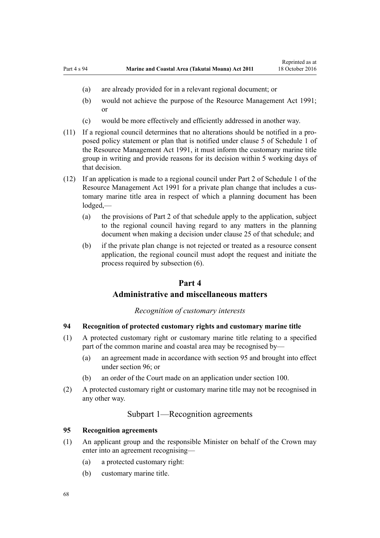- <span id="page-67-0"></span>(a) are already provided for in a relevant regional document; or
- (b) would not achieve the purpose of the [Resource Management Act 1991;](http://prd-lgnz-nlb.prd.pco.net.nz/pdflink.aspx?id=DLM230264) or
- (c) would be more effectively and efficiently addressed in another way.
- (11) If a regional council determines that no alterations should be notified in a proposed policy statement or plan that is notified under [clause 5](http://prd-lgnz-nlb.prd.pco.net.nz/pdflink.aspx?id=DLM241213) of Schedule 1 of the Resource Management Act 1991, it must inform the customary marine title group in writing and provide reasons for its decision within 5 working days of that decision.
- (12) If an application is made to a regional council under [Part 2](http://prd-lgnz-nlb.prd.pco.net.nz/pdflink.aspx?id=DLM241513) of Schedule 1 of the Resource Management Act 1991 for a private plan change that includes a customary marine title area in respect of which a planning document has been lodged,—
	- (a) the provisions of [Part 2](http://prd-lgnz-nlb.prd.pco.net.nz/pdflink.aspx?id=DLM241513) of that schedule apply to the application, subject to the regional council having regard to any matters in the planning document when making a decision under [clause 25](http://prd-lgnz-nlb.prd.pco.net.nz/pdflink.aspx?id=DLM241526) of that schedule; and
	- (b) if the private plan change is not rejected or treated as a resource consent application, the regional council must adopt the request and initiate the process required by subsection (6).

# **Part 4**

# **Administrative and miscellaneous matters**

# *Recognition of customary interests*

# **94 Recognition of protected customary rights and customary marine title**

- (1) A protected customary right or customary marine title relating to a specified part of the common marine and coastal area may be recognised by—
	- (a) an agreement made in accordance with section 95 and brought into effect under [section 96](#page-68-0); or
	- (b) an order of the Court made on an application under [section 100](#page-70-0).
- (2) A protected customary right or customary marine title may not be recognised in any other way.

# Subpart 1—Recognition agreements

# **95 Recognition agreements**

- (1) An applicant group and the responsible Minister on behalf of the Crown may enter into an agreement recognising—
	- (a) a protected customary right:
	- (b) customary marine title.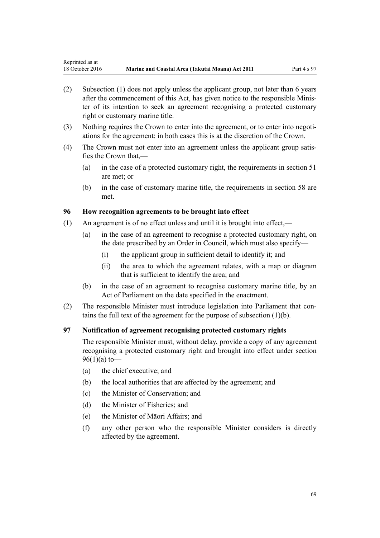- <span id="page-68-0"></span>(2) Subsection (1) does not apply unless the applicant group, not later than 6 years after the commencement of this Act, has given notice to the responsible Minister of its intention to seek an agreement recognising a protected customary right or customary marine title.
- (3) Nothing requires the Crown to enter into the agreement, or to enter into negotiations for the agreement: in both cases this is at the discretion of the Crown.
- (4) The Crown must not enter into an agreement unless the applicant group satisfies the Crown that,—
	- (a) in the case of a protected customary right, the requirements in [section 51](#page-38-0) are met; or
	- (b) in the case of customary marine title, the requirements in [section 58](#page-43-0) are met.

# **96 How recognition agreements to be brought into effect**

- (1) An agreement is of no effect unless and until it is brought into effect,—
	- (a) in the case of an agreement to recognise a protected customary right, on the date prescribed by an Order in Council, which must also specify—
		- (i) the applicant group in sufficient detail to identify it; and
		- (ii) the area to which the agreement relates, with a map or diagram that is sufficient to identify the area; and
	- (b) in the case of an agreement to recognise customary marine title, by an Act of Parliament on the date specified in the enactment.
- (2) The responsible Minister must introduce legislation into Parliament that contains the full text of the agreement for the purpose of subsection (1)(b).

# **97 Notification of agreement recognising protected customary rights**

The responsible Minister must, without delay, provide a copy of any agreement recognising a protected customary right and brought into effect under section 96(1)(a) to—

- (a) the chief executive; and
- (b) the local authorities that are affected by the agreement; and
- (c) the Minister of Conservation; and
- (d) the Minister of Fisheries; and
- (e) the Minister of Māori Affairs; and
- (f) any other person who the responsible Minister considers is directly affected by the agreement.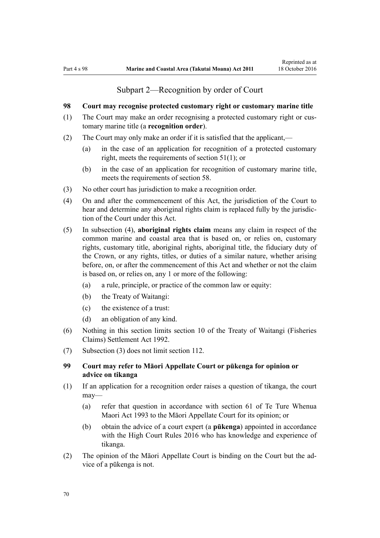# Subpart 2—Recognition by order of Court

# <span id="page-69-0"></span>**98 Court may recognise protected customary right or customary marine title**

- (1) The Court may make an order recognising a protected customary right or customary marine title (a **recognition order**).
- (2) The Court may only make an order if it is satisfied that the applicant,—
	- (a) in the case of an application for recognition of a protected customary right, meets the requirements of [section 51\(1\)](#page-38-0); or
	- (b) in the case of an application for recognition of customary marine title, meets the requirements of [section 58](#page-43-0).
- (3) No other court has jurisdiction to make a recognition order.
- (4) On and after the commencement of this Act, the jurisdiction of the Court to hear and determine any aboriginal rights claim is replaced fully by the jurisdiction of the Court under this Act.
- (5) In subsection (4), **aboriginal rights claim** means any claim in respect of the common marine and coastal area that is based on, or relies on, customary rights, customary title, aboriginal rights, aboriginal title, the fiduciary duty of the Crown, or any rights, titles, or duties of a similar nature, whether arising before, on, or after the commencement of this Act and whether or not the claim is based on, or relies on, any 1 or more of the following:
	- (a) a rule, principle, or practice of the common law or equity:
	- (b) the Treaty of Waitangi:
	- (c) the existence of a trust:
	- (d) an obligation of any kind.
- (6) Nothing in this section limits [section 10](http://prd-lgnz-nlb.prd.pco.net.nz/pdflink.aspx?id=DLM281461) of the Treaty of Waitangi (Fisheries Claims) Settlement Act 1992.
- (7) Subsection (3) does not limit [section 112](#page-75-0).

# **99 Court may refer to Māori Appellate Court or pūkenga for opinion or advice on tikanga**

- (1) If an application for a recognition order raises a question of tikanga, the court may—
	- (a) refer that question in accordance with [section 61](http://prd-lgnz-nlb.prd.pco.net.nz/pdflink.aspx?id=DLM290946) of Te Ture Whenua Maori Act 1993 to the Māori Appellate Court for its opinion; or
	- (b) obtain the advice of a court expert (a **pūkenga**) appointed in accordance with the [High Court Rules 2016](http://prd-lgnz-nlb.prd.pco.net.nz/pdflink.aspx?id=DLM6959800) who has knowledge and experience of tikanga.
- (2) The opinion of the Māori Appellate Court is binding on the Court but the advice of a pūkenga is not.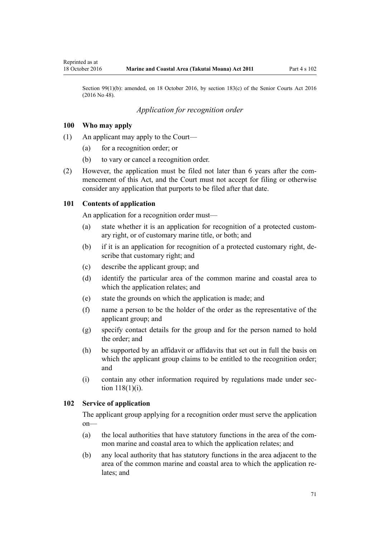<span id="page-70-0"></span>Section 99(1)(b): amended, on 18 October 2016, by [section 183\(c\)](http://prd-lgnz-nlb.prd.pco.net.nz/pdflink.aspx?id=DLM5759564) of the Senior Courts Act 2016 (2016 No 48).

# *Application for recognition order*

# **100 Who may apply**

- (1) An applicant may apply to the Court—
	- (a) for a recognition order; or
	- (b) to vary or cancel a recognition order.
- (2) However, the application must be filed not later than 6 years after the commencement of this Act, and the Court must not accept for filing or otherwise consider any application that purports to be filed after that date.

### **101 Contents of application**

An application for a recognition order must—

- (a) state whether it is an application for recognition of a protected customary right, or of customary marine title, or both; and
- (b) if it is an application for recognition of a protected customary right, describe that customary right; and
- (c) describe the applicant group; and
- (d) identify the particular area of the common marine and coastal area to which the application relates; and
- (e) state the grounds on which the application is made; and
- (f) name a person to be the holder of the order as the representative of the applicant group; and
- (g) specify contact details for the group and for the person named to hold the order; and
- (h) be supported by an affidavit or affidavits that set out in full the basis on which the applicant group claims to be entitled to the recognition order; and
- (i) contain any other information required by regulations made under [sec](#page-77-0)[tion 118\(1\)\(i\)](#page-77-0).

# **102 Service of application**

The applicant group applying for a recognition order must serve the application on—

- (a) the local authorities that have statutory functions in the area of the common marine and coastal area to which the application relates; and
- (b) any local authority that has statutory functions in the area adjacent to the area of the common marine and coastal area to which the application relates; and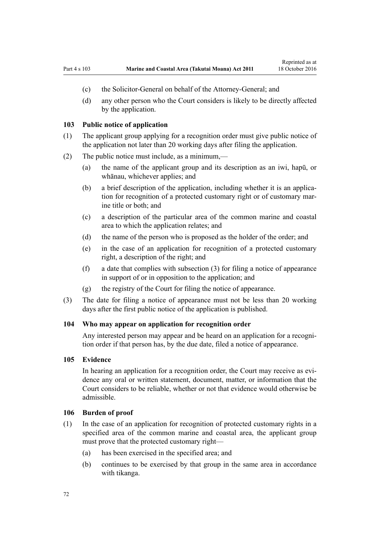- <span id="page-71-0"></span>(c) the Solicitor-General on behalf of the Attorney-General; and
- (d) any other person who the Court considers is likely to be directly affected by the application.

#### **103 Public notice of application**

- (1) The applicant group applying for a recognition order must give public notice of the application not later than 20 working days after filing the application.
- (2) The public notice must include, as a minimum,—
	- (a) the name of the applicant group and its description as an iwi, hapū, or whānau, whichever applies; and
	- (b) a brief description of the application, including whether it is an application for recognition of a protected customary right or of customary marine title or both; and
	- (c) a description of the particular area of the common marine and coastal area to which the application relates; and
	- (d) the name of the person who is proposed as the holder of the order; and
	- (e) in the case of an application for recognition of a protected customary right, a description of the right; and
	- (f) a date that complies with subsection (3) for filing a notice of appearance in support of or in opposition to the application; and
	- (g) the registry of the Court for filing the notice of appearance.
- (3) The date for filing a notice of appearance must not be less than 20 working days after the first public notice of the application is published.

### **104 Who may appear on application for recognition order**

Any interested person may appear and be heard on an application for a recognition order if that person has, by the due date, filed a notice of appearance.

### **105 Evidence**

In hearing an application for a recognition order, the Court may receive as evidence any oral or written statement, document, matter, or information that the Court considers to be reliable, whether or not that evidence would otherwise be admissible.

### **106 Burden of proof**

- (1) In the case of an application for recognition of protected customary rights in a specified area of the common marine and coastal area, the applicant group must prove that the protected customary right—
	- (a) has been exercised in the specified area; and
	- (b) continues to be exercised by that group in the same area in accordance with tikanga.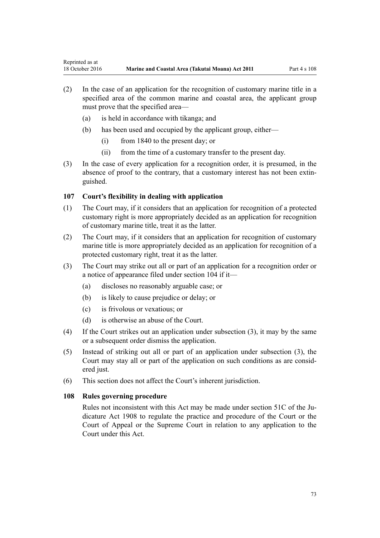- (2) In the case of an application for the recognition of customary marine title in a specified area of the common marine and coastal area, the applicant group must prove that the specified area—
	- (a) is held in accordance with tikanga; and
	- (b) has been used and occupied by the applicant group, either—
		- (i) from 1840 to the present day; or
		- (ii) from the time of a customary transfer to the present day.
- (3) In the case of every application for a recognition order, it is presumed, in the absence of proof to the contrary, that a customary interest has not been extinguished.

# **107 Court's flexibility in dealing with application**

- (1) The Court may, if it considers that an application for recognition of a protected customary right is more appropriately decided as an application for recognition of customary marine title, treat it as the latter.
- (2) The Court may, if it considers that an application for recognition of customary marine title is more appropriately decided as an application for recognition of a protected customary right, treat it as the latter.
- (3) The Court may strike out all or part of an application for a recognition order or a notice of appearance filed under [section 104](#page-71-0) if it—
	- (a) discloses no reasonably arguable case; or
	- (b) is likely to cause prejudice or delay; or
	- (c) is frivolous or vexatious; or
	- (d) is otherwise an abuse of the Court.
- (4) If the Court strikes out an application under subsection (3), it may by the same or a subsequent order dismiss the application.
- (5) Instead of striking out all or part of an application under subsection (3), the Court may stay all or part of the application on such conditions as are considered just.
- (6) This section does not affect the Court's inherent jurisdiction.

# **108 Rules governing procedure**

Rules not inconsistent with this Act may be made under [section 51C](http://prd-lgnz-nlb.prd.pco.net.nz/pdflink.aspx?id=DLM146607) of the Judicature Act 1908 to regulate the practice and procedure of the Court or the Court of Appeal or the Supreme Court in relation to any application to the Court under this Act.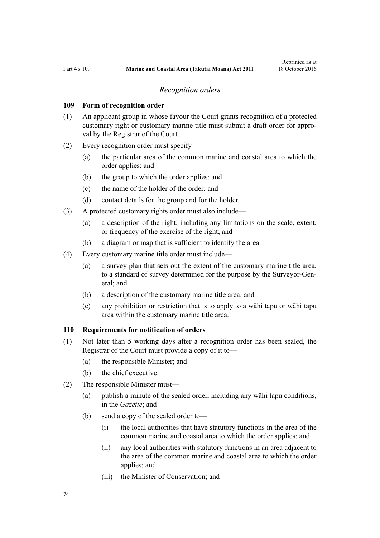#### *Recognition orders*

#### <span id="page-73-0"></span>**109 Form of recognition order**

- (1) An applicant group in whose favour the Court grants recognition of a protected customary right or customary marine title must submit a draft order for approval by the Registrar of the Court.
- (2) Every recognition order must specify—
	- (a) the particular area of the common marine and coastal area to which the order applies; and
	- (b) the group to which the order applies; and
	- (c) the name of the holder of the order; and
	- (d) contact details for the group and for the holder.
- (3) A protected customary rights order must also include—
	- (a) a description of the right, including any limitations on the scale, extent, or frequency of the exercise of the right; and
	- (b) a diagram or map that is sufficient to identify the area.
- (4) Every customary marine title order must include—
	- (a) a survey plan that sets out the extent of the customary marine title area, to a standard of survey determined for the purpose by the Surveyor-General; and
	- (b) a description of the customary marine title area; and
	- (c) any prohibition or restriction that is to apply to a wāhi tapu or wāhi tapu area within the customary marine title area.

#### **110 Requirements for notification of orders**

- (1) Not later than 5 working days after a recognition order has been sealed, the Registrar of the Court must provide a copy of it to—
	- (a) the responsible Minister; and
	- (b) the chief executive.
- (2) The responsible Minister must—
	- (a) publish a minute of the sealed order, including any wāhi tapu conditions, in the *Gazette*; and
	- (b) send a copy of the sealed order to—
		- (i) the local authorities that have statutory functions in the area of the common marine and coastal area to which the order applies; and
		- (ii) any local authorities with statutory functions in an area adjacent to the area of the common marine and coastal area to which the order applies; and
		- (iii) the Minister of Conservation; and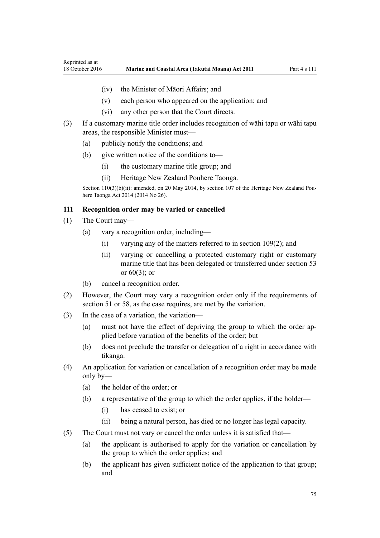- <span id="page-74-0"></span>(iv) the Minister of Māori Affairs; and
- (v) each person who appeared on the application; and
- (vi) any other person that the Court directs.
- (3) If a customary marine title order includes recognition of wāhi tapu or wāhi tapu areas, the responsible Minister must—
	- (a) publicly notify the conditions; and
	- (b) give written notice of the conditions to—
		- (i) the customary marine title group; and
		- (ii) Heritage New Zealand Pouhere Taonga.

Section 110(3)(b)(ii): amended, on 20 May 2014, by [section 107](http://prd-lgnz-nlb.prd.pco.net.nz/pdflink.aspx?id=DLM4005646) of the Heritage New Zealand Pouhere Taonga Act 2014 (2014 No 26).

### **111 Recognition order may be varied or cancelled**

- (1) The Court may—
	- (a) vary a recognition order, including—
		- (i) varying any of the matters referred to in [section 109\(2\);](#page-73-0) and
		- (ii) varying or cancelling a protected customary right or customary marine title that has been delegated or transferred under [section 53](#page-40-0) or [60\(3\);](#page-44-0) or
	- (b) cancel a recognition order.
- (2) However, the Court may vary a recognition order only if the requirements of [section 51](#page-38-0) or [58,](#page-43-0) as the case requires, are met by the variation.
- (3) In the case of a variation, the variation—
	- (a) must not have the effect of depriving the group to which the order applied before variation of the benefits of the order; but
	- (b) does not preclude the transfer or delegation of a right in accordance with tikanga.
- (4) An application for variation or cancellation of a recognition order may be made only by—
	- (a) the holder of the order; or
	- (b) a representative of the group to which the order applies, if the holder—
		- (i) has ceased to exist; or
		- (ii) being a natural person, has died or no longer has legal capacity.
- (5) The Court must not vary or cancel the order unless it is satisfied that—
	- (a) the applicant is authorised to apply for the variation or cancellation by the group to which the order applies; and
	- (b) the applicant has given sufficient notice of the application to that group; and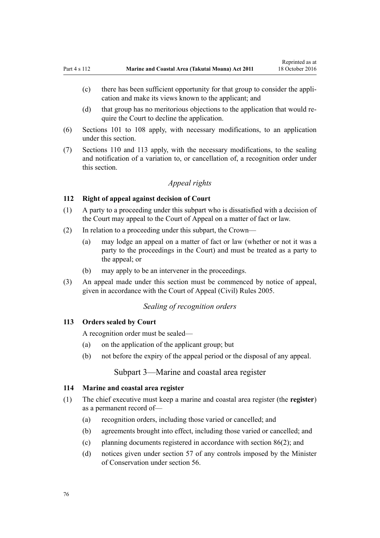- <span id="page-75-0"></span>(c) there has been sufficient opportunity for that group to consider the application and make its views known to the applicant; and
- (d) that group has no meritorious objections to the application that would require the Court to decline the application.
- (6) [Sections 101 to 108](#page-70-0) apply, with necessary modifications, to an application under this section.
- (7) [Sections 110](#page-73-0) and 113 apply, with the necessary modifications, to the sealing and notification of a variation to, or cancellation of, a recognition order under this section.

# *Appeal rights*

### **112 Right of appeal against decision of Court**

- (1) A party to a proceeding under this subpart who is dissatisfied with a decision of the Court may appeal to the Court of Appeal on a matter of fact or law.
- (2) In relation to a proceeding under this subpart, the Crown—
	- (a) may lodge an appeal on a matter of fact or law (whether or not it was a party to the proceedings in the Court) and must be treated as a party to the appeal; or
	- (b) may apply to be an intervener in the proceedings.
- (3) An appeal made under this section must be commenced by notice of appeal, given in accordance with the [Court of Appeal \(Civil\) Rules 2005](http://prd-lgnz-nlb.prd.pco.net.nz/pdflink.aspx?id=DLM319745).

# *Sealing of recognition orders*

#### **113 Orders sealed by Court**

A recognition order must be sealed—

- (a) on the application of the applicant group; but
- (b) not before the expiry of the appeal period or the disposal of any appeal.

# Subpart 3—Marine and coastal area register

### **114 Marine and coastal area register**

- (1) The chief executive must keep a marine and coastal area register (the **register**) as a permanent record of—
	- (a) recognition orders, including those varied or cancelled; and
	- (b) agreements brought into effect, including those varied or cancelled; and
	- (c) planning documents registered in accordance with [section 86\(2\)](#page-63-0); and
	- (d) notices given under [section 57](#page-42-0) of any controls imposed by the Minister of Conservation under [section 56.](#page-41-0)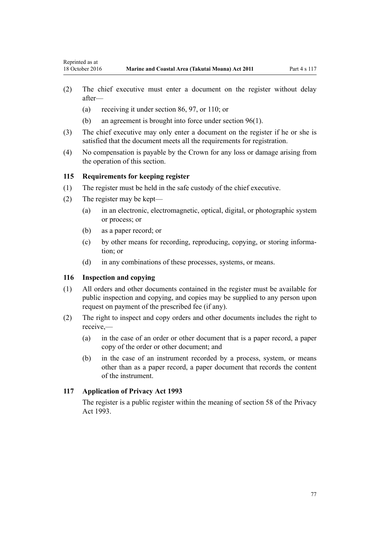- (2) The chief executive must enter a document on the register without delay after—
	- (a) receiving it under [section 86](#page-63-0), [97](#page-68-0), or [110](#page-73-0); or
	- (b) an agreement is brought into force under [section 96\(1\).](#page-68-0)
- (3) The chief executive may only enter a document on the register if he or she is satisfied that the document meets all the requirements for registration.
- (4) No compensation is payable by the Crown for any loss or damage arising from the operation of this section.

### **115 Requirements for keeping register**

- (1) The register must be held in the safe custody of the chief executive.
- (2) The register may be kept—
	- (a) in an electronic, electromagnetic, optical, digital, or photographic system or process; or
	- (b) as a paper record; or
	- (c) by other means for recording, reproducing, copying, or storing information; or
	- (d) in any combinations of these processes, systems, or means.

### **116 Inspection and copying**

- (1) All orders and other documents contained in the register must be available for public inspection and copying, and copies may be supplied to any person upon request on payment of the prescribed fee (if any).
- (2) The right to inspect and copy orders and other documents includes the right to receive,—
	- (a) in the case of an order or other document that is a paper record, a paper copy of the order or other document; and
	- (b) in the case of an instrument recorded by a process, system, or means other than as a paper record, a paper document that records the content of the instrument.

### **117 Application of Privacy Act 1993**

The register is a public register within the meaning of [section 58](http://prd-lgnz-nlb.prd.pco.net.nz/pdflink.aspx?id=DLM297424) of the Privacy Act 1993.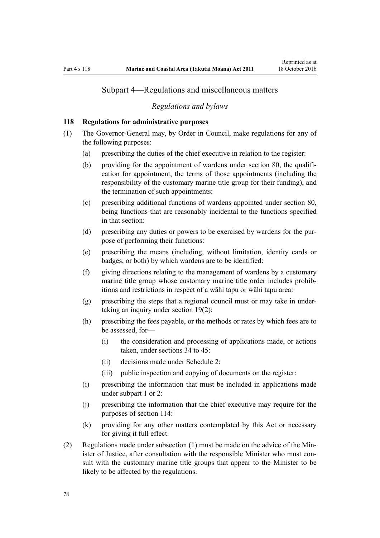# Subpart 4—Regulations and miscellaneous matters

#### *Regulations and bylaws*

### **118 Regulations for administrative purposes**

- (1) The Governor-General may, by Order in Council, make regulations for any of the following purposes:
	- (a) prescribing the duties of the chief executive in relation to the register:
	- (b) providing for the appointment of wardens under [section 80,](#page-59-0) the qualification for appointment, the terms of those appointments (including the responsibility of the customary marine title group for their funding), and the termination of such appointments:
	- (c) prescribing additional functions of wardens appointed under [section 80](#page-59-0), being functions that are reasonably incidental to the functions specified in that section:
	- (d) prescribing any duties or powers to be exercised by wardens for the purpose of performing their functions:
	- (e) prescribing the means (including, without limitation, identity cards or badges, or both) by which wardens are to be identified:
	- (f) giving directions relating to the management of wardens by a customary marine title group whose customary marine title order includes prohibitions and restrictions in respect of a wāhi tapu or wāhi tapu area:
	- (g) prescribing the steps that a regional council must or may take in undertaking an inquiry under [section 19\(2\)](#page-20-0):
	- (h) prescribing the fees payable, or the methods or rates by which fees are to be assessed, for—
		- (i) the consideration and processing of applications made, or actions taken, under [sections 34 to 45:](#page-27-0)
		- (ii) decisions made under [Schedule 2:](#page-90-0)
		- (iii) public inspection and copying of documents on the register:
	- (i) prescribing the information that must be included in applications made under [subpart 1](#page-67-0) or [2:](#page-69-0)
	- (j) prescribing the information that the chief executive may require for the purposes of [section 114:](#page-75-0)
	- (k) providing for any other matters contemplated by this Act or necessary for giving it full effect.
- (2) Regulations made under subsection (1) must be made on the advice of the Minister of Justice, after consultation with the responsible Minister who must consult with the customary marine title groups that appear to the Minister to be likely to be affected by the regulations.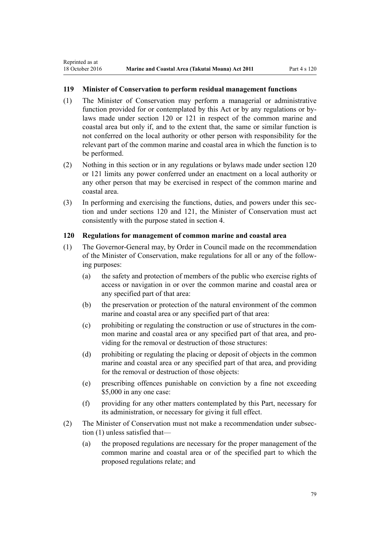# <span id="page-78-0"></span>**119 Minister of Conservation to perform residual management functions**

- (1) The Minister of Conservation may perform a managerial or administrative function provided for or contemplated by this Act or by any regulations or bylaws made under section 120 or [121](#page-79-0) in respect of the common marine and coastal area but only if, and to the extent that, the same or similar function is not conferred on the local authority or other person with responsibility for the relevant part of the common marine and coastal area in which the function is to be performed.
- (2) Nothing in this section or in any regulations or bylaws made under section 120 or [121](#page-79-0) limits any power conferred under an enactment on a local authority or any other person that may be exercised in respect of the common marine and coastal area.
- (3) In performing and exercising the functions, duties, and powers under this section and under sections 120 and [121,](#page-79-0) the Minister of Conservation must act consistently with the purpose stated in [section 4](#page-8-0).

### **120 Regulations for management of common marine and coastal area**

- (1) The Governor-General may, by Order in Council made on the recommendation of the Minister of Conservation, make regulations for all or any of the following purposes:
	- (a) the safety and protection of members of the public who exercise rights of access or navigation in or over the common marine and coastal area or any specified part of that area:
	- (b) the preservation or protection of the natural environment of the common marine and coastal area or any specified part of that area:
	- (c) prohibiting or regulating the construction or use of structures in the common marine and coastal area or any specified part of that area, and providing for the removal or destruction of those structures:
	- (d) prohibiting or regulating the placing or deposit of objects in the common marine and coastal area or any specified part of that area, and providing for the removal or destruction of those objects:
	- (e) prescribing offences punishable on conviction by a fine not exceeding \$5,000 in any one case:
	- (f) providing for any other matters contemplated by this Part, necessary for its administration, or necessary for giving it full effect.
- (2) The Minister of Conservation must not make a recommendation under subsection (1) unless satisfied that—
	- (a) the proposed regulations are necessary for the proper management of the common marine and coastal area or of the specified part to which the proposed regulations relate; and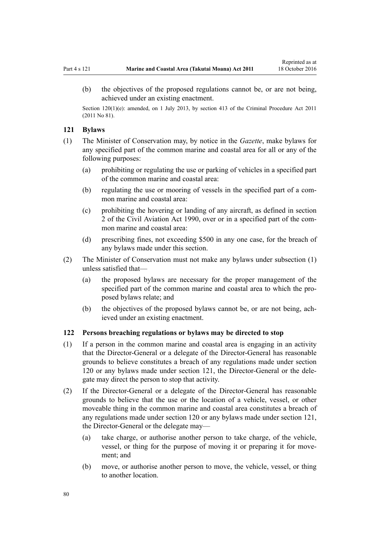<span id="page-79-0"></span>(b) the objectives of the proposed regulations cannot be, or are not being, achieved under an existing enactment.

Section 120(1)(e): amended, on 1 July 2013, by [section 413](http://prd-lgnz-nlb.prd.pco.net.nz/pdflink.aspx?id=DLM3360714) of the Criminal Procedure Act 2011 (2011 No 81).

### **121 Bylaws**

- (1) The Minister of Conservation may, by notice in the *Gazette*, make bylaws for any specified part of the common marine and coastal area for all or any of the following purposes:
	- (a) prohibiting or regulating the use or parking of vehicles in a specified part of the common marine and coastal area:
	- (b) regulating the use or mooring of vessels in the specified part of a common marine and coastal area:
	- (c) prohibiting the hovering or landing of any aircraft, as defined in [section](http://prd-lgnz-nlb.prd.pco.net.nz/pdflink.aspx?id=DLM214692) [2](http://prd-lgnz-nlb.prd.pco.net.nz/pdflink.aspx?id=DLM214692) of the Civil Aviation Act 1990, over or in a specified part of the common marine and coastal area:
	- (d) prescribing fines, not exceeding \$500 in any one case, for the breach of any bylaws made under this section.
- (2) The Minister of Conservation must not make any bylaws under subsection (1) unless satisfied that—
	- (a) the proposed bylaws are necessary for the proper management of the specified part of the common marine and coastal area to which the proposed bylaws relate; and
	- (b) the objectives of the proposed bylaws cannot be, or are not being, achieved under an existing enactment.

# **122 Persons breaching regulations or bylaws may be directed to stop**

- (1) If a person in the common marine and coastal area is engaging in an activity that the Director-General or a delegate of the Director-General has reasonable grounds to believe constitutes a breach of any regulations made under [section](#page-78-0) [120](#page-78-0) or any bylaws made under section 121, the Director-General or the delegate may direct the person to stop that activity.
- (2) If the Director-General or a delegate of the Director-General has reasonable grounds to believe that the use or the location of a vehicle, vessel, or other moveable thing in the common marine and coastal area constitutes a breach of any regulations made under [section 120](#page-78-0) or any bylaws made under [section 121](#page-78-0), the Director-General or the delegate may—
	- (a) take charge, or authorise another person to take charge, of the vehicle, vessel, or thing for the purpose of moving it or preparing it for movement; and
	- (b) move, or authorise another person to move, the vehicle, vessel, or thing to another location.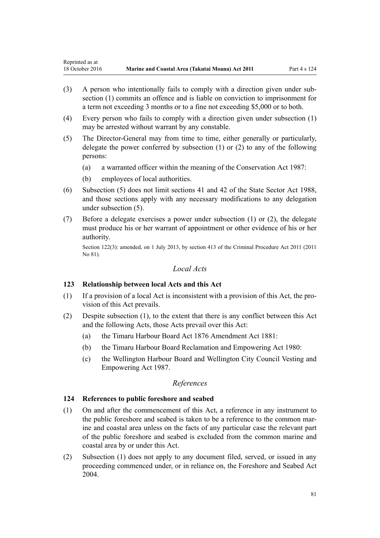- (3) A person who intentionally fails to comply with a direction given under subsection (1) commits an offence and is liable on conviction to imprisonment for a term not exceeding 3 months or to a fine not exceeding \$5,000 or to both.
- (4) Every person who fails to comply with a direction given under subsection (1) may be arrested without warrant by any constable.
- (5) The Director-General may from time to time, either generally or particularly, delegate the power conferred by subsection (1) or (2) to any of the following persons:
	- (a) a warranted officer within the meaning of the [Conservation Act 1987](http://prd-lgnz-nlb.prd.pco.net.nz/pdflink.aspx?id=DLM103609):
	- (b) employees of local authorities.
- (6) Subsection (5) does not limit [sections 41](http://prd-lgnz-nlb.prd.pco.net.nz/pdflink.aspx?id=DLM129566) and [42](http://prd-lgnz-nlb.prd.pco.net.nz/pdflink.aspx?id=DLM129571) of the State Sector Act 1988, and those sections apply with any necessary modifications to any delegation under subsection (5).
- (7) Before a delegate exercises a power under subsection (1) or (2), the delegate must produce his or her warrant of appointment or other evidence of his or her authority.

Section 122(3): amended, on 1 July 2013, by [section 413](http://prd-lgnz-nlb.prd.pco.net.nz/pdflink.aspx?id=DLM3360714) of the Criminal Procedure Act 2011 (2011 No 81).

## *Local Acts*

### **123 Relationship between local Acts and this Act**

- (1) If a provision of a local Act is inconsistent with a provision of this Act, the provision of this Act prevails.
- (2) Despite subsection (1), to the extent that there is any conflict between this Act and the following Acts, those Acts prevail over this Act:
	- (a) the [Timaru Harbour Board Act 1876 Amendment Act 1881](http://prd-lgnz-nlb.prd.pco.net.nz/pdflink.aspx?id=DLM15371):
	- (b) the [Timaru Harbour Board Reclamation and Empowering Act 1980:](http://prd-lgnz-nlb.prd.pco.net.nz/pdflink.aspx?id=DLM74774)
	- (c) the [Wellington Harbour Board and Wellington City Council Vesting and](http://prd-lgnz-nlb.prd.pco.net.nz/pdflink.aspx?id=DLM78106) [Empowering Act 1987.](http://prd-lgnz-nlb.prd.pco.net.nz/pdflink.aspx?id=DLM78106)

# *References*

### **124 References to public foreshore and seabed**

- (1) On and after the commencement of this Act, a reference in any instrument to the public foreshore and seabed is taken to be a reference to the common marine and coastal area unless on the facts of any particular case the relevant part of the public foreshore and seabed is excluded from the common marine and coastal area by or under this Act.
- (2) Subsection (1) does not apply to any document filed, served, or issued in any proceeding commenced under, or in reliance on, the [Foreshore and Seabed Act](http://prd-lgnz-nlb.prd.pco.net.nz/pdflink.aspx?id=DLM319838) [2004](http://prd-lgnz-nlb.prd.pco.net.nz/pdflink.aspx?id=DLM319838).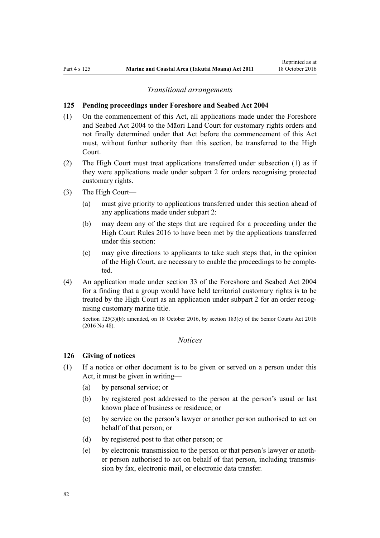#### *Transitional arrangements*

#### **125 Pending proceedings under Foreshore and Seabed Act 2004**

- (1) On the commencement of this Act, all applications made under the [Foreshore](http://prd-lgnz-nlb.prd.pco.net.nz/pdflink.aspx?id=DLM319838) [and Seabed Act 2004](http://prd-lgnz-nlb.prd.pco.net.nz/pdflink.aspx?id=DLM319838) to the Māori Land Court for customary rights orders and not finally determined under that Act before the commencement of this Act must, without further authority than this section, be transferred to the High Court.
- (2) The High Court must treat applications transferred under subsection (1) as if they were applications made under [subpart 2](#page-69-0) for orders recognising protected customary rights.
- (3) The High Court—
	- (a) must give priority to applications transferred under this section ahead of any applications made under [subpart 2](#page-69-0):
	- (b) may deem any of the steps that are required for a proceeding under the [High Court Rules 2016](http://prd-lgnz-nlb.prd.pco.net.nz/pdflink.aspx?id=DLM6959800) to have been met by the applications transferred under this section:
	- (c) may give directions to applicants to take such steps that, in the opinion of the High Court, are necessary to enable the proceedings to be completed.
- (4) An application made under [section 33](http://prd-lgnz-nlb.prd.pco.net.nz/pdflink.aspx?id=DLM320263) of the Foreshore and Seabed Act 2004 for a finding that a group would have held territorial customary rights is to be treated by the High Court as an application under [subpart 2](#page-69-0) for an order recognising customary marine title.

Section 125(3)(b): amended, on 18 October 2016, by [section 183\(c\)](http://prd-lgnz-nlb.prd.pco.net.nz/pdflink.aspx?id=DLM5759564) of the Senior Courts Act 2016 (2016 No 48).

### *Notices*

### **126 Giving of notices**

- (1) If a notice or other document is to be given or served on a person under this Act, it must be given in writing—
	- (a) by personal service; or
	- (b) by registered post addressed to the person at the person's usual or last known place of business or residence; or
	- (c) by service on the person's lawyer or another person authorised to act on behalf of that person; or
	- (d) by registered post to that other person; or
	- (e) by electronic transmission to the person or that person's lawyer or another person authorised to act on behalf of that person, including transmission by fax, electronic mail, or electronic data transfer.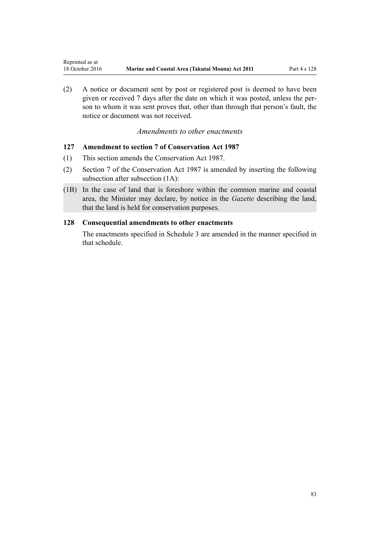<span id="page-82-0"></span>(2) A notice or document sent by post or registered post is deemed to have been given or received 7 days after the date on which it was posted, unless the person to whom it was sent proves that, other than through that person's fault, the notice or document was not received.

# *Amendments to other enactments*

## **127 Amendment to section 7 of Conservation Act 1987**

- (1) This section amends the [Conservation Act 1987.](http://prd-lgnz-nlb.prd.pco.net.nz/pdflink.aspx?id=DLM103609)
- (2) [Section 7](http://prd-lgnz-nlb.prd.pco.net.nz/pdflink.aspx?id=DLM104251) of the Conservation Act 1987 is amended by inserting the following subsection after subsection (1A):
- (1B) In the case of land that is foreshore within the common marine and coastal area, the Minister may declare, by notice in the *Gazette* describing the land, that the land is held for conservation purposes.

### **128 Consequential amendments to other enactments**

The enactments specified in [Schedule 3 a](#page-96-0)re amended in the manner specified in that schedule.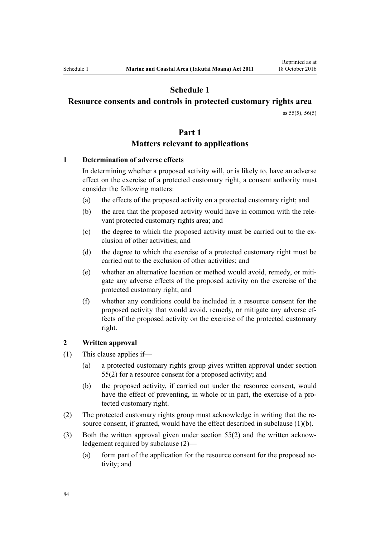# **Schedule 1**

# <span id="page-83-0"></span>**Resource consents and controls in protected customary rights area**

[ss 55\(5\)](#page-40-0), [56\(5\)](#page-41-0)

### **Part 1**

# **Matters relevant to applications**

### **1 Determination of adverse effects**

In determining whether a proposed activity will, or is likely to, have an adverse effect on the exercise of a protected customary right, a consent authority must consider the following matters:

- (a) the effects of the proposed activity on a protected customary right; and
- (b) the area that the proposed activity would have in common with the relevant protected customary rights area; and
- (c) the degree to which the proposed activity must be carried out to the exclusion of other activities; and
- (d) the degree to which the exercise of a protected customary right must be carried out to the exclusion of other activities; and
- (e) whether an alternative location or method would avoid, remedy, or mitigate any adverse effects of the proposed activity on the exercise of the protected customary right; and
- (f) whether any conditions could be included in a resource consent for the proposed activity that would avoid, remedy, or mitigate any adverse effects of the proposed activity on the exercise of the protected customary right.

### **2 Written approval**

- (1) This clause applies if—
	- (a) a protected customary rights group gives written approval under [section](#page-40-0) [55\(2\)](#page-40-0) for a resource consent for a proposed activity; and
	- (b) the proposed activity, if carried out under the resource consent, would have the effect of preventing, in whole or in part, the exercise of a protected customary right.
- (2) The protected customary rights group must acknowledge in writing that the resource consent, if granted, would have the effect described in subclause (1)(b).
- (3) Both the written approval given under [section 55\(2\)](#page-40-0) and the written acknowledgement required by subclause (2)—
	- (a) form part of the application for the resource consent for the proposed activity; and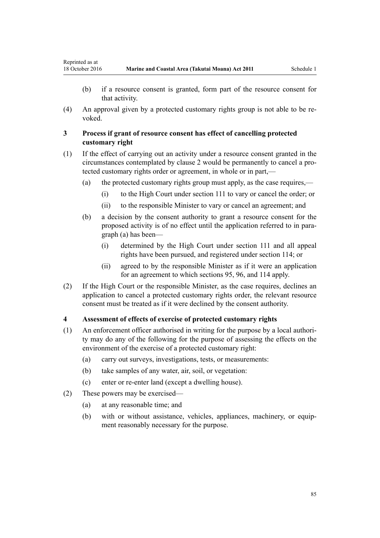Reprinted as at

- (b) if a resource consent is granted, form part of the resource consent for that activity.
- (4) An approval given by a protected customary rights group is not able to be revoked.

## **3 Process if grant of resource consent has effect of cancelling protected customary right**

- (1) If the effect of carrying out an activity under a resource consent granted in the circumstances contemplated by [clause 2](#page-83-0) would be permanently to cancel a protected customary rights order or agreement, in whole or in part,—
	- (a) the protected customary rights group must apply, as the case requires,—
		- (i) to the High Court under [section 111](#page-74-0) to vary or cancel the order; or
		- (ii) to the responsible Minister to vary or cancel an agreement; and
	- (b) a decision by the consent authority to grant a resource consent for the proposed activity is of no effect until the application referred to in paragraph (a) has been—
		- (i) determined by the High Court under [section 111](#page-74-0) and all appeal rights have been pursued, and registered under [section 114;](#page-75-0) or
		- (ii) agreed to by the responsible Minister as if it were an application for an agreement to which [sections 95](#page-67-0), [96](#page-68-0), and [114](#page-75-0) apply.
- (2) If the High Court or the responsible Minister, as the case requires, declines an application to cancel a protected customary rights order, the relevant resource consent must be treated as if it were declined by the consent authority.

### **4 Assessment of effects of exercise of protected customary rights**

- (1) An enforcement officer authorised in writing for the purpose by a local authority may do any of the following for the purpose of assessing the effects on the environment of the exercise of a protected customary right:
	- (a) carry out surveys, investigations, tests, or measurements:
	- (b) take samples of any water, air, soil, or vegetation:
	- (c) enter or re-enter land (except a dwelling house).
- (2) These powers may be exercised—
	- (a) at any reasonable time; and
	- (b) with or without assistance, vehicles, appliances, machinery, or equipment reasonably necessary for the purpose.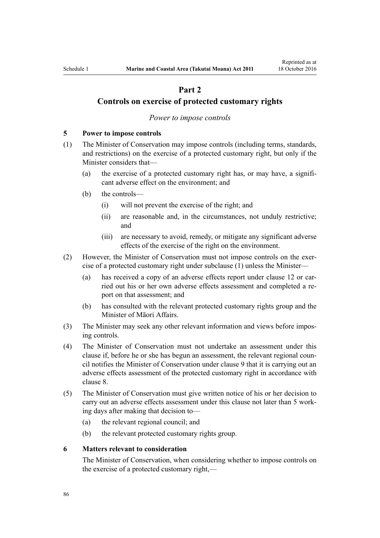# **Part 2**

# <span id="page-85-0"></span>**Controls on exercise of protected customary rights**

#### *Power to impose controls*

#### **5 Power to impose controls**

- (1) The Minister of Conservation may impose controls (including terms, standards, and restrictions) on the exercise of a protected customary right, but only if the Minister considers that—
	- (a) the exercise of a protected customary right has, or may have, a significant adverse effect on the environment; and
	- (b) the controls—
		- (i) will not prevent the exercise of the right; and
		- (ii) are reasonable and, in the circumstances, not unduly restrictive; and
		- (iii) are necessary to avoid, remedy, or mitigate any significant adverse effects of the exercise of the right on the environment.
- (2) However, the Minister of Conservation must not impose controls on the exercise of a protected customary right under subclause (1) unless the Minister—
	- (a) has received a copy of an adverse effects report under [clause 12](#page-89-0) or carried out his or her own adverse effects assessment and completed a report on that assessment; and
	- (b) has consulted with the relevant protected customary rights group and the Minister of Māori Affairs.
- (3) The Minister may seek any other relevant information and views before imposing controls.
- (4) The Minister of Conservation must not undertake an assessment under this clause if, before he or she has begun an assessment, the relevant regional council notifies the Minister of Conservation under [clause 9](#page-87-0) that it is carrying out an adverse effects assessment of the protected customary right in accordance with [clause 8.](#page-86-0)
- (5) The Minister of Conservation must give written notice of his or her decision to carry out an adverse effects assessment under this clause not later than 5 working days after making that decision to—
	- (a) the relevant regional council; and
	- (b) the relevant protected customary rights group.

#### **6 Matters relevant to consideration**

The Minister of Conservation, when considering whether to impose controls on the exercise of a protected customary right,—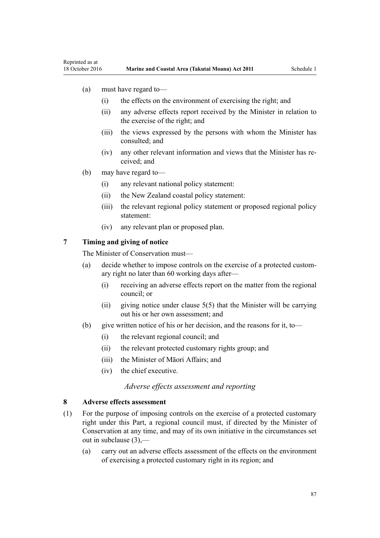- <span id="page-86-0"></span>(a) must have regard to—
	- (i) the effects on the environment of exercising the right; and
	- (ii) any adverse effects report received by the Minister in relation to the exercise of the right; and
	- (iii) the views expressed by the persons with whom the Minister has consulted; and
	- (iv) any other relevant information and views that the Minister has received; and
- (b) may have regard to—
	- (i) any relevant national policy statement:
	- (ii) the New Zealand coastal policy statement:
	- (iii) the relevant regional policy statement or proposed regional policy statement:
	- (iv) any relevant plan or proposed plan.

# **7 Timing and giving of notice**

The Minister of Conservation must—

- (a) decide whether to impose controls on the exercise of a protected customary right no later than 60 working days after—
	- (i) receiving an adverse effects report on the matter from the regional council; or
	- (ii) giving notice under clause  $5(5)$  that the Minister will be carrying out his or her own assessment; and
- (b) give written notice of his or her decision, and the reasons for it, to—
	- (i) the relevant regional council; and
	- (ii) the relevant protected customary rights group; and
	- (iii) the Minister of Māori Affairs; and
	- (iv) the chief executive.

### *Adverse effects assessment and reporting*

### **8 Adverse effects assessment**

- (1) For the purpose of imposing controls on the exercise of a protected customary right under this Part, a regional council must, if directed by the Minister of Conservation at any time, and may of its own initiative in the circumstances set out in subclause (3),—
	- (a) carry out an adverse effects assessment of the effects on the environment of exercising a protected customary right in its region; and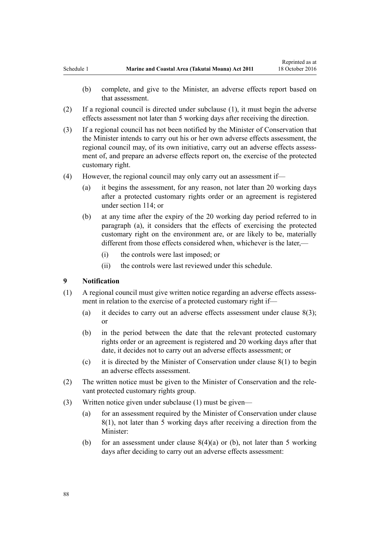- <span id="page-87-0"></span>(2) If a regional council is directed under subclause (1), it must begin the adverse effects assessment not later than 5 working days after receiving the direction.
- (3) If a regional council has not been notified by the Minister of Conservation that the Minister intends to carry out his or her own adverse effects assessment, the regional council may, of its own initiative, carry out an adverse effects assessment of, and prepare an adverse effects report on, the exercise of the protected customary right.
- (4) However, the regional council may only carry out an assessment if—
	- (a) it begins the assessment, for any reason, not later than 20 working days after a protected customary rights order or an agreement is registered under [section 114;](#page-75-0) or
	- (b) at any time after the expiry of the 20 working day period referred to in paragraph (a), it considers that the effects of exercising the protected customary right on the environment are, or are likely to be, materially different from those effects considered when, whichever is the later,—
		- (i) the controls were last imposed; or
		- (ii) the controls were last reviewed under this schedule.

### **9 Notification**

- (1) A regional council must give written notice regarding an adverse effects assessment in relation to the exercise of a protected customary right if—
	- (a) it decides to carry out an adverse effects assessment under clause  $8(3)$ ; or
	- (b) in the period between the date that the relevant protected customary rights order or an agreement is registered and 20 working days after that date, it decides not to carry out an adverse effects assessment; or
	- (c) it is directed by the Minister of Conservation under [clause 8\(1\)](#page-86-0) to begin an adverse effects assessment.
- (2) The written notice must be given to the Minister of Conservation and the relevant protected customary rights group.
- (3) Written notice given under subclause (1) must be given—
	- (a) for an assessment required by the Minister of Conservation under [clause](#page-86-0) [8\(1\)](#page-86-0), not later than 5 working days after receiving a direction from the Minister:
	- (b) for an assessment under clause  $8(4)(a)$  or (b), not later than 5 working days after deciding to carry out an adverse effects assessment: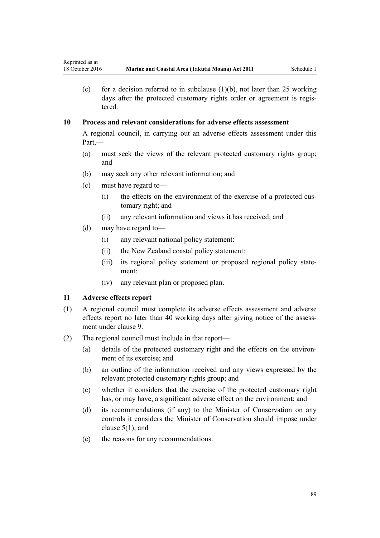(c) for a decision referred to in subclause  $(1)(b)$ , not later than 25 working days after the protected customary rights order or agreement is registered.

# **10 Process and relevant considerations for adverse effects assessment**

A regional council, in carrying out an adverse effects assessment under this Part,—

- (a) must seek the views of the relevant protected customary rights group; and
- (b) may seek any other relevant information; and
- (c) must have regard to—
	- (i) the effects on the environment of the exercise of a protected customary right; and
	- (ii) any relevant information and views it has received; and
- (d) may have regard to—
	- (i) any relevant national policy statement:
	- (ii) the New Zealand coastal policy statement:
	- (iii) its regional policy statement or proposed regional policy statement:
	- (iv) any relevant plan or proposed plan.

### **11 Adverse effects report**

- (1) A regional council must complete its adverse effects assessment and adverse effects report no later than 40 working days after giving notice of the assessment under [clause 9](#page-87-0).
- (2) The regional council must include in that report—
	- (a) details of the protected customary right and the effects on the environment of its exercise; and
	- (b) an outline of the information received and any views expressed by the relevant protected customary rights group; and
	- (c) whether it considers that the exercise of the protected customary right has, or may have, a significant adverse effect on the environment; and
	- (d) its recommendations (if any) to the Minister of Conservation on any controls it considers the Minister of Conservation should impose under [clause 5\(1\);](#page-85-0) and
	- (e) the reasons for any recommendations.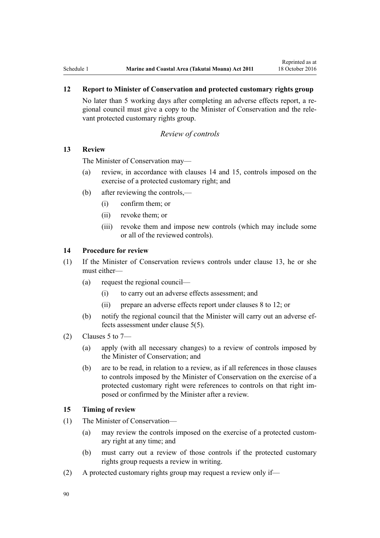# <span id="page-89-0"></span>**12 Report to Minister of Conservation and protected customary rights group**

No later than 5 working days after completing an adverse effects report, a regional council must give a copy to the Minister of Conservation and the relevant protected customary rights group.

### *Review of controls*

### **13 Review**

The Minister of Conservation may—

- (a) review, in accordance with clauses 14 and 15, controls imposed on the exercise of a protected customary right; and
- (b) after reviewing the controls,—
	- (i) confirm them; or
	- (ii) revoke them; or
	- (iii) revoke them and impose new controls (which may include some or all of the reviewed controls).

### **14 Procedure for review**

- (1) If the Minister of Conservation reviews controls under clause 13, he or she must either—
	- (a) request the regional council—
		- (i) to carry out an adverse effects assessment; and
		- (ii) prepare an adverse effects report under [clauses 8 to 12](#page-86-0); or
	- (b) notify the regional council that the Minister will carry out an adverse effects assessment under [clause 5\(5\).](#page-85-0)
- (2) Clauses 5 to  $7-$ 
	- (a) apply (with all necessary changes) to a review of controls imposed by the Minister of Conservation; and
	- (b) are to be read, in relation to a review, as if all references in those clauses to controls imposed by the Minister of Conservation on the exercise of a protected customary right were references to controls on that right imposed or confirmed by the Minister after a review.

### **15 Timing of review**

- (1) The Minister of Conservation—
	- (a) may review the controls imposed on the exercise of a protected customary right at any time; and
	- (b) must carry out a review of those controls if the protected customary rights group requests a review in writing.
- (2) A protected customary rights group may request a review only if—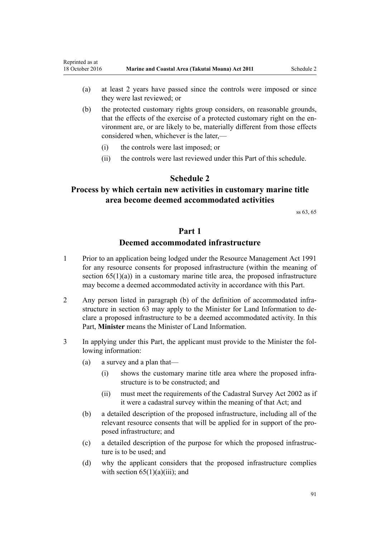- <span id="page-90-0"></span>(a) at least 2 years have passed since the controls were imposed or since they were last reviewed; or
- (b) the protected customary rights group considers, on reasonable grounds, that the effects of the exercise of a protected customary right on the environment are, or are likely to be, materially different from those effects considered when, whichever is the later,—
	- (i) the controls were last imposed; or
	- (ii) the controls were last reviewed under this Part of this schedule.

# **Schedule 2**

# **Process by which certain new activities in customary marine title area become deemed accommodated activities**

[ss 63,](#page-46-0) [65](#page-50-0)

# **Part 1**

# **Deemed accommodated infrastructure**

- 1 Prior to an application being lodged under the [Resource Management Act 1991](http://prd-lgnz-nlb.prd.pco.net.nz/pdflink.aspx?id=DLM230264) for any resource consents for proposed infrastructure (within the meaning of section  $65(1)(a)$  in a customary marine title area, the proposed infrastructure may become a deemed accommodated activity in accordance with this Part.
- 2 Any person listed in paragraph (b) of the definition of accommodated infrastructure in [section 63](#page-46-0) may apply to the Minister for Land Information to declare a proposed infrastructure to be a deemed accommodated activity. In this Part, **Minister** means the Minister of Land Information.
- 3 In applying under this Part, the applicant must provide to the Minister the following information:
	- (a) a survey and a plan that—
		- (i) shows the customary marine title area where the proposed infrastructure is to be constructed; and
		- (ii) must meet the requirements of the [Cadastral Survey Act 2002](http://prd-lgnz-nlb.prd.pco.net.nz/pdflink.aspx?id=DLM141994) as if it were a cadastral survey within the meaning of that Act; and
	- (b) a detailed description of the proposed infrastructure, including all of the relevant resource consents that will be applied for in support of the proposed infrastructure; and
	- (c) a detailed description of the purpose for which the proposed infrastructure is to be used; and
	- (d) why the applicant considers that the proposed infrastructure complies with section  $65(1)(a)(iii)$ ; and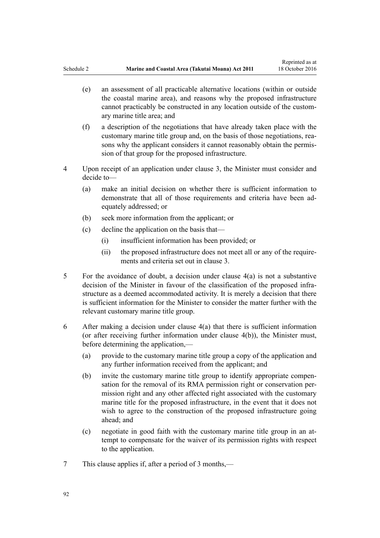- <span id="page-91-0"></span>(e) an assessment of all practicable alternative locations (within or outside the coastal marine area), and reasons why the proposed infrastructure cannot practicably be constructed in any location outside of the customary marine title area; and
- (f) a description of the negotiations that have already taken place with the customary marine title group and, on the basis of those negotiations, reasons why the applicant considers it cannot reasonably obtain the permission of that group for the proposed infrastructure.
- 4 Upon receipt of an application under clause 3, the Minister must consider and decide to—
	- (a) make an initial decision on whether there is sufficient information to demonstrate that all of those requirements and criteria have been adequately addressed; or
	- (b) seek more information from the applicant; or
	- (c) decline the application on the basis that—
		- (i) insufficient information has been provided; or
		- (ii) the proposed infrastructure does not meet all or any of the requirements and criteria set out in [clause 3.](#page-90-0)
- 5 For the avoidance of doubt, a decision under clause 4(a) is not a substantive decision of the Minister in favour of the classification of the proposed infrastructure as a deemed accommodated activity. It is merely a decision that there is sufficient information for the Minister to consider the matter further with the relevant customary marine title group.
- 6 After making a decision under clause 4(a) that there is sufficient information (or after receiving further information under clause 4(b)), the Minister must, before determining the application,—
	- (a) provide to the customary marine title group a copy of the application and any further information received from the applicant; and
	- (b) invite the customary marine title group to identify appropriate compensation for the removal of its RMA permission right or conservation permission right and any other affected right associated with the customary marine title for the proposed infrastructure, in the event that it does not wish to agree to the construction of the proposed infrastructure going ahead; and
	- (c) negotiate in good faith with the customary marine title group in an attempt to compensate for the waiver of its permission rights with respect to the application.
- 7 This clause applies if, after a period of 3 months,—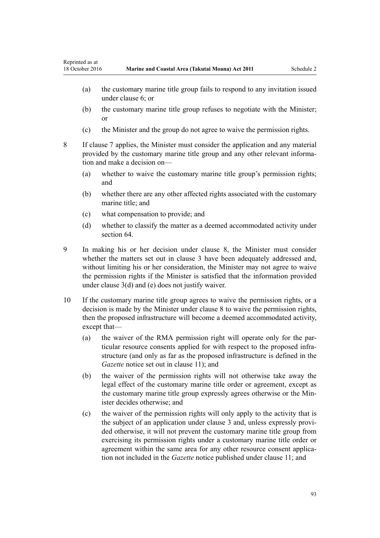- <span id="page-92-0"></span>(a) the customary marine title group fails to respond to any invitation issued under [clause 6;](#page-91-0) or
- (b) the customary marine title group refuses to negotiate with the Minister; or
- (c) the Minister and the group do not agree to waive the permission rights.
- 8 If [clause 7](#page-91-0) applies, the Minister must consider the application and any material provided by the customary marine title group and any other relevant information and make a decision on—
	- (a) whether to waive the customary marine title group's permission rights; and
	- (b) whether there are any other affected rights associated with the customary marine title: and
	- (c) what compensation to provide; and
	- (d) whether to classify the matter as a deemed accommodated activity under [section 64](#page-48-0)
- 9 In making his or her decision under clause 8, the Minister must consider whether the matters set out in [clause 3](#page-90-0) have been adequately addressed and, without limiting his or her consideration, the Minister may not agree to waive the permission rights if the Minister is satisfied that the information provided under [clause 3\(d\) and \(e\)](#page-90-0) does not justify waiver.
- 10 If the customary marine title group agrees to waive the permission rights, or a decision is made by the Minister under clause 8 to waive the permission rights, then the proposed infrastructure will become a deemed accommodated activity, except that—
	- (a) the waiver of the RMA permission right will operate only for the particular resource consents applied for with respect to the proposed infrastructure (and only as far as the proposed infrastructure is defined in the *Gazette* notice set out in [clause 11\)](#page-93-0); and
	- (b) the waiver of the permission rights will not otherwise take away the legal effect of the customary marine title order or agreement, except as the customary marine title group expressly agrees otherwise or the Minister decides otherwise; and
	- (c) the waiver of the permission rights will only apply to the activity that is the subject of an application under [clause 3](#page-90-0) and, unless expressly provided otherwise, it will not prevent the customary marine title group from exercising its permission rights under a customary marine title order or agreement within the same area for any other resource consent application not included in the *Gazette* notice published under [clause 11](#page-93-0); and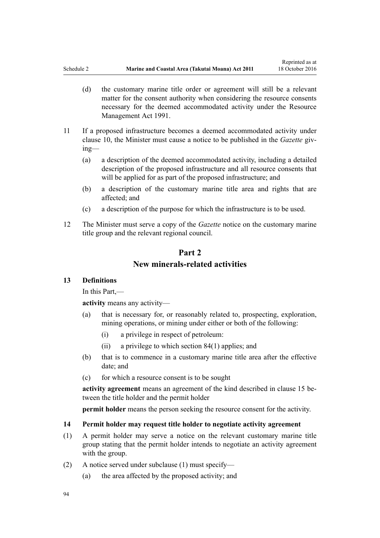- <span id="page-93-0"></span>(d) the customary marine title order or agreement will still be a relevant matter for the consent authority when considering the resource consents necessary for the deemed accommodated activity under the [Resource](http://prd-lgnz-nlb.prd.pco.net.nz/pdflink.aspx?id=DLM230264) [Management Act 1991.](http://prd-lgnz-nlb.prd.pco.net.nz/pdflink.aspx?id=DLM230264)
- 11 If a proposed infrastructure becomes a deemed accommodated activity under [clause 10,](#page-92-0) the Minister must cause a notice to be published in the *Gazette* giving—
	- (a) a description of the deemed accommodated activity, including a detailed description of the proposed infrastructure and all resource consents that will be applied for as part of the proposed infrastructure; and
	- (b) a description of the customary marine title area and rights that are affected; and
	- (c) a description of the purpose for which the infrastructure is to be used.
- 12 The Minister must serve a copy of the *Gazette* notice on the customary marine title group and the relevant regional council.

# **Part 2 New minerals-related activities**

### **13 Definitions**

In this Part,—

**activity** means any activity—

- (a) that is necessary for, or reasonably related to, prospecting, exploration, mining operations, or mining under either or both of the following:
	- (i) a privilege in respect of petroleum:
	- (ii) a privilege to which [section 84\(1\)](#page-61-0) applies; and
- (b) that is to commence in a customary marine title area after the effective date; and
- (c) for which a resource consent is to be sought

**activity agreement** means an agreement of the kind described in [clause 15](#page-94-0) between the title holder and the permit holder

**permit holder** means the person seeking the resource consent for the activity.

#### **14 Permit holder may request title holder to negotiate activity agreement**

- (1) A permit holder may serve a notice on the relevant customary marine title group stating that the permit holder intends to negotiate an activity agreement with the group.
- (2) A notice served under subclause (1) must specify—
	- (a) the area affected by the proposed activity; and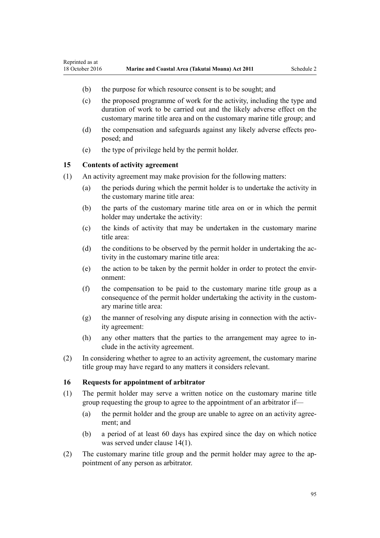- (b) the purpose for which resource consent is to be sought; and
- (c) the proposed programme of work for the activity, including the type and duration of work to be carried out and the likely adverse effect on the customary marine title area and on the customary marine title group; and
- (d) the compensation and safeguards against any likely adverse effects proposed; and
- (e) the type of privilege held by the permit holder.

### **15 Contents of activity agreement**

<span id="page-94-0"></span>Reprinted as at

- (1) An activity agreement may make provision for the following matters:
	- (a) the periods during which the permit holder is to undertake the activity in the customary marine title area:
	- (b) the parts of the customary marine title area on or in which the permit holder may undertake the activity:
	- (c) the kinds of activity that may be undertaken in the customary marine title area:
	- (d) the conditions to be observed by the permit holder in undertaking the activity in the customary marine title area:
	- (e) the action to be taken by the permit holder in order to protect the environment:
	- (f) the compensation to be paid to the customary marine title group as a consequence of the permit holder undertaking the activity in the customary marine title area:
	- (g) the manner of resolving any dispute arising in connection with the activity agreement:
	- (h) any other matters that the parties to the arrangement may agree to include in the activity agreement.
- (2) In considering whether to agree to an activity agreement, the customary marine title group may have regard to any matters it considers relevant.

### **16 Requests for appointment of arbitrator**

- (1) The permit holder may serve a written notice on the customary marine title group requesting the group to agree to the appointment of an arbitrator if—
	- (a) the permit holder and the group are unable to agree on an activity agreement; and
	- (b) a period of at least 60 days has expired since the day on which notice was served under [clause 14\(1\)](#page-93-0).
- (2) The customary marine title group and the permit holder may agree to the appointment of any person as arbitrator.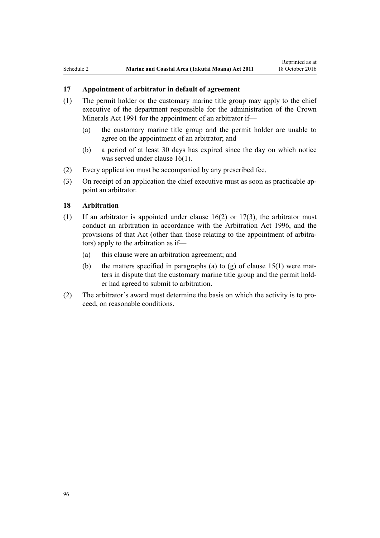## **17 Appointment of arbitrator in default of agreement**

- (1) The permit holder or the customary marine title group may apply to the chief executive of the department responsible for the administration of the [Crown](http://prd-lgnz-nlb.prd.pco.net.nz/pdflink.aspx?id=DLM242535) [Minerals Act 1991](http://prd-lgnz-nlb.prd.pco.net.nz/pdflink.aspx?id=DLM242535) for the appointment of an arbitrator if—
	- (a) the customary marine title group and the permit holder are unable to agree on the appointment of an arbitrator; and
	- (b) a period of at least 30 days has expired since the day on which notice was served under [clause 16\(1\)](#page-94-0).
- (2) Every application must be accompanied by any prescribed fee.
- (3) On receipt of an application the chief executive must as soon as practicable appoint an arbitrator.

### **18 Arbitration**

- (1) If an arbitrator is appointed under clause  $16(2)$  or  $17(3)$ , the arbitrator must conduct an arbitration in accordance with the [Arbitration Act 1996](http://prd-lgnz-nlb.prd.pco.net.nz/pdflink.aspx?id=DLM403276), and the provisions of that Act (other than those relating to the appointment of arbitrators) apply to the arbitration as if—
	- (a) this clause were an arbitration agreement; and
	- (b) the matters specified in paragraphs (a) to (g) of clause  $15(1)$  were matters in dispute that the customary marine title group and the permit holder had agreed to submit to arbitration.
- (2) The arbitrator's award must determine the basis on which the activity is to proceed, on reasonable conditions.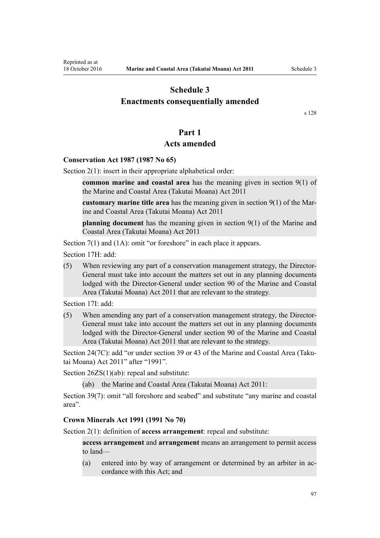# <span id="page-96-0"></span>**Schedule 3 Enactments consequentially amended**

[s 128](#page-82-0)

# **Part 1**

## **Acts amended**

### **[Conservation Act 1987](http://prd-lgnz-nlb.prd.pco.net.nz/pdflink.aspx?id=DLM103609) (1987 No 65)**

[Section 2\(1\):](http://prd-lgnz-nlb.prd.pco.net.nz/pdflink.aspx?id=DLM103616) insert in their appropriate alphabetical order:

**common marine and coastal area** has the meaning given in section 9(1) of the Marine and Coastal Area (Takutai Moana) Act 2011

**customary marine title area** has the meaning given in section 9(1) of the Marine and Coastal Area (Takutai Moana) Act 2011

**planning document** has the meaning given in section 9(1) of the Marine and Coastal Area (Takutai Moana) Act 2011

[Section 7\(1\)](http://prd-lgnz-nlb.prd.pco.net.nz/pdflink.aspx?id=DLM104251) and (1A): omit "or foreshore" in each place it appears.

[Section 17H](http://prd-lgnz-nlb.prd.pco.net.nz/pdflink.aspx?id=DLM104613): add:

(5) When reviewing any part of a conservation management strategy, the Director-General must take into account the matters set out in any planning documents lodged with the Director-General under section 90 of the Marine and Coastal Area (Takutai Moana) Act 2011 that are relevant to the strategy.

[Section 17I:](http://prd-lgnz-nlb.prd.pco.net.nz/pdflink.aspx?id=DLM104615) add:

(5) When amending any part of a conservation management strategy, the Director-General must take into account the matters set out in any planning documents lodged with the Director-General under section 90 of the Marine and Coastal Area (Takutai Moana) Act 2011 that are relevant to the strategy.

[Section 24\(7C\)](http://prd-lgnz-nlb.prd.pco.net.nz/pdflink.aspx?id=DLM104699): add "or under section 39 or 43 of the Marine and Coastal Area (Takutai Moana) Act 2011" after "1991".

[Section 26ZS\(1\)\(ab\)](http://prd-lgnz-nlb.prd.pco.net.nz/pdflink.aspx?id=DLM106043): repeal and substitute:

(ab) the Marine and Coastal Area (Takutai Moana) Act 2011:

[Section 39\(7\):](http://prd-lgnz-nlb.prd.pco.net.nz/pdflink.aspx?id=DLM106641) omit "all foreshore and seabed" and substitute "any marine and coastal area".

#### **[Crown Minerals Act 1991](http://prd-lgnz-nlb.prd.pco.net.nz/pdflink.aspx?id=DLM242535) (1991 No 70)**

[Section 2\(1\):](http://prd-lgnz-nlb.prd.pco.net.nz/pdflink.aspx?id=DLM242543) definition of **access arrangement**: repeal and substitute:

**access arrangement** and **arrangement** means an arrangement to permit access to land—

(a) entered into by way of arrangement or determined by an arbiter in accordance with this Act; and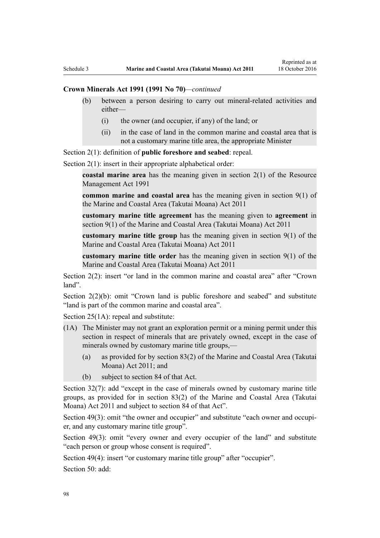### **Crown Minerals Act 1991 (1991 No 70)***—continued*

- (b) between a person desiring to carry out mineral-related activities and either—
	- (i) the owner (and occupier, if any) of the land; or
	- (ii) in the case of land in the common marine and coastal area that is not a customary marine title area, the appropriate Minister

[Section 2\(1\):](http://prd-lgnz-nlb.prd.pco.net.nz/pdflink.aspx?id=DLM242543) definition of **public foreshore and seabed**: repeal.

[Section 2\(1\):](http://prd-lgnz-nlb.prd.pco.net.nz/pdflink.aspx?id=DLM242543) insert in their appropriate alphabetical order:

**coastal marine area** has the meaning given in section 2(1) of the Resource Management Act 1991

**common marine and coastal area** has the meaning given in section 9(1) of the Marine and Coastal Area (Takutai Moana) Act 2011

**customary marine title agreement** has the meaning given to **agreement** in section 9(1) of the Marine and Coastal Area (Takutai Moana) Act 2011

**customary marine title group** has the meaning given in section 9(1) of the Marine and Coastal Area (Takutai Moana) Act 2011

**customary marine title order** has the meaning given in section 9(1) of the Marine and Coastal Area (Takutai Moana) Act 2011

[Section 2\(2\)](http://prd-lgnz-nlb.prd.pco.net.nz/pdflink.aspx?id=DLM242543): insert "or land in the common marine and coastal area" after "Crown land".

[Section 2\(2\)\(b\)](http://prd-lgnz-nlb.prd.pco.net.nz/pdflink.aspx?id=DLM242543): omit "Crown land is public foreshore and seabed" and substitute "land is part of the common marine and coastal area".

[Section 25\(1A\):](http://prd-lgnz-nlb.prd.pco.net.nz/pdflink.aspx?id=DLM246328) repeal and substitute:

- (1A) The Minister may not grant an exploration permit or a mining permit under this section in respect of minerals that are privately owned, except in the case of minerals owned by customary marine title groups,—
	- (a) as provided for by section 83(2) of the Marine and Coastal Area (Takutai Moana) Act 2011; and
	- (b) subject to section 84 of that Act.

[Section 32\(7\):](http://prd-lgnz-nlb.prd.pco.net.nz/pdflink.aspx?id=DLM246341) add "except in the case of minerals owned by customary marine title groups, as provided for in section 83(2) of the Marine and Coastal Area (Takutai Moana) Act 2011 and subject to section 84 of that Act".

[Section 49\(3\):](http://prd-lgnz-nlb.prd.pco.net.nz/pdflink.aspx?id=DLM246396) omit "the owner and occupier" and substitute "each owner and occupier, and any customary marine title group".

[Section 49\(3\):](http://prd-lgnz-nlb.prd.pco.net.nz/pdflink.aspx?id=DLM246396) omit "every owner and every occupier of the land" and substitute "each person or group whose consent is required".

[Section 49\(4\)](http://prd-lgnz-nlb.prd.pco.net.nz/pdflink.aspx?id=DLM246396): insert "or customary marine title group" after "occupier".

[Section 50](http://prd-lgnz-nlb.prd.pco.net.nz/pdflink.aspx?id=DLM246397): add: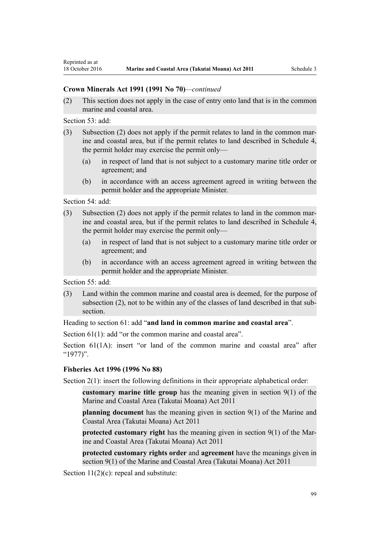### **Crown Minerals Act 1991 (1991 No 70)***—continued*

(2) This section does not apply in the case of entry onto land that is in the common marine and coastal area.

[Section 53](http://prd-lgnz-nlb.prd.pco.net.nz/pdflink.aspx?id=DLM246703): add:

- (3) Subsection (2) does not apply if the permit relates to land in the common marine and coastal area, but if the permit relates to land described in Schedule 4, the permit holder may exercise the permit only—
	- (a) in respect of land that is not subject to a customary marine title order or agreement; and
	- (b) in accordance with an access agreement agreed in writing between the permit holder and the appropriate Minister.

[Section 54](http://prd-lgnz-nlb.prd.pco.net.nz/pdflink.aspx?id=DLM246704): add:

- (3) Subsection (2) does not apply if the permit relates to land in the common marine and coastal area, but if the permit relates to land described in Schedule 4, the permit holder may exercise the permit only—
	- (a) in respect of land that is not subject to a customary marine title order or agreement; and
	- (b) in accordance with an access agreement agreed in writing between the permit holder and the appropriate Minister.

[Section 55](http://prd-lgnz-nlb.prd.pco.net.nz/pdflink.aspx?id=DLM246706): add:

(3) Land within the common marine and coastal area is deemed, for the purpose of subsection (2), not to be within any of the classes of land described in that subsection.

Heading to [section 61:](http://prd-lgnz-nlb.prd.pco.net.nz/pdflink.aspx?id=DLM246714) add "**and land in common marine and coastal area**".

[Section 61\(1\)](http://prd-lgnz-nlb.prd.pco.net.nz/pdflink.aspx?id=DLM246714): add "or the common marine and coastal area".

[Section 61\(1A\)](http://prd-lgnz-nlb.prd.pco.net.nz/pdflink.aspx?id=DLM246714): insert "or land of the common marine and coastal area" after "1977)".

### **[Fisheries Act 1996](http://prd-lgnz-nlb.prd.pco.net.nz/pdflink.aspx?id=DLM394191) (1996 No 88)**

[Section 2\(1\):](http://prd-lgnz-nlb.prd.pco.net.nz/pdflink.aspx?id=DLM394199) insert the following definitions in their appropriate alphabetical order:

**customary marine title group** has the meaning given in section 9(1) of the Marine and Coastal Area (Takutai Moana) Act 2011

**planning document** has the meaning given in section 9(1) of the Marine and Coastal Area (Takutai Moana) Act 2011

**protected customary right** has the meaning given in section 9(1) of the Marine and Coastal Area (Takutai Moana) Act 2011

**protected customary rights order** and **agreement** have the meanings given in section 9(1) of the Marine and Coastal Area (Takutai Moana) Act 2011

[Section 11\(2\)\(c\):](http://prd-lgnz-nlb.prd.pco.net.nz/pdflink.aspx?id=DLM395397) repeal and substitute: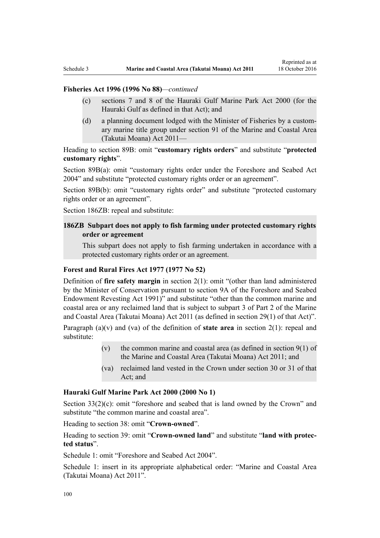### **Fisheries Act 1996 (1996 No 88)***—continued*

- (c) sections 7 and 8 of the Hauraki Gulf Marine Park Act 2000 (for the Hauraki Gulf as defined in that Act); and
- (d) a planning document lodged with the Minister of Fisheries by a customary marine title group under section 91 of the Marine and Coastal Area (Takutai Moana) Act 2011—

Heading to [section 89B](http://prd-lgnz-nlb.prd.pco.net.nz/pdflink.aspx?id=DLM396920): omit "**customary rights orders**" and substitute "**protected customary rights**".

[Section 89B\(a\)](http://prd-lgnz-nlb.prd.pco.net.nz/pdflink.aspx?id=DLM396920): omit "customary rights order under the Foreshore and Seabed Act 2004" and substitute "protected customary rights order or an agreement".

[Section 89B\(b\):](http://prd-lgnz-nlb.prd.pco.net.nz/pdflink.aspx?id=DLM396920) omit "customary rights order" and substitute "protected customary rights order or an agreement".

[Section 186ZB:](http://prd-lgnz-nlb.prd.pco.net.nz/pdflink.aspx?id=DLM398342) repeal and substitute:

### **186ZB Subpart does not apply to fish farming under protected customary rights order or agreement**

This subpart does not apply to fish farming undertaken in accordance with a protected customary rights order or an agreement.

### **[Forest and Rural Fires Act 1977](http://prd-lgnz-nlb.prd.pco.net.nz/pdflink.aspx?id=DLM442946) (1977 No 52)**

Definition of **fire safety margin** in [section 2\(1\):](http://prd-lgnz-nlb.prd.pco.net.nz/pdflink.aspx?id=DLM442952) omit "(other than land administered by the Minister of Conservation pursuant to section 9A of the Foreshore and Seabed Endowment Revesting Act 1991)" and substitute "other than the common marine and coastal area or any reclaimed land that is subject to subpart 3 of Part 2 of the Marine and Coastal Area (Takutai Moana) Act 2011 (as defined in section 29(1) of that Act)".

Paragraph (a)(v) and (va) of the definition of **state area** in [section 2\(1\):](http://prd-lgnz-nlb.prd.pco.net.nz/pdflink.aspx?id=DLM442952) repeal and substitute:

- (v) the common marine and coastal area (as defined in section  $9(1)$  of the Marine and Coastal Area (Takutai Moana) Act 2011; and
- (va) reclaimed land vested in the Crown under section 30 or 31 of that Act; and

#### **[Hauraki Gulf Marine Park Act 2000](http://prd-lgnz-nlb.prd.pco.net.nz/pdflink.aspx?id=DLM52557) (2000 No 1)**

[Section 33\(2\)\(c\)](http://prd-lgnz-nlb.prd.pco.net.nz/pdflink.aspx?id=DLM53174): omit "foreshore and seabed that is land owned by the Crown" and substitute "the common marine and coastal area".

Heading to [section 38:](http://prd-lgnz-nlb.prd.pco.net.nz/pdflink.aspx?id=DLM53180) omit "**Crown-owned**".

Heading to [section 39:](http://prd-lgnz-nlb.prd.pco.net.nz/pdflink.aspx?id=DLM53181) omit "**Crown-owned land**" and substitute "**land with protected status**".

[Schedule 1:](http://prd-lgnz-nlb.prd.pco.net.nz/pdflink.aspx?id=DLM53199) omit "Foreshore and Seabed Act 2004".

[Schedule 1:](http://prd-lgnz-nlb.prd.pco.net.nz/pdflink.aspx?id=DLM53199) insert in its appropriate alphabetical order: "Marine and Coastal Area (Takutai Moana) Act 2011".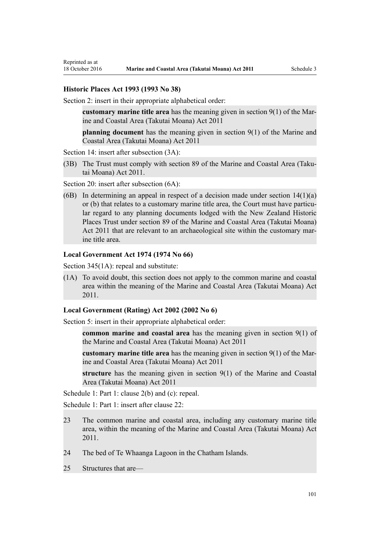#### **[Historic Places Act 1993](http://prd-lgnz-nlb.prd.pco.net.nz/pdflink.aspx?id=DLM300510) (1993 No 38)**

Reprinted as at

[Section 2](http://prd-lgnz-nlb.prd.pco.net.nz/pdflink.aspx?id=DLM300516): insert in their appropriate alphabetical order:

**customary marine title area** has the meaning given in section 9(1) of the Marine and Coastal Area (Takutai Moana) Act 2011

**planning document** has the meaning given in section 9(1) of the Marine and Coastal Area (Takutai Moana) Act 2011

[Section 14](http://prd-lgnz-nlb.prd.pco.net.nz/pdflink.aspx?id=DLM300610): insert after subsection  $(3A)$ :

(3B) The Trust must comply with section 89 of the Marine and Coastal Area (Takutai Moana) Act 2011.

[Section 20](http://prd-lgnz-nlb.prd.pco.net.nz/pdflink.aspx?id=DLM300622): insert after subsection  $(6A)$ :

(6B) In determining an appeal in respect of a decision made under section  $14(1)(a)$ or (b) that relates to a customary marine title area, the Court must have particular regard to any planning documents lodged with the New Zealand Historic Places Trust under section 89 of the Marine and Coastal Area (Takutai Moana) Act 2011 that are relevant to an archaeological site within the customary marine title area.

#### **[Local Government Act 1974](http://prd-lgnz-nlb.prd.pco.net.nz/pdflink.aspx?id=DLM415531) (1974 No 66)**

[Section 345\(1A\):](http://prd-lgnz-nlb.prd.pco.net.nz/pdflink.aspx?id=DLM420626) repeal and substitute:

(1A) To avoid doubt, this section does not apply to the common marine and coastal area within the meaning of the Marine and Coastal Area (Takutai Moana) Act 2011.

#### **[Local Government \(Rating\) Act 2002](http://prd-lgnz-nlb.prd.pco.net.nz/pdflink.aspx?id=DLM131393) (2002 No 6)**

[Section 5](http://prd-lgnz-nlb.prd.pco.net.nz/pdflink.aspx?id=DLM132004): insert in their appropriate alphabetical order:

**common marine and coastal area** has the meaning given in section 9(1) of the Marine and Coastal Area (Takutai Moana) Act 2011

**customary marine title area** has the meaning given in section 9(1) of the Marine and Coastal Area (Takutai Moana) Act 2011

**structure** has the meaning given in section 9(1) of the Marine and Coastal Area (Takutai Moana) Act 2011

[Schedule 1:](http://prd-lgnz-nlb.prd.pco.net.nz/pdflink.aspx?id=DLM133512) Part 1: clause 2(b) and (c): repeal.

[Schedule 1:](http://prd-lgnz-nlb.prd.pco.net.nz/pdflink.aspx?id=DLM133512) Part 1: insert after clause 22:

- 23 The common marine and coastal area, including any customary marine title area, within the meaning of the Marine and Coastal Area (Takutai Moana) Act 2011.
- 24 The bed of Te Whaanga Lagoon in the Chatham Islands.
- 25 Structures that are—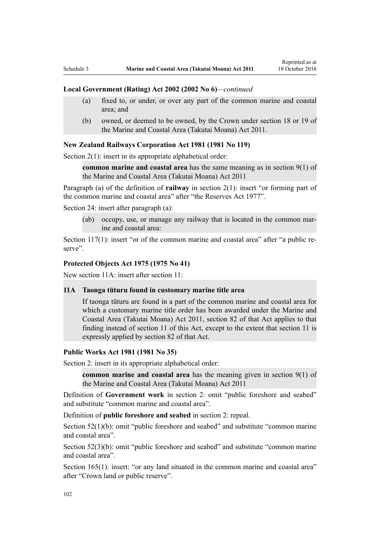#### **Local Government (Rating) Act 2002 (2002 No 6)***—continued*

- (a) fixed to, or under, or over any part of the common marine and coastal area; and
- (b) owned, or deemed to be owned, by the Crown under section 18 or 19 of the Marine and Coastal Area (Takutai Moana) Act 2011.

#### **[New Zealand Railways Corporation Act 1981](http://prd-lgnz-nlb.prd.pco.net.nz/pdflink.aspx?id=DLM57005) (1981 No 119)**

[Section 2\(1\):](http://prd-lgnz-nlb.prd.pco.net.nz/pdflink.aspx?id=DLM57011) insert in its appropriate alphabetical order:

**common marine and coastal area** has the same meaning as in section 9(1) of the Marine and Coastal Area (Takutai Moana) Act 2011

Paragraph (a) of the definition of **railway** in section 2(1): insert "or forming part of the common marine and coastal area" after "the Reserves Act 1977".

[Section 24](http://prd-lgnz-nlb.prd.pco.net.nz/pdflink.aspx?id=DLM57642): insert after paragraph (a):

(ab) occupy, use, or manage any railway that is located in the common marine and coastal area:

[Section 117\(1\)](http://prd-lgnz-nlb.prd.pco.net.nz/pdflink.aspx?id=DLM58268): insert "or of the common marine and coastal area" after "a public reserve".

#### **[Protected Objects Act 1975](http://prd-lgnz-nlb.prd.pco.net.nz/pdflink.aspx?id=DLM432115) (1975 No 41)**

New section 11A: insert after section 11:

### **11A Taonga tūturu found in customary marine title area**

If taonga tūturu are found in a part of the common marine and coastal area for which a customary marine title order has been awarded under the Marine and Coastal Area (Takutai Moana) Act 2011, section 82 of that Act applies to that finding instead of section 11 of this Act, except to the extent that section 11 is expressly applied by section 82 of that Act.

#### **[Public Works Act 1981](http://prd-lgnz-nlb.prd.pco.net.nz/pdflink.aspx?id=DLM45426) (1981 No 35)**

Section 2: insert in its appropriate alphabetical order:

**common marine and coastal area** has the meaning given in section 9(1) of the Marine and Coastal Area (Takutai Moana) Act 2011

Definition of **Government work** in section 2: omit "public foreshore and seabed" and substitute "common marine and coastal area".

Definition of **public foreshore and seabed** in section 2: repeal.

[Section 52\(1\)\(b\)](http://prd-lgnz-nlb.prd.pco.net.nz/pdflink.aspx?id=DLM46307): omit "public foreshore and seabed" and substitute "common marine" and coastal area".

[Section 52\(3\)\(b\)](http://prd-lgnz-nlb.prd.pco.net.nz/pdflink.aspx?id=DLM46307): omit "public foreshore and seabed" and substitute "common marine and coastal area".

[Section 165\(1\):](http://prd-lgnz-nlb.prd.pco.net.nz/pdflink.aspx?id=DLM47750) insert: "or any land situated in the common marine and coastal area" after "Crown land or public reserve".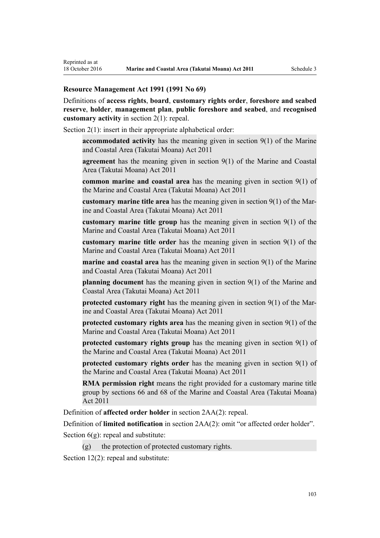### **[Resource Management Act 1991](http://prd-lgnz-nlb.prd.pco.net.nz/pdflink.aspx?id=DLM230264) (1991 No 69)**

Definitions of **access rights**, **board**, **customary rights order**, **foreshore and seabed reserve**, **holder**, **management plan**, **public foreshore and seabed**, and **recognised customary activity** in [section 2\(1\):](http://prd-lgnz-nlb.prd.pco.net.nz/pdflink.aspx?id=DLM230272) repeal.

[Section 2\(1\):](http://prd-lgnz-nlb.prd.pco.net.nz/pdflink.aspx?id=DLM230272) insert in their appropriate alphabetical order:

**accommodated activity** has the meaning given in section 9(1) of the Marine and Coastal Area (Takutai Moana) Act 2011

**agreement** has the meaning given in section 9(1) of the Marine and Coastal Area (Takutai Moana) Act 2011

**common marine and coastal area** has the meaning given in section 9(1) of the Marine and Coastal Area (Takutai Moana) Act 2011

**customary marine title area** has the meaning given in section 9(1) of the Marine and Coastal Area (Takutai Moana) Act 2011

**customary marine title group** has the meaning given in section 9(1) of the Marine and Coastal Area (Takutai Moana) Act 2011

**customary marine title order** has the meaning given in section 9(1) of the Marine and Coastal Area (Takutai Moana) Act 2011

**marine and coastal area** has the meaning given in section 9(1) of the Marine and Coastal Area (Takutai Moana) Act 2011

**planning document** has the meaning given in section 9(1) of the Marine and Coastal Area (Takutai Moana) Act 2011

**protected customary right** has the meaning given in section 9(1) of the Marine and Coastal Area (Takutai Moana) Act 2011

**protected customary rights area** has the meaning given in section 9(1) of the Marine and Coastal Area (Takutai Moana) Act 2011

**protected customary rights group** has the meaning given in section 9(1) of the Marine and Coastal Area (Takutai Moana) Act 2011

**protected customary rights order** has the meaning given in section 9(1) of the Marine and Coastal Area (Takutai Moana) Act 2011

**RMA permission right** means the right provided for a customary marine title group by sections 66 and 68 of the Marine and Coastal Area (Takutai Moana) Act 2011

Definition of **affected order holder** in [section 2AA\(2\):](http://prd-lgnz-nlb.prd.pco.net.nz/pdflink.aspx?id=DLM2408220) repeal.

Definition of **limited notification** in [section 2AA\(2\)](http://prd-lgnz-nlb.prd.pco.net.nz/pdflink.aspx?id=DLM2408220): omit "or affected order holder".

Section  $6(g)$ : repeal and substitute:

 $(g)$  the protection of protected customary rights.

[Section 12\(2\)](http://prd-lgnz-nlb.prd.pco.net.nz/pdflink.aspx?id=DLM231949): repeal and substitute: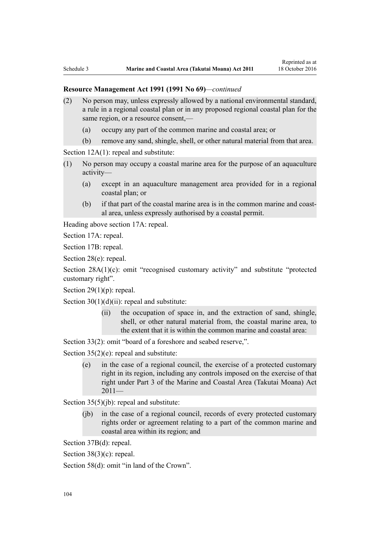- (2) No person may, unless expressly allowed by a national environmental standard, a rule in a regional coastal plan or in any proposed regional coastal plan for the same region, or a resource consent,—
	- (a) occupy any part of the common marine and coastal area; or
	- (b) remove any sand, shingle, shell, or other natural material from that area.

[Section 12A\(1\):](http://prd-lgnz-nlb.prd.pco.net.nz/pdflink.aspx?id=DLM231965) repeal and substitute:

- (1) No person may occupy a coastal marine area for the purpose of an aquaculture activity—
	- (a) except in an aquaculture management area provided for in a regional coastal plan; or
	- (b) if that part of the coastal marine area is in the common marine and coastal area, unless expressly authorised by a coastal permit.

Heading above [section 17A:](http://prd-lgnz-nlb.prd.pco.net.nz/pdflink.aspx?id=DLM232508) repeal.

[Section 17A](http://prd-lgnz-nlb.prd.pco.net.nz/pdflink.aspx?id=DLM232508): repeal.

[Section 17B:](http://prd-lgnz-nlb.prd.pco.net.nz/pdflink.aspx?id=DLM232510) repeal.

[Section 28\(e\):](http://prd-lgnz-nlb.prd.pco.net.nz/pdflink.aspx?id=DLM232548) repeal.

[Section 28A\(1\)\(c\):](http://prd-lgnz-nlb.prd.pco.net.nz/pdflink.aspx?id=DLM232552) omit "recognised customary activity" and substitute "protected customary right".

Section  $29(1)(p)$ : repeal.

Section  $30(1)(d)(ii)$ : repeal and substitute:

(ii) the occupation of space in, and the extraction of sand, shingle, shell, or other natural material from, the coastal marine area, to the extent that it is within the common marine and coastal area:

[Section 33\(2\)](http://prd-lgnz-nlb.prd.pco.net.nz/pdflink.aspx?id=DLM232593): omit "board of a foreshore and seabed reserve,".

[Section 35\(2\)\(e\)](http://prd-lgnz-nlb.prd.pco.net.nz/pdflink.aspx?id=DLM233009): repeal and substitute:

(e) in the case of a regional council, the exercise of a protected customary right in its region, including any controls imposed on the exercise of that right under Part 3 of the Marine and Coastal Area (Takutai Moana) Act  $2011-$ 

[Section 35\(5\)\(jb\)](http://prd-lgnz-nlb.prd.pco.net.nz/pdflink.aspx?id=DLM233009): repeal and substitute:

(jb) in the case of a regional council, records of every protected customary rights order or agreement relating to a part of the common marine and coastal area within its region; and

[Section 37B\(d\)](http://prd-lgnz-nlb.prd.pco.net.nz/pdflink.aspx?id=DLM233052): repeal.

[Section 38\(3\)\(c\)](http://prd-lgnz-nlb.prd.pco.net.nz/pdflink.aspx?id=DLM233057): repeal.

[Section 58\(d\)](http://prd-lgnz-nlb.prd.pco.net.nz/pdflink.aspx?id=DLM233381): omit "in land of the Crown".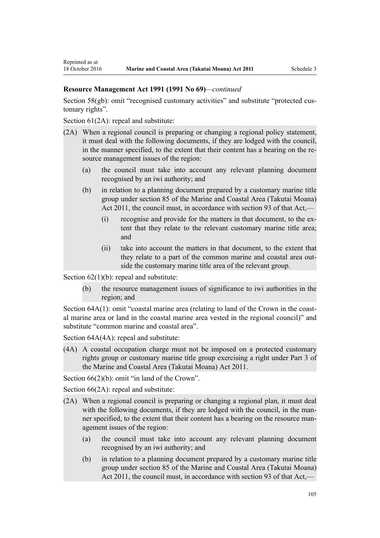[Section 58\(gb\):](http://prd-lgnz-nlb.prd.pco.net.nz/pdflink.aspx?id=DLM233381) omit "recognised customary activities" and substitute "protected customary rights".

[Section 61\(2A\):](http://prd-lgnz-nlb.prd.pco.net.nz/pdflink.aspx?id=DLM233389) repeal and substitute:

Reprinted as at

- (2A) When a regional council is preparing or changing a regional policy statement, it must deal with the following documents, if they are lodged with the council, in the manner specified, to the extent that their content has a bearing on the resource management issues of the region:
	- (a) the council must take into account any relevant planning document recognised by an iwi authority; and
	- (b) in relation to a planning document prepared by a customary marine title group under section 85 of the Marine and Coastal Area (Takutai Moana) Act 2011, the council must, in accordance with section 93 of that Act,—
		- (i) recognise and provide for the matters in that document, to the extent that they relate to the relevant customary marine title area; and
		- (ii) take into account the matters in that document, to the extent that they relate to a part of the common marine and coastal area outside the customary marine title area of the relevant group.

Section  $62(1)(b)$ : repeal and substitute:

(b) the resource management issues of significance to iwi authorities in the region; and

[Section 64A\(1\)](http://prd-lgnz-nlb.prd.pco.net.nz/pdflink.aspx?id=DLM233610): omit "coastal marine area (relating to land of the Crown in the coastal marine area or land in the coastal marine area vested in the regional council)" and substitute "common marine and coastal area".

Section  $64A(4A)$ : repeal and substitute:

(4A) A coastal occupation charge must not be imposed on a protected customary rights group or customary marine title group exercising a right under Part 3 of the Marine and Coastal Area (Takutai Moana) Act 2011.

[Section 66\(2\)\(b\):](http://prd-lgnz-nlb.prd.pco.net.nz/pdflink.aspx?id=DLM233620) omit "in land of the Crown".

[Section 66\(2A\):](http://prd-lgnz-nlb.prd.pco.net.nz/pdflink.aspx?id=DLM233620) repeal and substitute:

- (2A) When a regional council is preparing or changing a regional plan, it must deal with the following documents, if they are lodged with the council, in the manner specified, to the extent that their content has a bearing on the resource management issues of the region:
	- (a) the council must take into account any relevant planning document recognised by an iwi authority; and
	- (b) in relation to a planning document prepared by a customary marine title group under section 85 of the Marine and Coastal Area (Takutai Moana) Act 2011, the council must, in accordance with section 93 of that Act,—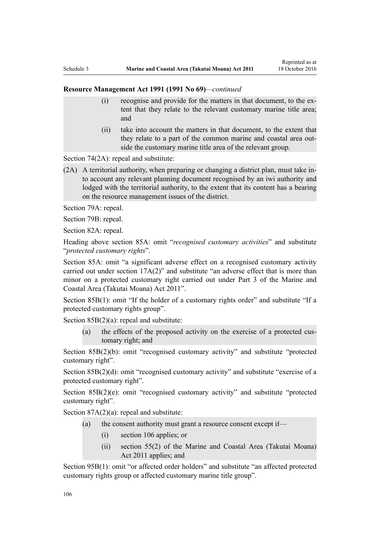- (i) recognise and provide for the matters in that document, to the extent that they relate to the relevant customary marine title area; and
- (ii) take into account the matters in that document, to the extent that they relate to a part of the common marine and coastal area outside the customary marine title area of the relevant group.

[Section 74\(2A\):](http://prd-lgnz-nlb.prd.pco.net.nz/pdflink.aspx?id=DLM233671) repeal and substitute:

(2A) A territorial authority, when preparing or changing a district plan, must take into account any relevant planning document recognised by an iwi authority and lodged with the territorial authority, to the extent that its content has a bearing on the resource management issues of the district.

[Section 79A](http://prd-lgnz-nlb.prd.pco.net.nz/pdflink.aspx?id=DLM233815): repeal.

[Section 79B:](http://prd-lgnz-nlb.prd.pco.net.nz/pdflink.aspx?id=DLM233818) repeal.

[Section 82A](http://prd-lgnz-nlb.prd.pco.net.nz/pdflink.aspx?id=DLM233827): repeal.

Heading above [section 85A](http://prd-lgnz-nlb.prd.pco.net.nz/pdflink.aspx?id=DLM233840): omit "*recognised customary activities*" and substitute "*protected customary rights*".

[Section 85A](http://prd-lgnz-nlb.prd.pco.net.nz/pdflink.aspx?id=DLM233840): omit "a significant adverse effect on a recognised customary activity carried out under section 17A(2)" and substitute "an adverse effect that is more than minor on a protected customary right carried out under Part 3 of the Marine and Coastal Area (Takutai Moana) Act 2011".

[Section 85B\(1\)](http://prd-lgnz-nlb.prd.pco.net.nz/pdflink.aspx?id=DLM233842): omit "If the holder of a customary rights order" and substitute "If a protected customary rights group".

[Section 85B\(2\)\(a\):](http://prd-lgnz-nlb.prd.pco.net.nz/pdflink.aspx?id=DLM233842) repeal and substitute:

(a) the effects of the proposed activity on the exercise of a protected customary right; and

[Section 85B\(2\)\(b\):](http://prd-lgnz-nlb.prd.pco.net.nz/pdflink.aspx?id=DLM233842) omit "recognised customary activity" and substitute "protected customary right".

[Section 85B\(2\)\(d\):](http://prd-lgnz-nlb.prd.pco.net.nz/pdflink.aspx?id=DLM233842) omit "recognised customary activity" and substitute "exercise of a protected customary right".

[Section 85B\(2\)\(e\)](http://prd-lgnz-nlb.prd.pco.net.nz/pdflink.aspx?id=DLM233842): omit "recognised customary activity" and substitute "protected customary right".

Section  $87A(2)(a)$ : repeal and substitute:

- (a) the consent authority must grant a resource consent except if—
	- (i) section 106 applies; or
	- (ii) section 55(2) of the Marine and Coastal Area (Takutai Moana) Act 2011 applies; and

[Section 95B\(1\)](http://prd-lgnz-nlb.prd.pco.net.nz/pdflink.aspx?id=DLM2416410): omit "or affected order holders" and substitute "an affected protected customary rights group or affected customary marine title group".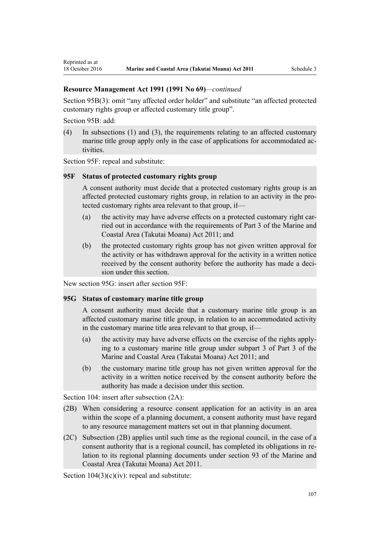[Section 95B\(3\)](http://prd-lgnz-nlb.prd.pco.net.nz/pdflink.aspx?id=DLM2416410): omit "any affected order holder" and substitute "an affected protected customary rights group or affected customary title group".

[Section 95B:](http://prd-lgnz-nlb.prd.pco.net.nz/pdflink.aspx?id=DLM2416410) add:

Reprinted as at

(4) In subsections (1) and (3), the requirements relating to an affected customary marine title group apply only in the case of applications for accommodated activities.

[Section 95F](http://prd-lgnz-nlb.prd.pco.net.nz/pdflink.aspx?id=DLM2416414): repeal and substitute:

#### **95F Status of protected customary rights group**

A consent authority must decide that a protected customary rights group is an affected protected customary rights group, in relation to an activity in the protected customary rights area relevant to that group, if—

- (a) the activity may have adverse effects on a protected customary right carried out in accordance with the requirements of Part 3 of the Marine and Coastal Area (Takutai Moana) Act 2011; and
- (b) the protected customary rights group has not given written approval for the activity or has withdrawn approval for the activity in a written notice received by the consent authority before the authority has made a decision under this section.

New section 95G: insert after [section 95F:](http://prd-lgnz-nlb.prd.pco.net.nz/pdflink.aspx?id=DLM2416414)

### **95G Status of customary marine title group**

A consent authority must decide that a customary marine title group is an affected customary marine title group, in relation to an accommodated activity in the customary marine title area relevant to that group, if—

- (a) the activity may have adverse effects on the exercise of the rights applying to a customary marine title group under subpart 3 of Part 3 of the Marine and Coastal Area (Takutai Moana) Act 2011; and
- (b) the customary marine title group has not given written approval for the activity in a written notice received by the consent authority before the authority has made a decision under this section.

[Section 104:](http://prd-lgnz-nlb.prd.pco.net.nz/pdflink.aspx?id=DLM234355) insert after subsection  $(2A)$ :

- (2B) When considering a resource consent application for an activity in an area within the scope of a planning document, a consent authority must have regard to any resource management matters set out in that planning document.
- (2C) Subsection (2B) applies until such time as the regional council, in the case of a consent authority that is a regional council, has completed its obligations in relation to its regional planning documents under section 93 of the Marine and Coastal Area (Takutai Moana) Act 2011.

Section  $104(3)(c)(iv)$ : repeal and substitute: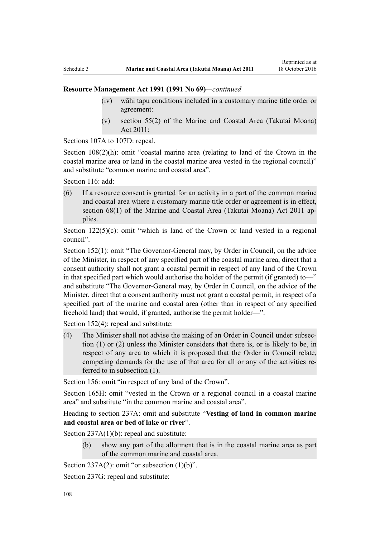- (iv) wāhi tapu conditions included in a customary marine title order or agreement:
- (v) section 55(2) of the Marine and Coastal Area (Takutai Moana) Act 2011:

[Sections 107A to 107D:](http://prd-lgnz-nlb.prd.pco.net.nz/pdflink.aspx?id=DLM234801) repeal.

[Section 108\(2\)\(h\)](http://prd-lgnz-nlb.prd.pco.net.nz/pdflink.aspx?id=DLM234810): omit "coastal marine area (relating to land of the Crown in the coastal marine area or land in the coastal marine area vested in the regional council)" and substitute "common marine and coastal area".

[Section 116](http://prd-lgnz-nlb.prd.pco.net.nz/pdflink.aspx?id=DLM234865): add:

(6) If a resource consent is granted for an activity in a part of the common marine and coastal area where a customary marine title order or agreement is in effect, section 68(1) of the Marine and Coastal Area (Takutai Moana) Act 2011 applies.

Section  $122(5)(c)$ : omit "which is land of the Crown or land vested in a regional council".

[Section 152\(1\)](http://prd-lgnz-nlb.prd.pco.net.nz/pdflink.aspx?id=DLM235468): omit "The Governor-General may, by Order in Council, on the advice of the Minister, in respect of any specified part of the coastal marine area, direct that a consent authority shall not grant a coastal permit in respect of any land of the Crown in that specified part which would authorise the holder of the permit (if granted) to—" and substitute "The Governor-General may, by Order in Council, on the advice of the Minister, direct that a consent authority must not grant a coastal permit, in respect of a specified part of the marine and coastal area (other than in respect of any specified freehold land) that would, if granted, authorise the permit holder—".

[Section 152\(4\)](http://prd-lgnz-nlb.prd.pco.net.nz/pdflink.aspx?id=DLM235468): repeal and substitute:

(4) The Minister shall not advise the making of an Order in Council under subsection (1) or (2) unless the Minister considers that there is, or is likely to be, in respect of any area to which it is proposed that the Order in Council relate, competing demands for the use of that area for all or any of the activities referred to in subsection (1).

[Section 156:](http://prd-lgnz-nlb.prd.pco.net.nz/pdflink.aspx?id=DLM235484) omit "in respect of any land of the Crown".

[Section 165H:](http://prd-lgnz-nlb.prd.pco.net.nz/pdflink.aspx?id=DLM236036) omit "vested in the Crown or a regional council in a coastal marine area" and substitute "in the common marine and coastal area".

Heading to section 237A: omit and substitute "**Vesting of land in common marine and coastal area or bed of lake or river**".

[Section 237A\(1\)\(b\):](http://prd-lgnz-nlb.prd.pco.net.nz/pdflink.aspx?id=DLM237276) repeal and substitute:

(b) show any part of the allotment that is in the coastal marine area as part of the common marine and coastal area.

[Section 237A\(2\):](http://prd-lgnz-nlb.prd.pco.net.nz/pdflink.aspx?id=DLM237276) omit "or subsection  $(1)(b)$ ".

[Section 237G](http://prd-lgnz-nlb.prd.pco.net.nz/pdflink.aspx?id=DLM237291): repeal and substitute: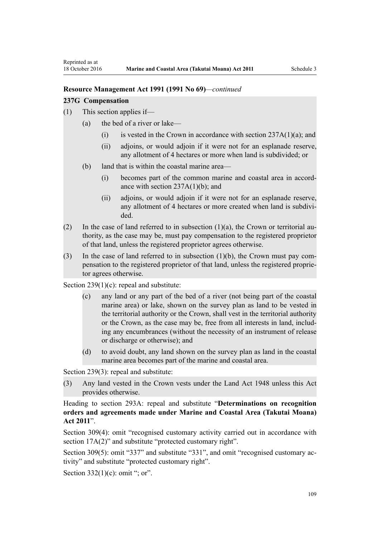### **Resource Management Act 1991 (1991 No 69)***—continued*

#### **237G Compensation**

- (1) This section applies if—
	- (a) the bed of a river or lake—
		- (i) is vested in the Crown in accordance with section  $237A(1)(a)$ ; and
		- (ii) adjoins, or would adjoin if it were not for an esplanade reserve, any allotment of 4 hectares or more when land is subdivided; or
	- (b) land that is within the coastal marine area—
		- (i) becomes part of the common marine and coastal area in accordance with section  $237A(1)(b)$ ; and
		- (ii) adjoins, or would adjoin if it were not for an esplanade reserve, any allotment of 4 hectares or more created when land is subdivided.
- (2) In the case of land referred to in subsection  $(1)(a)$ , the Crown or territorial authority, as the case may be, must pay compensation to the registered proprietor of that land, unless the registered proprietor agrees otherwise.
- (3) In the case of land referred to in subsection (1)(b), the Crown must pay compensation to the registered proprietor of that land, unless the registered proprietor agrees otherwise.

[Section 239\(1\)\(c\):](http://prd-lgnz-nlb.prd.pco.net.nz/pdflink.aspx?id=DLM237600) repeal and substitute:

- (c) any land or any part of the bed of a river (not being part of the coastal marine area) or lake, shown on the survey plan as land to be vested in the territorial authority or the Crown, shall vest in the territorial authority or the Crown, as the case may be, free from all interests in land, including any encumbrances (without the necessity of an instrument of release or discharge or otherwise); and
- (d) to avoid doubt, any land shown on the survey plan as land in the coastal marine area becomes part of the marine and coastal area.

[Section 239\(3\)](http://prd-lgnz-nlb.prd.pco.net.nz/pdflink.aspx?id=DLM237600): repeal and substitute:

(3) Any land vested in the Crown vests under the Land Act 1948 unless this Act provides otherwise.

Heading to [section 293A:](http://prd-lgnz-nlb.prd.pco.net.nz/pdflink.aspx?id=DLM238254) repeal and substitute "**Determinations on recognition orders and agreements made under Marine and Coastal Area (Takutai Moana) Act 2011**".

[Section 309\(4\):](http://prd-lgnz-nlb.prd.pco.net.nz/pdflink.aspx?id=DLM238505) omit "recognised customary activity carried out in accordance with section  $17A(2)$ " and substitute "protected customary right".

[Section 309\(5\)](http://prd-lgnz-nlb.prd.pco.net.nz/pdflink.aspx?id=DLM238505): omit "337" and substitute "331", and omit "recognised customary activity" and substitute "protected customary right".

Section  $332(1)(c)$ : omit "; or".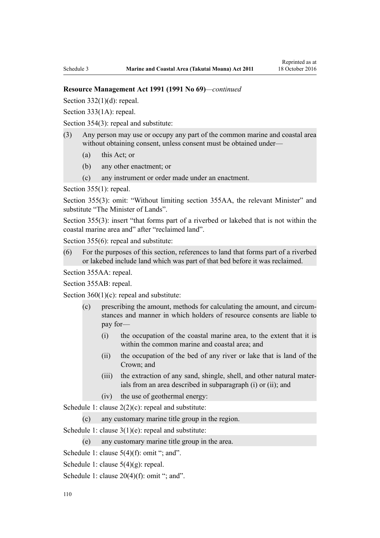#### **Resource Management Act 1991 (1991 No 69)***—continued*

Section  $332(1)(d)$ : repeal.

[Section 333\(1A\):](http://prd-lgnz-nlb.prd.pco.net.nz/pdflink.aspx?id=DLM239027) repeal.

[Section 354\(3\)](http://prd-lgnz-nlb.prd.pco.net.nz/pdflink.aspx?id=DLM239318): repeal and substitute:

- (3) Any person may use or occupy any part of the common marine and coastal area without obtaining consent, unless consent must be obtained under—
	- (a) this Act; or
	- (b) any other enactment; or
	- (c) any instrument or order made under an enactment.

[Section 355\(1\)](http://prd-lgnz-nlb.prd.pco.net.nz/pdflink.aspx?id=DLM239322): repeal.

[Section 355\(3\):](http://prd-lgnz-nlb.prd.pco.net.nz/pdflink.aspx?id=DLM239322) omit: "Without limiting section 355AA, the relevant Minister" and substitute "The Minister of Lands".

[Section 355\(3\)](http://prd-lgnz-nlb.prd.pco.net.nz/pdflink.aspx?id=DLM239322): insert "that forms part of a riverbed or lakebed that is not within the coastal marine area and" after "reclaimed land".

[Section 355\(6\)](http://prd-lgnz-nlb.prd.pco.net.nz/pdflink.aspx?id=DLM239322): repeal and substitute:

(6) For the purposes of this section, references to land that forms part of a riverbed or lakebed include land which was part of that bed before it was reclaimed.

[Section 355AA](http://prd-lgnz-nlb.prd.pco.net.nz/pdflink.aspx?id=DLM239326): repeal.

[Section 355AB:](http://prd-lgnz-nlb.prd.pco.net.nz/pdflink.aspx?id=DLM239328) repeal.

Section  $360(1)(c)$ : repeal and substitute:

- (c) prescribing the amount, methods for calculating the amount, and circumstances and manner in which holders of resource consents are liable to pay for—
	- (i) the occupation of the coastal marine area, to the extent that it is within the common marine and coastal area; and
	- (ii) the occupation of the bed of any river or lake that is land of the Crown; and
	- (iii) the extraction of any sand, shingle, shell, and other natural materials from an area described in subparagraph (i) or (ii); and
	- (iv) the use of geothermal energy:

[Schedule 1:](http://prd-lgnz-nlb.prd.pco.net.nz/pdflink.aspx?id=DLM240686) clause  $2(2)(c)$ : repeal and substitute:

(c) any customary marine title group in the region.

[Schedule 1:](http://prd-lgnz-nlb.prd.pco.net.nz/pdflink.aspx?id=DLM240686) clause 3(1)(e): repeal and substitute:

(e) any customary marine title group in the area.

[Schedule 1:](http://prd-lgnz-nlb.prd.pco.net.nz/pdflink.aspx?id=DLM240686) clause  $5(4)(f)$ : omit "; and".

- [Schedule 1:](http://prd-lgnz-nlb.prd.pco.net.nz/pdflink.aspx?id=DLM240686) clause 5(4)(g): repeal.
- [Schedule 1:](http://prd-lgnz-nlb.prd.pco.net.nz/pdflink.aspx?id=DLM240686) clause  $20(4)(f)$ : omit "; and".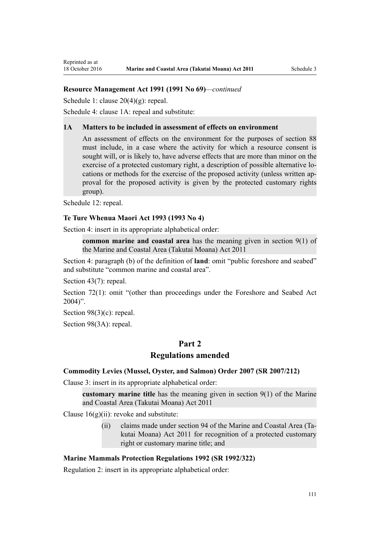# **Resource Management Act 1991 (1991 No 69)***—continued*

[Schedule 1:](http://prd-lgnz-nlb.prd.pco.net.nz/pdflink.aspx?id=DLM240686) clause 20(4)(g): repeal.

[Schedule 4:](http://prd-lgnz-nlb.prd.pco.net.nz/pdflink.aspx?id=DLM242008) clause 1A: repeal and substitute:

#### **1A Matters to be included in assessment of effects on environment**

An assessment of effects on the environment for the purposes of section 88 must include, in a case where the activity for which a resource consent is sought will, or is likely to, have adverse effects that are more than minor on the exercise of a protected customary right, a description of possible alternative locations or methods for the exercise of the proposed activity (unless written approval for the proposed activity is given by the protected customary rights group).

[Schedule 12:](http://prd-lgnz-nlb.prd.pco.net.nz/pdflink.aspx?id=DLM242515) repeal.

#### **[Te Ture Whenua Maori Act 1993](http://prd-lgnz-nlb.prd.pco.net.nz/pdflink.aspx?id=DLM289881) (1993 No 4)**

[Section 4](http://prd-lgnz-nlb.prd.pco.net.nz/pdflink.aspx?id=DLM289897): insert in its appropriate alphabetical order:

**common marine and coastal area** has the meaning given in section 9(1) of the Marine and Coastal Area (Takutai Moana) Act 2011

[Section 4:](http://prd-lgnz-nlb.prd.pco.net.nz/pdflink.aspx?id=DLM289897) paragraph (b) of the definition of **land**: omit "public foreshore and seabed" and substitute "common marine and coastal area".

[Section 43\(7\)](http://prd-lgnz-nlb.prd.pco.net.nz/pdflink.aspx?id=DLM290907): repeal.

[Section 72\(1\)](http://prd-lgnz-nlb.prd.pco.net.nz/pdflink.aspx?id=DLM290961): omit "(other than proceedings under the Foreshore and Seabed Act  $2004$ ".

[Section 98\(3\)\(c\)](http://prd-lgnz-nlb.prd.pco.net.nz/pdflink.aspx?id=DLM291203): repeal.

[Section 98\(3A\):](http://prd-lgnz-nlb.prd.pco.net.nz/pdflink.aspx?id=DLM291203) repeal.

# **Part 2**

# **Regulations amended**

#### **[Commodity Levies \(Mussel, Oyster, and Salmon\) Order 2007](http://prd-lgnz-nlb.prd.pco.net.nz/pdflink.aspx?id=DLM443982) (SR 2007/212)**

[Clause 3](http://prd-lgnz-nlb.prd.pco.net.nz/pdflink.aspx?id=DLM443990): insert in its appropriate alphabetical order:

**customary marine title** has the meaning given in section 9(1) of the Marine and Coastal Area (Takutai Moana) Act 2011

Clause  $16(g)(ii)$ : revoke and substitute:

(ii) claims made under section 94 of the Marine and Coastal Area (Takutai Moana) Act 2011 for recognition of a protected customary right or customary marine title; and

## **[Marine Mammals Protection Regulations 1992](http://prd-lgnz-nlb.prd.pco.net.nz/pdflink.aspx?id=DLM168285) (SR 1992/322)**

[Regulation 2](http://prd-lgnz-nlb.prd.pco.net.nz/pdflink.aspx?id=DLM168290): insert in its appropriate alphabetical order: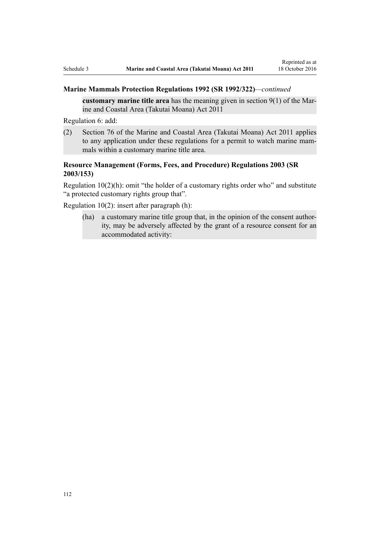## **Marine Mammals Protection Regulations 1992 (SR 1992/322)***—continued*

**customary marine title area** has the meaning given in section 9(1) of the Marine and Coastal Area (Takutai Moana) Act 2011

[Regulation 6](http://prd-lgnz-nlb.prd.pco.net.nz/pdflink.aspx?id=DLM168824): add:

(2) Section 76 of the Marine and Coastal Area (Takutai Moana) Act 2011 applies to any application under these regulations for a permit to watch marine mammals within a customary marine title area.

# **[Resource Management \(Forms, Fees, and Procedure\) Regulations 2003](http://prd-lgnz-nlb.prd.pco.net.nz/pdflink.aspx?id=DLM195259) (SR 2003/153)**

[Regulation 10\(2\)\(h\)](http://prd-lgnz-nlb.prd.pco.net.nz/pdflink.aspx?id=DLM168828): omit "the holder of a customary rights order who" and substitute "a protected customary rights group that".

[Regulation 10\(2\)](http://prd-lgnz-nlb.prd.pco.net.nz/pdflink.aspx?id=DLM168828): insert after paragraph (h):

(ha) a customary marine title group that, in the opinion of the consent authority, may be adversely affected by the grant of a resource consent for an accommodated activity: